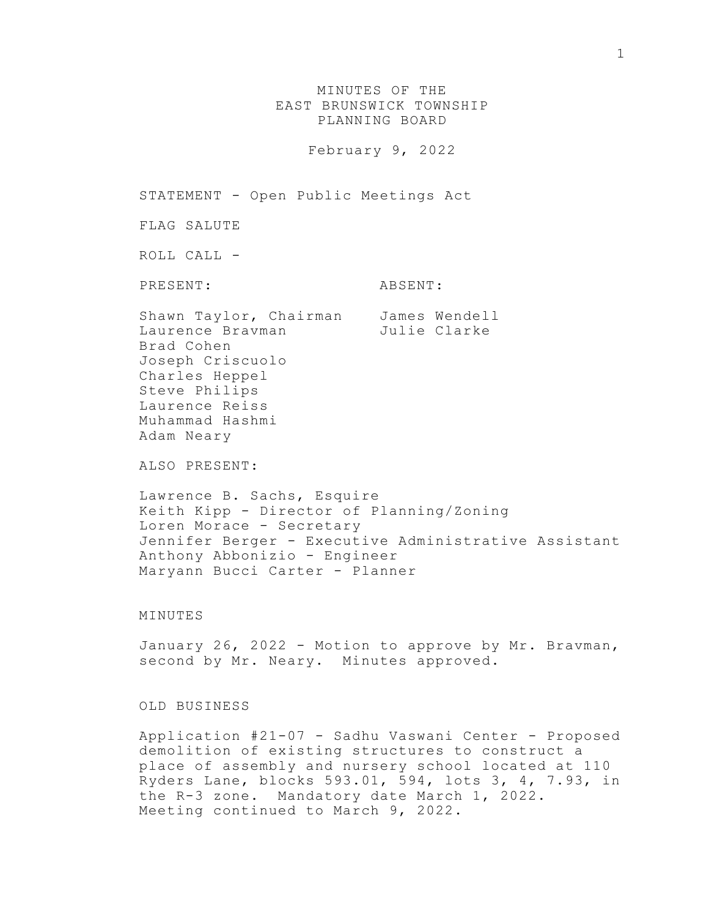MINUTES OF THE EAST BRUNSWICK TOWNSHIP PLANNING BOARD February 9, 2022 STATEMENT - Open Public Meetings Act FLAG SALUTE ROLL CALL - PRESENT: ABSENT: Shawn Taylor, Chairman James Wendell Laurence Bravman Julie Clarke Brad Cohen Joseph Criscuolo Charles Heppel Steve Philips Laurence Reiss Muhammad Hashmi Adam Neary ALSO PRESENT: Lawrence B. Sachs, Esquire Keith Kipp - Director of Planning/Zoning Loren Morace - Secretary Jennifer Berger - Executive Administrative Assistant Anthony Abbonizio - Engineer Maryann Bucci Carter - Planner

## MINUTES

January 26, 2022 - Motion to approve by Mr. Bravman, second by Mr. Neary. Minutes approved.

## OLD BUSINESS

Application #21-07 - Sadhu Vaswani Center - Proposed demolition of existing structures to construct a place of assembly and nursery school located at 110 Ryders Lane, blocks 593.01, 594, lots 3, 4, 7.93, in the R-3 zone. Mandatory date March 1, 2022. Meeting continued to March 9, 2022.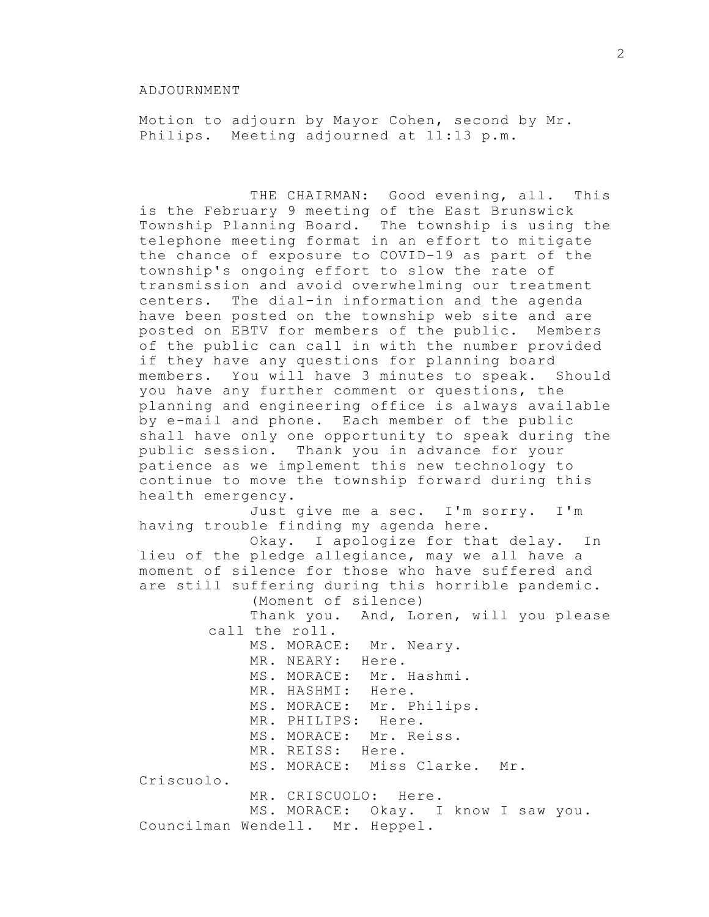Motion to adjourn by Mayor Cohen, second by Mr. Philips. Meeting adjourned at 11:13 p.m.

THE CHAIRMAN: Good evening, all. This is the February 9 meeting of the East Brunswick Township Planning Board. The township is using the telephone meeting format in an effort to mitigate the chance of exposure to COVID-19 as part of the township's ongoing effort to slow the rate of transmission and avoid overwhelming our treatment centers. The dial-in information and the agenda have been posted on the township web site and are posted on EBTV for members of the public. Members of the public can call in with the number provided if they have any questions for planning board members. You will have 3 minutes to speak. Should you have any further comment or questions, the planning and engineering office is always available by e-mail and phone. Each member of the public shall have only one opportunity to speak during the public session. Thank you in advance for your patience as we implement this new technology to continue to move the township forward during this health emergency. Just give me a sec. I'm sorry. I'm having trouble finding my agenda here. Okay. I apologize for that delay. In lieu of the pledge allegiance, may we all have a moment of silence for those who have suffered and are still suffering during this horrible pandemic. (Moment of silence) Thank you. And, Loren, will you please call the roll. MS. MORACE: Mr. Neary. MR. NEARY: Here. MS. MORACE: Mr. Hashmi. MR. HASHMI: Here. MS. MORACE: Mr. Philips. MR. PHILIPS: Here. MS. MORACE: Mr. Reiss. MR. REISS: Here. MS. MORACE: Miss Clarke. Mr. Criscuolo. MR. CRISCUOLO: Here. MS. MORACE: Okay. I know I saw you. Councilman Wendell. Mr. Heppel.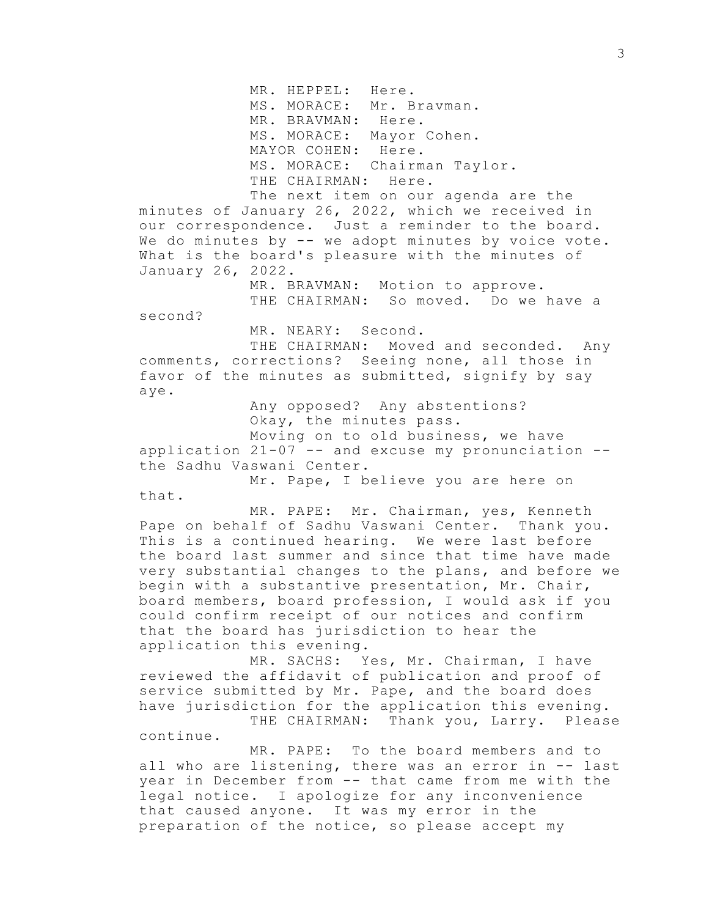MR. HEPPEL: Here. MS. MORACE: Mr. Bravman. MR. BRAVMAN: Here. MS. MORACE: Mayor Cohen. MAYOR COHEN: Here. MS. MORACE: Chairman Taylor. THE CHAIRMAN: Here.

The next item on our agenda are the minutes of January 26, 2022, which we received in our correspondence. Just a reminder to the board. We do minutes by -- we adopt minutes by voice vote. What is the board's pleasure with the minutes of January 26, 2022.

> MR. BRAVMAN: Motion to approve. THE CHAIRMAN: So moved. Do we have a

second?

MR. NEARY: Second.

THE CHAIRMAN: Moved and seconded. Any comments, corrections? Seeing none, all those in favor of the minutes as submitted, signify by say aye.

> Any opposed? Any abstentions? Okay, the minutes pass. Moving on to old business, we have

application 21-07 -- and excuse my pronunciation - the Sadhu Vaswani Center.

Mr. Pape, I believe you are here on that.

MR. PAPE: Mr. Chairman, yes, Kenneth Pape on behalf of Sadhu Vaswani Center. Thank you. This is a continued hearing. We were last before the board last summer and since that time have made very substantial changes to the plans, and before we begin with a substantive presentation, Mr. Chair, board members, board profession, I would ask if you could confirm receipt of our notices and confirm that the board has jurisdiction to hear the application this evening.

MR. SACHS: Yes, Mr. Chairman, I have reviewed the affidavit of publication and proof of service submitted by Mr. Pape, and the board does have jurisdiction for the application this evening. THE CHAIRMAN: Thank you, Larry. Please continue.

MR. PAPE: To the board members and to all who are listening, there was an error in -- last year in December from -- that came from me with the legal notice. I apologize for any inconvenience that caused anyone. It was my error in the preparation of the notice, so please accept my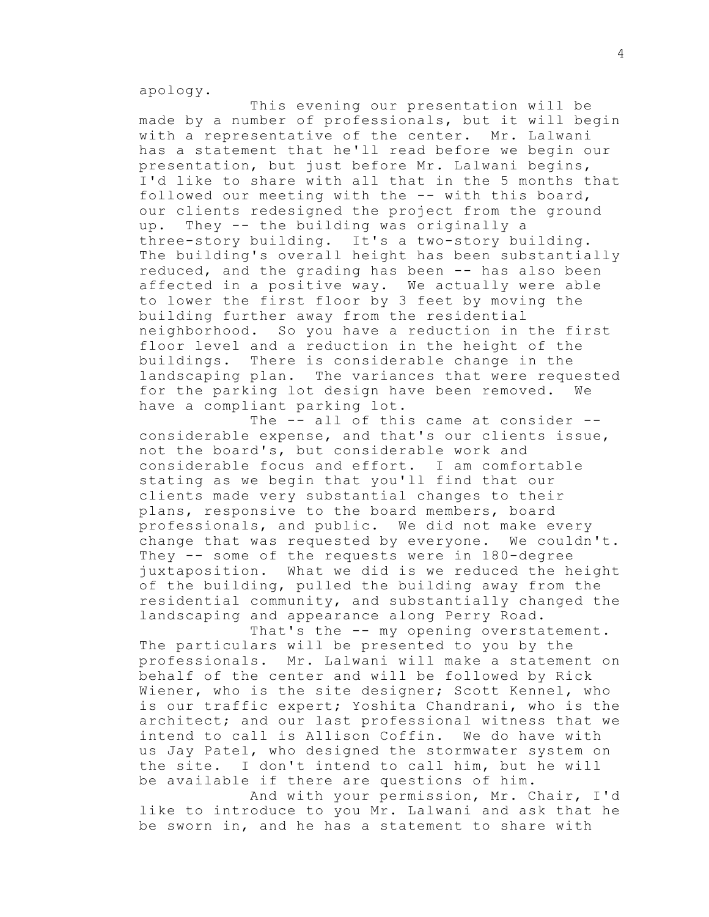apology.

This evening our presentation will be made by a number of professionals, but it will begin with a representative of the center. Mr. Lalwani has a statement that he'll read before we begin our presentation, but just before Mr. Lalwani begins, I'd like to share with all that in the 5 months that followed our meeting with the -- with this board, our clients redesigned the project from the ground up. They -- the building was originally a three-story building. It's a two-story building. The building's overall height has been substantially reduced, and the grading has been -- has also been affected in a positive way. We actually were able to lower the first floor by 3 feet by moving the building further away from the residential neighborhood. So you have a reduction in the first floor level and a reduction in the height of the buildings. There is considerable change in the landscaping plan. The variances that were requested for the parking lot design have been removed. We have a compliant parking lot.

The -- all of this came at consider -considerable expense, and that's our clients issue, not the board's, but considerable work and considerable focus and effort. I am comfortable stating as we begin that you'll find that our clients made very substantial changes to their plans, responsive to the board members, board professionals, and public. We did not make every change that was requested by everyone. We couldn't. They -- some of the requests were in 180-degree juxtaposition. What we did is we reduced the height of the building, pulled the building away from the residential community, and substantially changed the landscaping and appearance along Perry Road.

That's the -- my opening overstatement. The particulars will be presented to you by the professionals. Mr. Lalwani will make a statement on behalf of the center and will be followed by Rick Wiener, who is the site designer; Scott Kennel, who is our traffic expert; Yoshita Chandrani, who is the architect; and our last professional witness that we intend to call is Allison Coffin. We do have with us Jay Patel, who designed the stormwater system on the site. I don't intend to call him, but he will be available if there are questions of him.

And with your permission, Mr. Chair, I'd like to introduce to you Mr. Lalwani and ask that he be sworn in, and he has a statement to share with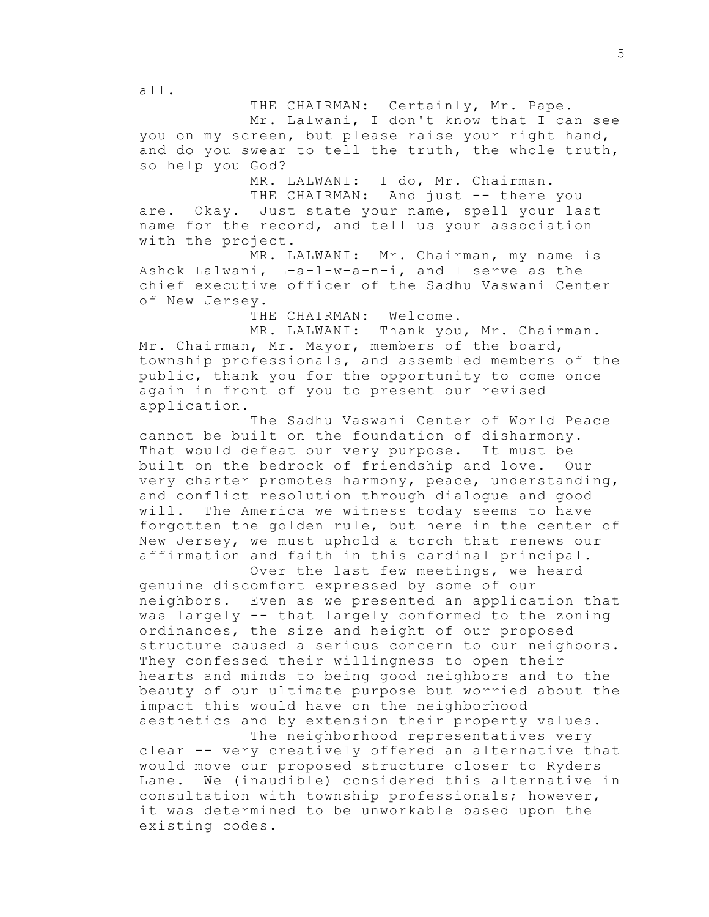THE CHAIRMAN: Certainly, Mr. Pape.

Mr. Lalwani, I don't know that I can see you on my screen, but please raise your right hand, and do you swear to tell the truth, the whole truth, so help you God?

MR. LALWANI: I do, Mr. Chairman.

THE CHAIRMAN: And just -- there you are. Okay. Just state your name, spell your last name for the record, and tell us your association with the project.

MR. LALWANI: Mr. Chairman, my name is Ashok Lalwani, L-a-l-w-a-n-i, and I serve as the chief executive officer of the Sadhu Vaswani Center of New Jersey.

THE CHAIRMAN: Welcome.

MR. LALWANI: Thank you, Mr. Chairman. Mr. Chairman, Mr. Mayor, members of the board, township professionals, and assembled members of the public, thank you for the opportunity to come once again in front of you to present our revised application.

The Sadhu Vaswani Center of World Peace cannot be built on the foundation of disharmony. That would defeat our very purpose. It must be built on the bedrock of friendship and love. Our very charter promotes harmony, peace, understanding, and conflict resolution through dialogue and good will. The America we witness today seems to have forgotten the golden rule, but here in the center of New Jersey, we must uphold a torch that renews our affirmation and faith in this cardinal principal.

Over the last few meetings, we heard genuine discomfort expressed by some of our neighbors. Even as we presented an application that was largely -- that largely conformed to the zoning ordinances, the size and height of our proposed structure caused a serious concern to our neighbors. They confessed their willingness to open their hearts and minds to being good neighbors and to the beauty of our ultimate purpose but worried about the impact this would have on the neighborhood aesthetics and by extension their property values.

The neighborhood representatives very clear -- very creatively offered an alternative that would move our proposed structure closer to Ryders Lane. We (inaudible) considered this alternative in consultation with township professionals; however, it was determined to be unworkable based upon the existing codes.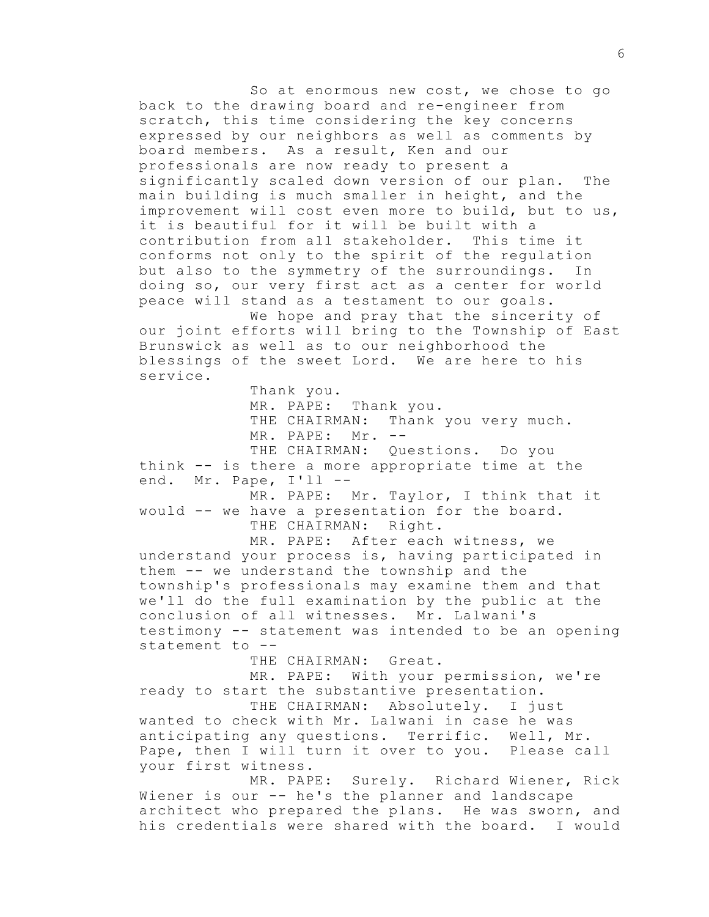So at enormous new cost, we chose to go back to the drawing board and re-engineer from scratch, this time considering the key concerns expressed by our neighbors as well as comments by board members. As a result, Ken and our professionals are now ready to present a significantly scaled down version of our plan. The main building is much smaller in height, and the improvement will cost even more to build, but to us, it is beautiful for it will be built with a contribution from all stakeholder. This time it conforms not only to the spirit of the regulation but also to the symmetry of the surroundings. In doing so, our very first act as a center for world peace will stand as a testament to our goals.

We hope and pray that the sincerity of our joint efforts will bring to the Township of East Brunswick as well as to our neighborhood the blessings of the sweet Lord. We are here to his service.

Thank you.

MR. PAPE: Thank you. THE CHAIRMAN: Thank you very much. MR. PAPE: Mr. --THE CHAIRMAN: Questions. Do you think -- is there a more appropriate time at the end. Mr. Pape, I'll --MR. PAPE: Mr. Taylor, I think that it would -- we have a presentation for the board. THE CHAIRMAN: Right. MR. PAPE: After each witness, we understand your process is, having participated in them -- we understand the township and the township's professionals may examine them and that we'll do the full examination by the public at the conclusion of all witnesses. Mr. Lalwani's testimony -- statement was intended to be an opening statement to --

THE CHAIRMAN: Great.

MR. PAPE: With your permission, we're ready to start the substantive presentation.

THE CHAIRMAN: Absolutely. I just wanted to check with Mr. Lalwani in case he was anticipating any questions. Terrific. Well, Mr. Pape, then I will turn it over to you. Please call your first witness.

MR. PAPE: Surely. Richard Wiener, Rick Wiener is our -- he's the planner and landscape architect who prepared the plans. He was sworn, and his credentials were shared with the board. I would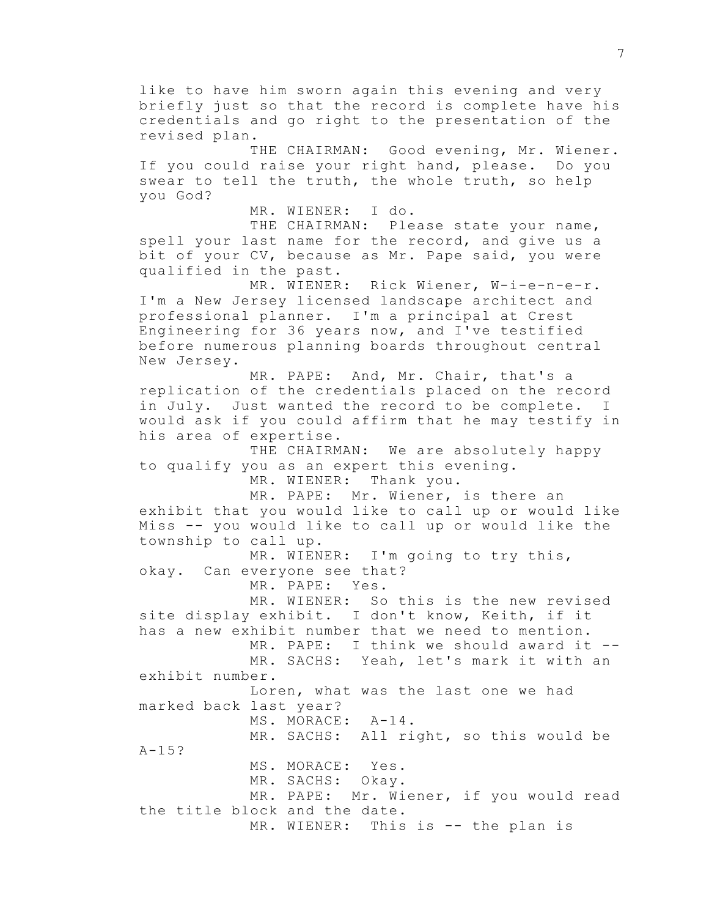like to have him sworn again this evening and very briefly just so that the record is complete have his credentials and go right to the presentation of the revised plan. THE CHAIRMAN: Good evening, Mr. Wiener. If you could raise your right hand, please. Do you swear to tell the truth, the whole truth, so help you God? MR. WIENER: I do. THE CHAIRMAN: Please state your name, spell your last name for the record, and give us a bit of your CV, because as Mr. Pape said, you were qualified in the past. MR. WIENER: Rick Wiener, W-i-e-n-e-r. I'm a New Jersey licensed landscape architect and professional planner. I'm a principal at Crest Engineering for 36 years now, and I've testified before numerous planning boards throughout central New Jersey. MR. PAPE: And, Mr. Chair, that's a replication of the credentials placed on the record in July. Just wanted the record to be complete. I would ask if you could affirm that he may testify in his area of expertise. THE CHAIRMAN: We are absolutely happy to qualify you as an expert this evening. MR. WIENER: Thank you. MR. PAPE: Mr. Wiener, is there an exhibit that you would like to call up or would like Miss -- you would like to call up or would like the township to call up. MR. WIENER: I'm going to try this, okay. Can everyone see that? MR. PAPE: Yes. MR. WIENER: So this is the new revised site display exhibit. I don't know, Keith, if it has a new exhibit number that we need to mention. MR. PAPE: I think we should award it --MR. SACHS: Yeah, let's mark it with an exhibit number. Loren, what was the last one we had marked back last year? MS. MORACE: A-14. MR. SACHS: All right, so this would be A-15? MS. MORACE: Yes. MR. SACHS: Okay. MR. PAPE: Mr. Wiener, if you would read the title block and the date. MR. WIENER: This is -- the plan is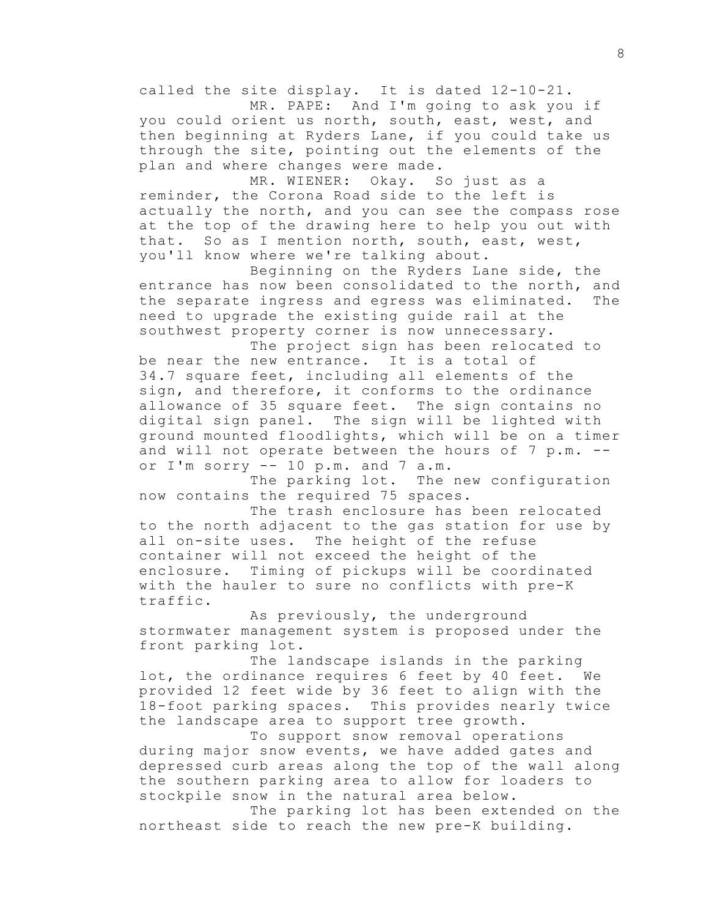called the site display. It is dated 12-10-21. MR. PAPE: And I'm going to ask you if

you could orient us north, south, east, west, and then beginning at Ryders Lane, if you could take us through the site, pointing out the elements of the plan and where changes were made.

MR. WIENER: Okay. So just as a reminder, the Corona Road side to the left is actually the north, and you can see the compass rose at the top of the drawing here to help you out with that. So as I mention north, south, east, west, you'll know where we're talking about.

Beginning on the Ryders Lane side, the entrance has now been consolidated to the north, and the separate ingress and egress was eliminated. The need to upgrade the existing guide rail at the southwest property corner is now unnecessary.

The project sign has been relocated to be near the new entrance. It is a total of 34.7 square feet, including all elements of the sign, and therefore, it conforms to the ordinance allowance of 35 square feet. The sign contains no digital sign panel. The sign will be lighted with ground mounted floodlights, which will be on a timer and will not operate between the hours of 7 p.m. - or I'm sorry -- 10 p.m. and 7 a.m.

The parking lot. The new configuration now contains the required 75 spaces.

The trash enclosure has been relocated to the north adjacent to the gas station for use by all on-site uses. The height of the refuse container will not exceed the height of the enclosure. Timing of pickups will be coordinated with the hauler to sure no conflicts with pre-K traffic.

As previously, the underground stormwater management system is proposed under the front parking lot.

The landscape islands in the parking lot, the ordinance requires 6 feet by 40 feet. We provided 12 feet wide by 36 feet to align with the 18-foot parking spaces. This provides nearly twice the landscape area to support tree growth.

To support snow removal operations during major snow events, we have added gates and depressed curb areas along the top of the wall along the southern parking area to allow for loaders to stockpile snow in the natural area below.

The parking lot has been extended on the northeast side to reach the new pre-K building.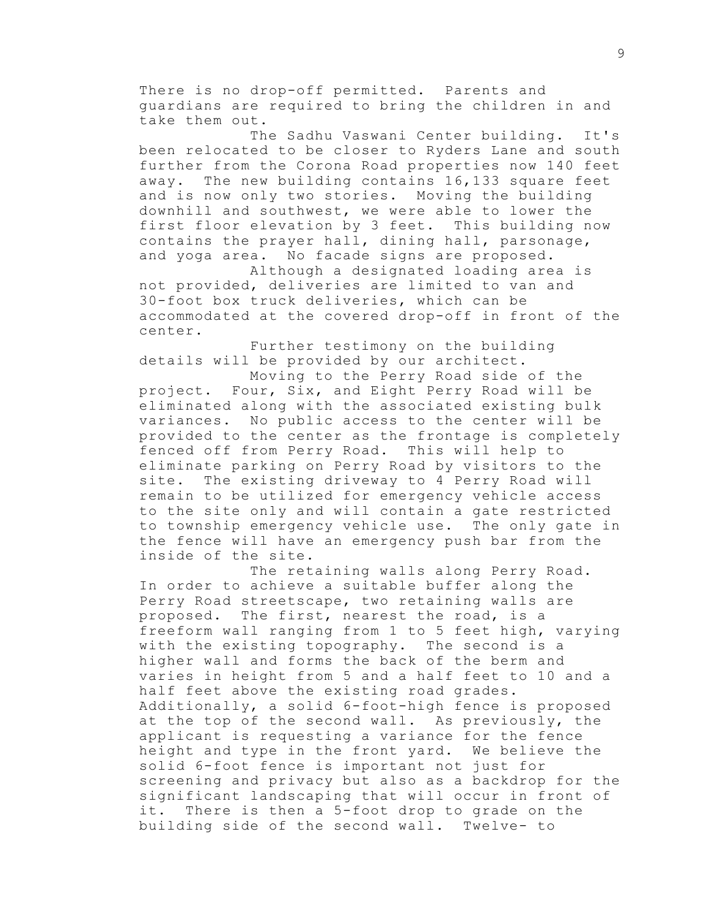There is no drop-off permitted. Parents and guardians are required to bring the children in and take them out.

The Sadhu Vaswani Center building. It's been relocated to be closer to Ryders Lane and south further from the Corona Road properties now 140 feet away. The new building contains 16,133 square feet and is now only two stories. Moving the building downhill and southwest, we were able to lower the first floor elevation by 3 feet. This building now contains the prayer hall, dining hall, parsonage, and yoga area. No facade signs are proposed.

Although a designated loading area is not provided, deliveries are limited to van and 30-foot box truck deliveries, which can be accommodated at the covered drop-off in front of the center.

Further testimony on the building details will be provided by our architect.

Moving to the Perry Road side of the project. Four, Six, and Eight Perry Road will be eliminated along with the associated existing bulk variances. No public access to the center will be provided to the center as the frontage is completely fenced off from Perry Road. This will help to eliminate parking on Perry Road by visitors to the site. The existing driveway to 4 Perry Road will remain to be utilized for emergency vehicle access to the site only and will contain a gate restricted to township emergency vehicle use. The only gate in the fence will have an emergency push bar from the inside of the site.

The retaining walls along Perry Road. In order to achieve a suitable buffer along the Perry Road streetscape, two retaining walls are proposed. The first, nearest the road, is a freeform wall ranging from 1 to 5 feet high, varying with the existing topography. The second is a higher wall and forms the back of the berm and varies in height from 5 and a half feet to 10 and a half feet above the existing road grades. Additionally, a solid 6-foot-high fence is proposed at the top of the second wall. As previously, the applicant is requesting a variance for the fence height and type in the front yard. We believe the solid 6-foot fence is important not just for screening and privacy but also as a backdrop for the significant landscaping that will occur in front of it. There is then a 5-foot drop to grade on the building side of the second wall. Twelve- to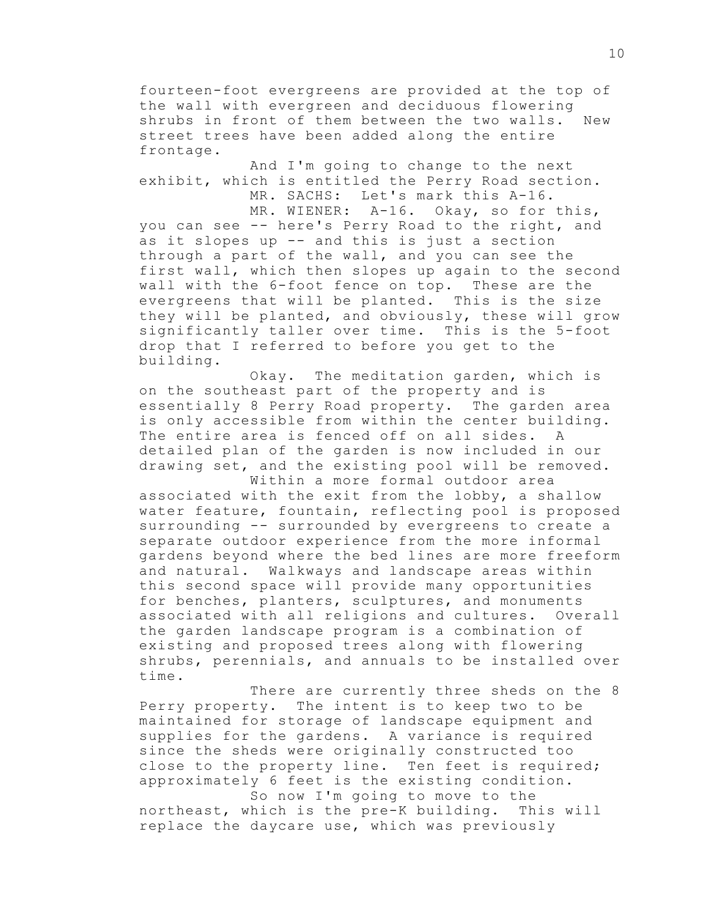fourteen-foot evergreens are provided at the top of the wall with evergreen and deciduous flowering shrubs in front of them between the two walls. New street trees have been added along the entire frontage.

And I'm going to change to the next exhibit, which is entitled the Perry Road section. MR. SACHS: Let's mark this A-16.

MR. WIENER: A-16. Okay, so for this, you can see -- here's Perry Road to the right, and as it slopes up -- and this is just a section through a part of the wall, and you can see the first wall, which then slopes up again to the second wall with the 6-foot fence on top. These are the evergreens that will be planted. This is the size they will be planted, and obviously, these will grow significantly taller over time. This is the 5-foot drop that I referred to before you get to the building.

Okay. The meditation garden, which is on the southeast part of the property and is essentially 8 Perry Road property. The garden area is only accessible from within the center building. The entire area is fenced off on all sides. A detailed plan of the garden is now included in our drawing set, and the existing pool will be removed.

Within a more formal outdoor area associated with the exit from the lobby, a shallow water feature, fountain, reflecting pool is proposed surrounding -- surrounded by evergreens to create a separate outdoor experience from the more informal gardens beyond where the bed lines are more freeform and natural. Walkways and landscape areas within this second space will provide many opportunities for benches, planters, sculptures, and monuments associated with all religions and cultures. Overall the garden landscape program is a combination of existing and proposed trees along with flowering shrubs, perennials, and annuals to be installed over time.

There are currently three sheds on the 8 Perry property. The intent is to keep two to be maintained for storage of landscape equipment and supplies for the gardens. A variance is required since the sheds were originally constructed too close to the property line. Ten feet is required; approximately 6 feet is the existing condition. So now I'm going to move to the

northeast, which is the pre-K building. This will replace the daycare use, which was previously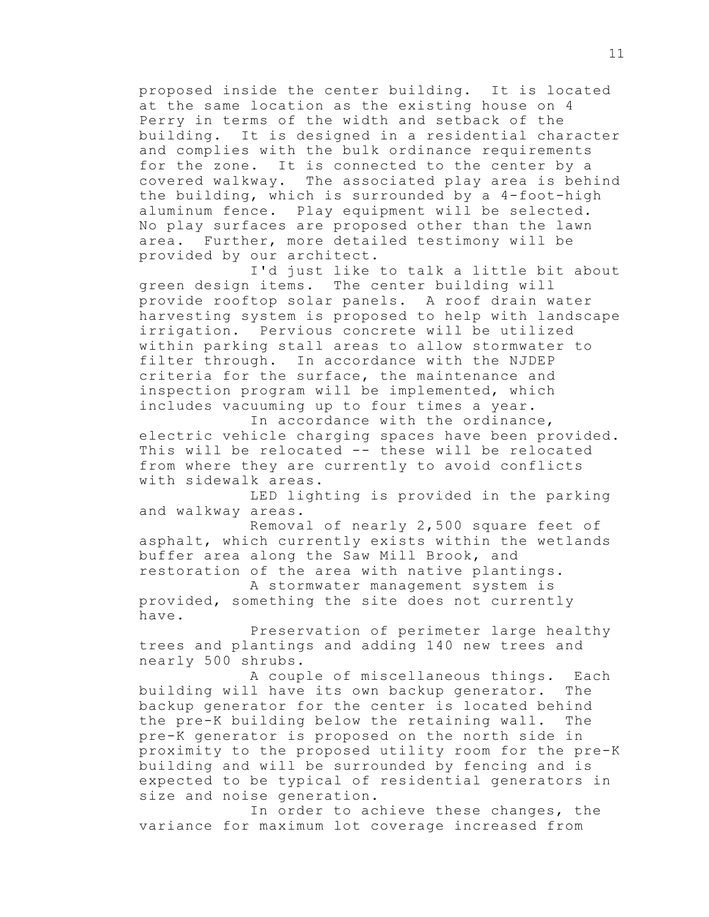proposed inside the center building. It is located at the same location as the existing house on 4 Perry in terms of the width and setback of the building. It is designed in a residential character and complies with the bulk ordinance requirements for the zone. It is connected to the center by a covered walkway. The associated play area is behind the building, which is surrounded by a 4-foot-high aluminum fence. Play equipment will be selected. No play surfaces are proposed other than the lawn area. Further, more detailed testimony will be provided by our architect.

I'd just like to talk a little bit about green design items. The center building will provide rooftop solar panels. A roof drain water harvesting system is proposed to help with landscape irrigation. Pervious concrete will be utilized within parking stall areas to allow stormwater to filter through. In accordance with the NJDEP criteria for the surface, the maintenance and inspection program will be implemented, which includes vacuuming up to four times a year.

In accordance with the ordinance, electric vehicle charging spaces have been provided. This will be relocated -- these will be relocated from where they are currently to avoid conflicts with sidewalk areas.

LED lighting is provided in the parking and walkway areas.

Removal of nearly 2,500 square feet of asphalt, which currently exists within the wetlands buffer area along the Saw Mill Brook, and restoration of the area with native plantings.

A stormwater management system is provided, something the site does not currently have.

Preservation of perimeter large healthy trees and plantings and adding 140 new trees and nearly 500 shrubs.

A couple of miscellaneous things. Each building will have its own backup generator. The backup generator for the center is located behind the pre-K building below the retaining wall. The pre-K generator is proposed on the north side in proximity to the proposed utility room for the pre-K building and will be surrounded by fencing and is expected to be typical of residential generators in size and noise generation.

In order to achieve these changes, the variance for maximum lot coverage increased from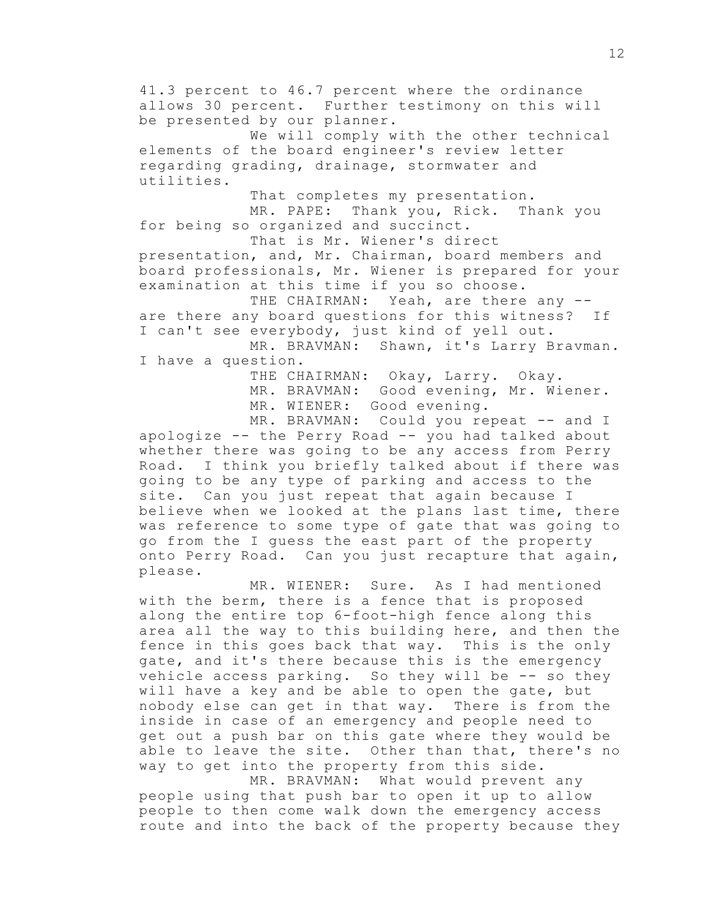41.3 percent to 46.7 percent where the ordinance allows 30 percent. Further testimony on this will be presented by our planner.

We will comply with the other technical elements of the board engineer's review letter regarding grading, drainage, stormwater and utilities.

That completes my presentation. MR. PAPE: Thank you, Rick. Thank you for being so organized and succinct.

That is Mr. Wiener's direct presentation, and, Mr. Chairman, board members and board professionals, Mr. Wiener is prepared for your examination at this time if you so choose.

THE CHAIRMAN: Yeah, are there any -are there any board questions for this witness? If I can't see everybody, just kind of yell out.

MR. BRAVMAN: Shawn, it's Larry Bravman. I have a question.

> THE CHAIRMAN: Okay, Larry. Okay. MR. BRAVMAN: Good evening, Mr. Wiener. MR. WIENER: Good evening.

MR. BRAVMAN: Could you repeat -- and I apologize -- the Perry Road -- you had talked about whether there was going to be any access from Perry Road. I think you briefly talked about if there was going to be any type of parking and access to the site. Can you just repeat that again because I believe when we looked at the plans last time, there was reference to some type of gate that was going to go from the I guess the east part of the property onto Perry Road. Can you just recapture that again, please.

MR. WIENER: Sure. As I had mentioned with the berm, there is a fence that is proposed along the entire top 6-foot-high fence along this area all the way to this building here, and then the fence in this goes back that way. This is the only gate, and it's there because this is the emergency vehicle access parking. So they will be -- so they will have a key and be able to open the gate, but nobody else can get in that way. There is from the inside in case of an emergency and people need to get out a push bar on this gate where they would be able to leave the site. Other than that, there's no way to get into the property from this side.

MR. BRAVMAN: What would prevent any people using that push bar to open it up to allow people to then come walk down the emergency access route and into the back of the property because they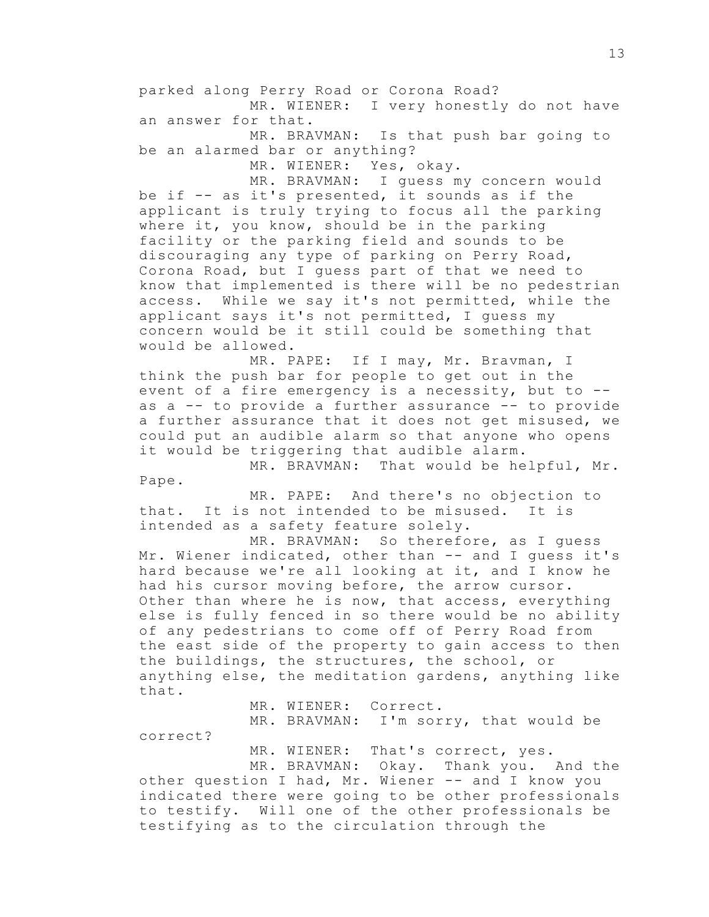parked along Perry Road or Corona Road? MR. WIENER: I very honestly do not have an answer for that.

MR. BRAVMAN: Is that push bar going to be an alarmed bar or anything?

MR. WIENER: Yes, okay.

MR. BRAVMAN: I guess my concern would be if -- as it's presented, it sounds as if the applicant is truly trying to focus all the parking where it, you know, should be in the parking facility or the parking field and sounds to be discouraging any type of parking on Perry Road, Corona Road, but I guess part of that we need to know that implemented is there will be no pedestrian access. While we say it's not permitted, while the applicant says it's not permitted, I guess my concern would be it still could be something that would be allowed.

MR. PAPE: If I may, Mr. Bravman, I think the push bar for people to get out in the event of a fire emergency is a necessity, but to - as a -- to provide a further assurance -- to provide a further assurance that it does not get misused, we could put an audible alarm so that anyone who opens it would be triggering that audible alarm.

MR. BRAVMAN: That would be helpful, Mr. Pape.

MR. PAPE: And there's no objection to that. It is not intended to be misused. It is intended as a safety feature solely.

MR. BRAVMAN: So therefore, as I guess Mr. Wiener indicated, other than -- and I guess it's hard because we're all looking at it, and I know he had his cursor moving before, the arrow cursor. Other than where he is now, that access, everything else is fully fenced in so there would be no ability of any pedestrians to come off of Perry Road from the east side of the property to gain access to then the buildings, the structures, the school, or anything else, the meditation gardens, anything like that.

MR. WIENER: Correct.

MR. BRAVMAN: I'm sorry, that would be correct?

MR. WIENER: That's correct, yes.

MR. BRAVMAN: Okay. Thank you. And the other question I had, Mr. Wiener -- and I know you indicated there were going to be other professionals to testify. Will one of the other professionals be testifying as to the circulation through the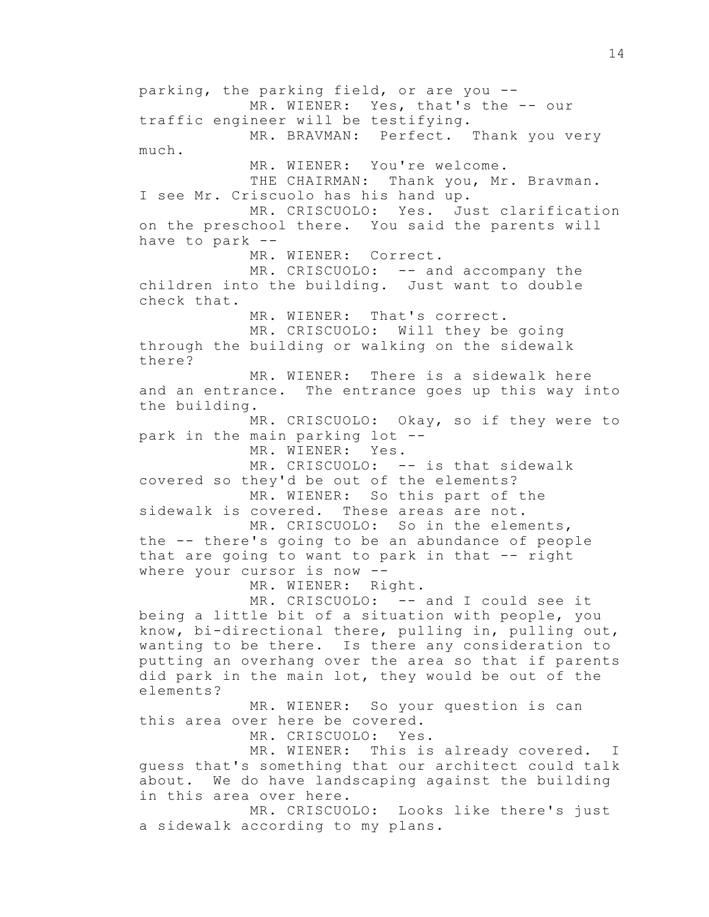parking, the parking field, or are you -- MR. WIENER: Yes, that's the -- our traffic engineer will be testifying. MR. BRAVMAN: Perfect. Thank you very much. MR. WIENER: You're welcome. THE CHAIRMAN: Thank you, Mr. Bravman. I see Mr. Criscuolo has his hand up. MR. CRISCUOLO: Yes. Just clarification on the preschool there. You said the parents will have to park -- MR. WIENER: Correct. MR. CRISCUOLO: -- and accompany the children into the building. Just want to double check that. MR. WIENER: That's correct. MR. CRISCUOLO: Will they be going through the building or walking on the sidewalk there? MR. WIENER: There is a sidewalk here and an entrance. The entrance goes up this way into the building. MR. CRISCUOLO: Okay, so if they were to park in the main parking lot -- MR. WIENER: Yes. MR. CRISCUOLO: -- is that sidewalk covered so they'd be out of the elements? MR. WIENER: So this part of the sidewalk is covered. These areas are not. MR. CRISCUOLO: So in the elements, the -- there's going to be an abundance of people that are going to want to park in that -- right where your cursor is now -- MR. WIENER: Right. MR. CRISCUOLO: -- and I could see it being a little bit of a situation with people, you know, bi-directional there, pulling in, pulling out, wanting to be there. Is there any consideration to putting an overhang over the area so that if parents did park in the main lot, they would be out of the elements? MR. WIENER: So your question is can this area over here be covered. MR. CRISCUOLO: Yes. MR. WIENER: This is already covered. I guess that's something that our architect could talk about. We do have landscaping against the building in this area over here. MR. CRISCUOLO: Looks like there's just a sidewalk according to my plans.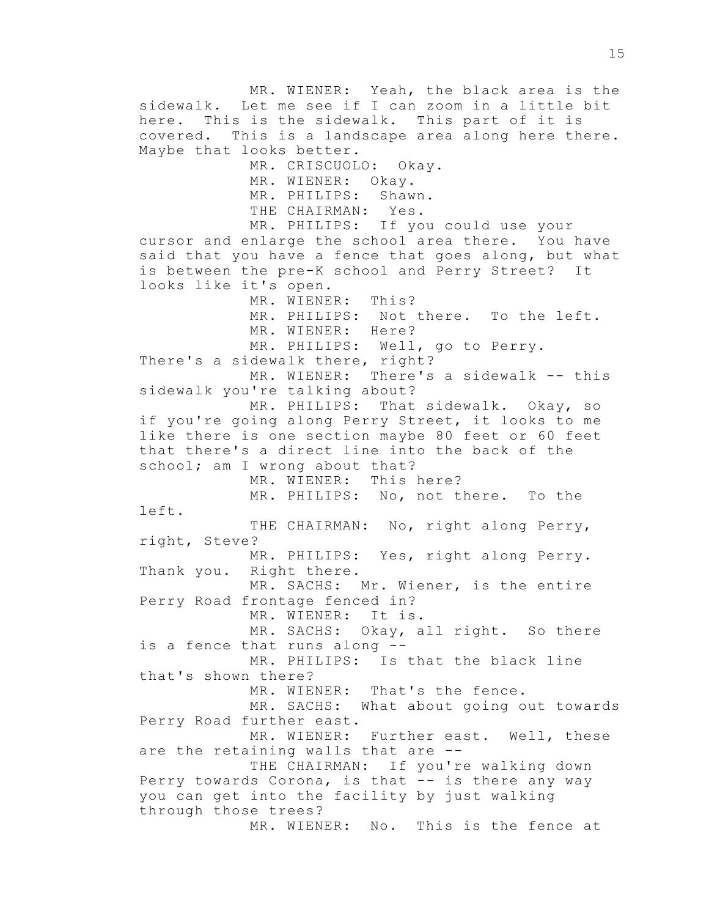MR. WIENER: Yeah, the black area is the sidewalk. Let me see if I can zoom in a little bit here. This is the sidewalk. This part of it is covered. This is a landscape area along here there. Maybe that looks better. MR. CRISCUOLO: Okay. MR. WIENER: Okay. MR. PHILIPS: Shawn. THE CHAIRMAN: Yes. MR. PHILIPS: If you could use your cursor and enlarge the school area there. You have said that you have a fence that goes along, but what is between the pre-K school and Perry Street? It looks like it's open. MR. WIENER: This? MR. PHILIPS: Not there. To the left. MR. WIENER: Here? MR. PHILIPS: Well, go to Perry. There's a sidewalk there, right? MR. WIENER: There's a sidewalk -- this sidewalk you're talking about? MR. PHILIPS: That sidewalk. Okay, so if you're going along Perry Street, it looks to me like there is one section maybe 80 feet or 60 feet that there's a direct line into the back of the school; am I wrong about that? MR. WIENER: This here? MR. PHILIPS: No, not there. To the left. THE CHAIRMAN: No, right along Perry, right, Steve? MR. PHILIPS: Yes, right along Perry. Thank you. Right there. MR. SACHS: Mr. Wiener, is the entire Perry Road frontage fenced in? MR. WIENER: It is. MR. SACHS: Okay, all right. So there is a fence that runs along -- MR. PHILIPS: Is that the black line that's shown there? MR. WIENER: That's the fence. MR. SACHS: What about going out towards Perry Road further east. MR. WIENER: Further east. Well, these are the retaining walls that are -- THE CHAIRMAN: If you're walking down Perry towards Corona, is that -- is there any way you can get into the facility by just walking through those trees? MR. WIENER: No. This is the fence at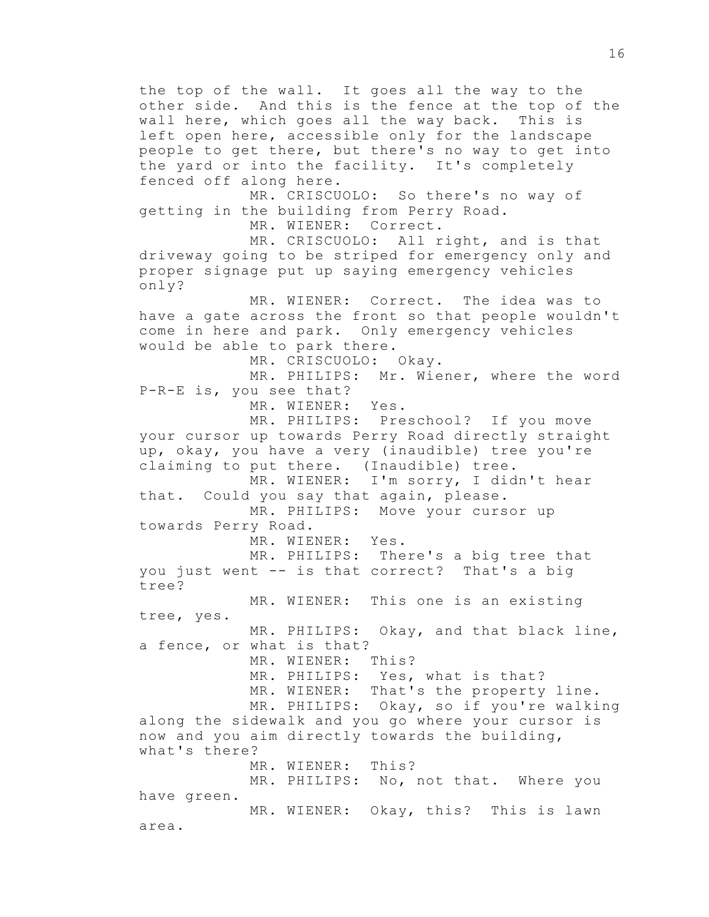the top of the wall. It goes all the way to the other side. And this is the fence at the top of the wall here, which goes all the way back. This is left open here, accessible only for the landscape people to get there, but there's no way to get into the yard or into the facility. It's completely fenced off along here. MR. CRISCUOLO: So there's no way of getting in the building from Perry Road. MR. WIENER: Correct. MR. CRISCUOLO: All right, and is that driveway going to be striped for emergency only and proper signage put up saying emergency vehicles only? MR. WIENER: Correct. The idea was to

have a gate across the front so that people wouldn't come in here and park. Only emergency vehicles would be able to park there.

MR. CRISCUOLO: Okay.

MR. PHILIPS: Mr. Wiener, where the word P-R-E is, you see that?

MR. WIENER: Yes.

MR. PHILIPS: Preschool? If you move your cursor up towards Perry Road directly straight up, okay, you have a very (inaudible) tree you're claiming to put there. (Inaudible) tree. MR. WIENER: I'm sorry, I didn't hear

that. Could you say that again, please. MR. PHILIPS: Move your cursor up

towards Perry Road.

MR. WIENER: Yes.

MR. PHILIPS: There's a big tree that you just went -- is that correct? That's a big tree?

MR. WIENER: This one is an existing tree, yes. MR. PHILIPS: Okay, and that black line, a fence, or what is that? MR. WIENER: This? MR. PHILIPS: Yes, what is that?

MR. WIENER: That's the property line. MR. PHILIPS: Okay, so if you're walking along the sidewalk and you go where your cursor is now and you aim directly towards the building, what's there? MR. WIENER: This? MR. PHILIPS: No, not that. Where you have green.

MR. WIENER: Okay, this? This is lawn area.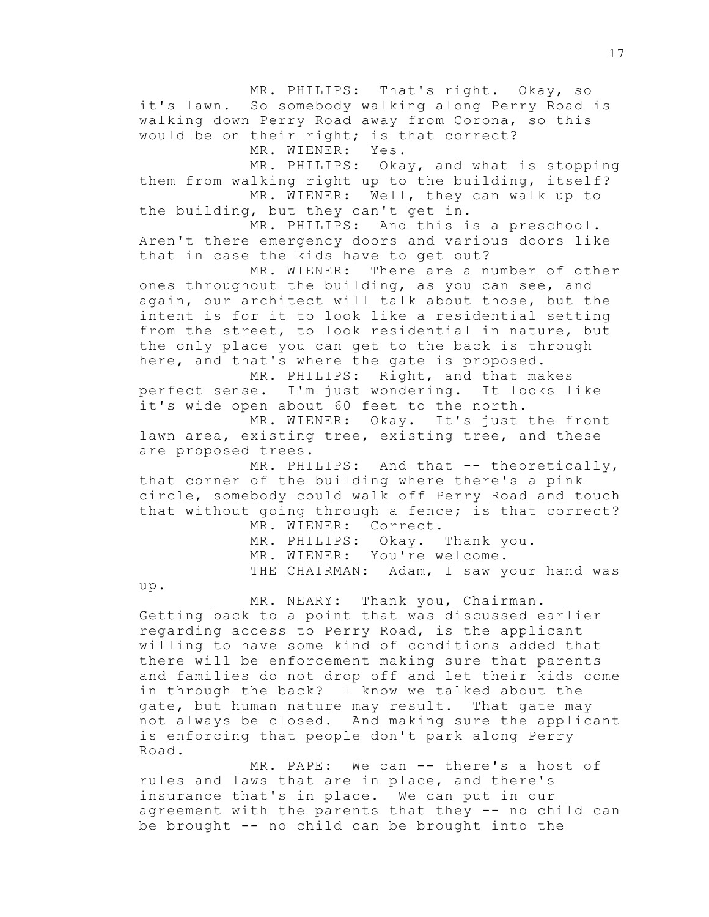MR. PHILIPS: That's right. Okay, so it's lawn. So somebody walking along Perry Road is walking down Perry Road away from Corona, so this would be on their right; is that correct? MR. WIENER: Yes.

MR. PHILIPS: Okay, and what is stopping them from walking right up to the building, itself? MR. WIENER: Well, they can walk up to

the building, but they can't get in. MR. PHILIPS: And this is a preschool.

Aren't there emergency doors and various doors like that in case the kids have to get out?

MR. WIENER: There are a number of other ones throughout the building, as you can see, and again, our architect will talk about those, but the intent is for it to look like a residential setting from the street, to look residential in nature, but the only place you can get to the back is through here, and that's where the gate is proposed.

MR. PHILIPS: Right, and that makes perfect sense. I'm just wondering. It looks like it's wide open about 60 feet to the north.

MR. WIENER: Okay. It's just the front lawn area, existing tree, existing tree, and these are proposed trees.

MR. PHILIPS: And that -- theoretically, that corner of the building where there's a pink circle, somebody could walk off Perry Road and touch that without going through a fence; is that correct?

MR. WIENER: Correct. MR. PHILIPS: Okay. Thank you. MR. WIENER: You're welcome. THE CHAIRMAN: Adam, I saw your hand was

up.

MR. NEARY: Thank you, Chairman. Getting back to a point that was discussed earlier regarding access to Perry Road, is the applicant willing to have some kind of conditions added that there will be enforcement making sure that parents and families do not drop off and let their kids come in through the back? I know we talked about the gate, but human nature may result. That gate may not always be closed. And making sure the applicant is enforcing that people don't park along Perry Road.

MR. PAPE: We can -- there's a host of rules and laws that are in place, and there's insurance that's in place. We can put in our agreement with the parents that they -- no child can be brought -- no child can be brought into the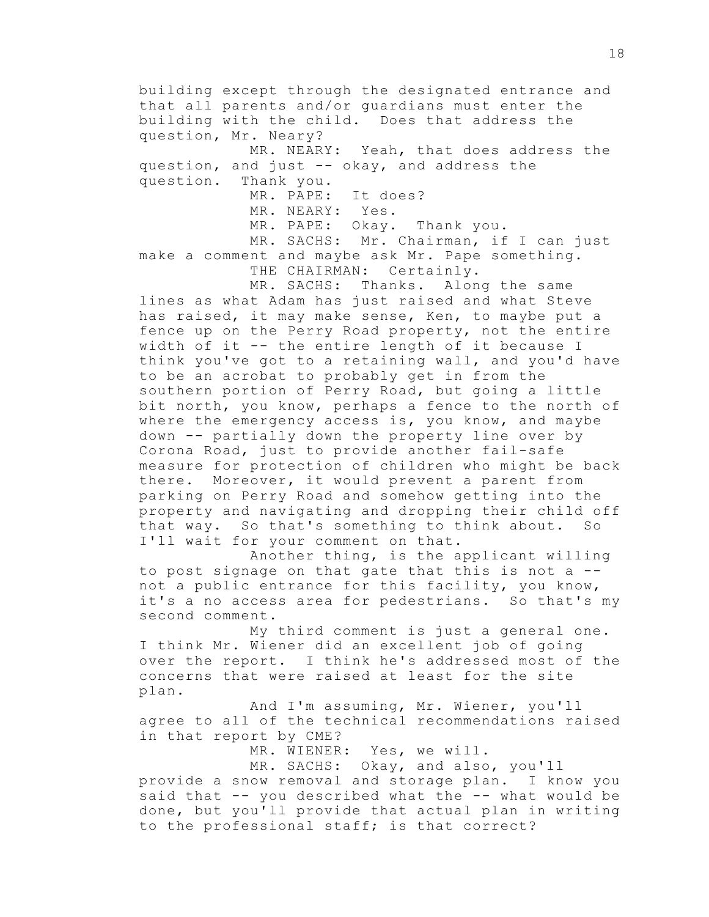building except through the designated entrance and that all parents and/or guardians must enter the building with the child. Does that address the question, Mr. Neary? MR. NEARY: Yeah, that does address the question, and just -- okay, and address the

question. Thank you.

MR. PAPE: It does?

MR. NEARY: Yes.

MR. PAPE: Okay. Thank you.

MR. SACHS: Mr. Chairman, if I can just make a comment and maybe ask Mr. Pape something. THE CHAIRMAN: Certainly.

MR. SACHS: Thanks. Along the same lines as what Adam has just raised and what Steve has raised, it may make sense, Ken, to maybe put a fence up on the Perry Road property, not the entire width of it -- the entire length of it because I think you've got to a retaining wall, and you'd have to be an acrobat to probably get in from the southern portion of Perry Road, but going a little bit north, you know, perhaps a fence to the north of where the emergency access is, you know, and maybe down -- partially down the property line over by Corona Road, just to provide another fail-safe measure for protection of children who might be back there. Moreover, it would prevent a parent from parking on Perry Road and somehow getting into the property and navigating and dropping their child off that way. So that's something to think about. So I'll wait for your comment on that.

Another thing, is the applicant willing to post signage on that gate that this is not a - not a public entrance for this facility, you know, it's a no access area for pedestrians. So that's my second comment.

My third comment is just a general one. I think Mr. Wiener did an excellent job of going over the report. I think he's addressed most of the concerns that were raised at least for the site plan.

And I'm assuming, Mr. Wiener, you'll agree to all of the technical recommendations raised in that report by CME?

MR. WIENER: Yes, we will.

MR. SACHS: Okay, and also, you'll

provide a snow removal and storage plan. I know you said that -- you described what the -- what would be done, but you'll provide that actual plan in writing to the professional staff; is that correct?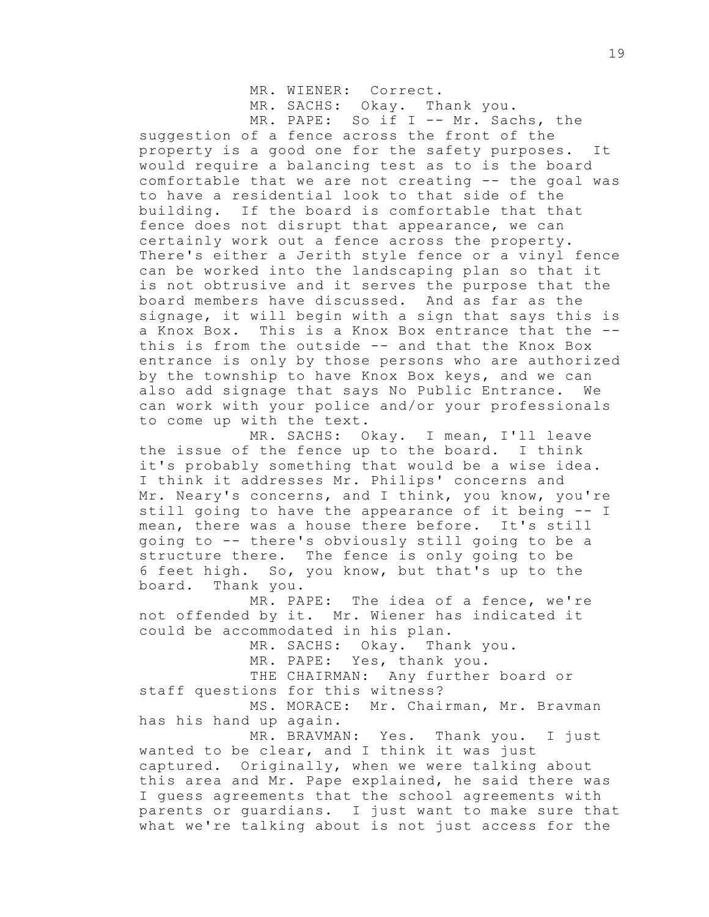MR. WIENER: Correct.

MR. SACHS: Okay. Thank you.

MR. PAPE: So if I -- Mr. Sachs, the suggestion of a fence across the front of the property is a good one for the safety purposes. It would require a balancing test as to is the board comfortable that we are not creating -- the goal was to have a residential look to that side of the building. If the board is comfortable that that fence does not disrupt that appearance, we can certainly work out a fence across the property. There's either a Jerith style fence or a vinyl fence can be worked into the landscaping plan so that it is not obtrusive and it serves the purpose that the board members have discussed. And as far as the signage, it will begin with a sign that says this is a Knox Box. This is a Knox Box entrance that the - this is from the outside -- and that the Knox Box entrance is only by those persons who are authorized by the township to have Knox Box keys, and we can also add signage that says No Public Entrance. We can work with your police and/or your professionals to come up with the text.

MR. SACHS: Okay. I mean, I'll leave the issue of the fence up to the board. I think it's probably something that would be a wise idea. I think it addresses Mr. Philips' concerns and Mr. Neary's concerns, and I think, you know, you're still going to have the appearance of it being -- I mean, there was a house there before. It's still going to -- there's obviously still going to be a structure there. The fence is only going to be 6 feet high. So, you know, but that's up to the board. Thank you.

MR. PAPE: The idea of a fence, we're not offended by it. Mr. Wiener has indicated it could be accommodated in his plan.

MR. SACHS: Okay. Thank you.

MR. PAPE: Yes, thank you.

THE CHAIRMAN: Any further board or staff questions for this witness?

MS. MORACE: Mr. Chairman, Mr. Bravman has his hand up again.

MR. BRAVMAN: Yes. Thank you. I just wanted to be clear, and I think it was just captured. Originally, when we were talking about this area and Mr. Pape explained, he said there was I guess agreements that the school agreements with parents or guardians. I just want to make sure that what we're talking about is not just access for the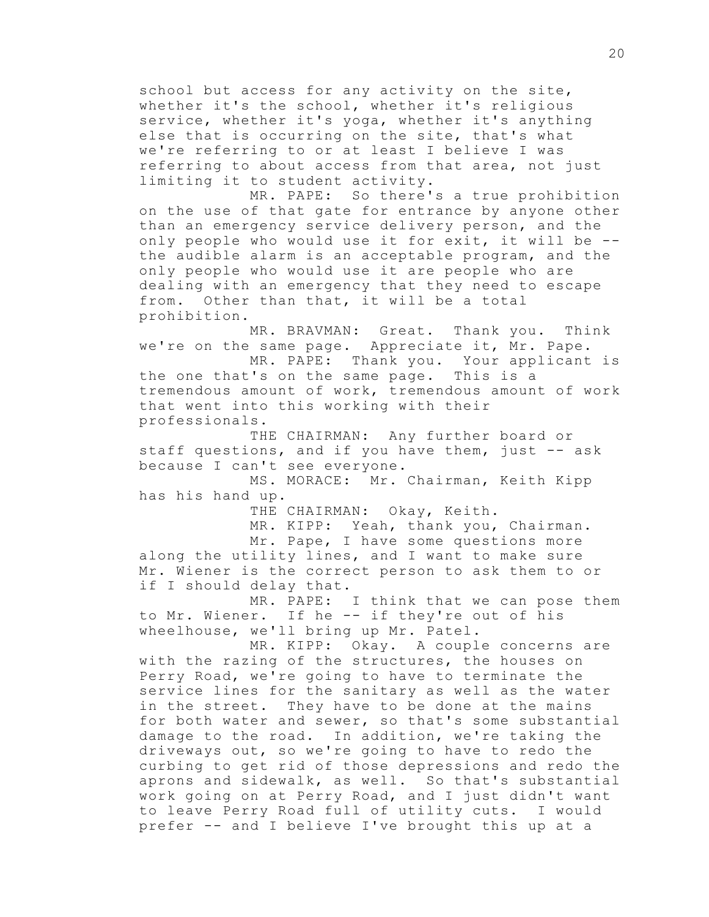school but access for any activity on the site, whether it's the school, whether it's religious service, whether it's yoga, whether it's anything else that is occurring on the site, that's what we're referring to or at least I believe I was referring to about access from that area, not just limiting it to student activity.

MR. PAPE: So there's a true prohibition on the use of that gate for entrance by anyone other than an emergency service delivery person, and the only people who would use it for exit, it will be - the audible alarm is an acceptable program, and the only people who would use it are people who are dealing with an emergency that they need to escape from. Other than that, it will be a total prohibition.

MR. BRAVMAN: Great. Thank you. Think we're on the same page. Appreciate it, Mr. Pape.

MR. PAPE: Thank you. Your applicant is the one that's on the same page. This is a tremendous amount of work, tremendous amount of work that went into this working with their professionals.

THE CHAIRMAN: Any further board or staff questions, and if you have them, just -- ask because I can't see everyone.

MS. MORACE: Mr. Chairman, Keith Kipp has his hand up.

THE CHAIRMAN: Okay, Keith.

MR. KIPP: Yeah, thank you, Chairman.

Mr. Pape, I have some questions more along the utility lines, and I want to make sure Mr. Wiener is the correct person to ask them to or if I should delay that.

MR. PAPE: I think that we can pose them to Mr. Wiener. If he -- if they're out of his wheelhouse, we'll bring up Mr. Patel.

MR. KIPP: Okay. A couple concerns are with the razing of the structures, the houses on Perry Road, we're going to have to terminate the service lines for the sanitary as well as the water in the street. They have to be done at the mains for both water and sewer, so that's some substantial damage to the road. In addition, we're taking the driveways out, so we're going to have to redo the curbing to get rid of those depressions and redo the aprons and sidewalk, as well. So that's substantial work going on at Perry Road, and I just didn't want to leave Perry Road full of utility cuts. I would prefer -- and I believe I've brought this up at a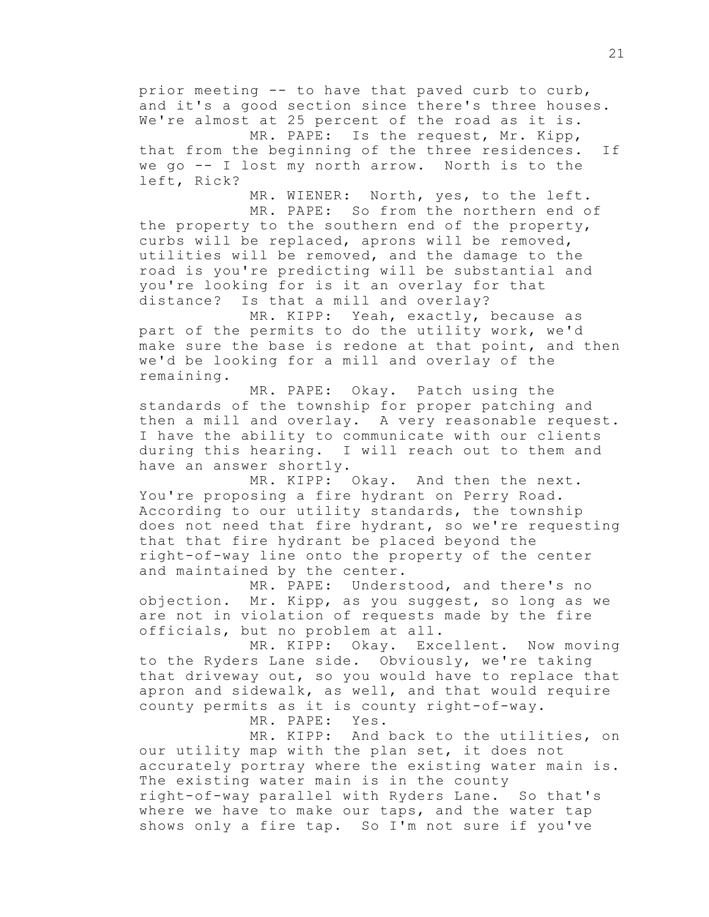prior meeting -- to have that paved curb to curb, and it's a good section since there's three houses. We're almost at 25 percent of the road as it is.

MR. PAPE: Is the request, Mr. Kipp, that from the beginning of the three residences. If we go -- I lost my north arrow. North is to the left, Rick?

MR. WIENER: North, yes, to the left.

MR. PAPE: So from the northern end of the property to the southern end of the property, curbs will be replaced, aprons will be removed, utilities will be removed, and the damage to the road is you're predicting will be substantial and you're looking for is it an overlay for that distance? Is that a mill and overlay?

MR. KIPP: Yeah, exactly, because as part of the permits to do the utility work, we'd make sure the base is redone at that point, and then we'd be looking for a mill and overlay of the remaining.

MR. PAPE: Okay. Patch using the standards of the township for proper patching and then a mill and overlay. A very reasonable request. I have the ability to communicate with our clients during this hearing. I will reach out to them and have an answer shortly.

MR. KIPP: Okay. And then the next. You're proposing a fire hydrant on Perry Road. According to our utility standards, the township does not need that fire hydrant, so we're requesting that that fire hydrant be placed beyond the right-of-way line onto the property of the center and maintained by the center.

MR. PAPE: Understood, and there's no objection. Mr. Kipp, as you suggest, so long as we are not in violation of requests made by the fire officials, but no problem at all.

MR. KIPP: Okay. Excellent. Now moving to the Ryders Lane side. Obviously, we're taking that driveway out, so you would have to replace that apron and sidewalk, as well, and that would require county permits as it is county right-of-way.

MR. PAPE: Yes.

MR. KIPP: And back to the utilities, on our utility map with the plan set, it does not accurately portray where the existing water main is. The existing water main is in the county right-of-way parallel with Ryders Lane. So that's where we have to make our taps, and the water tap shows only a fire tap. So I'm not sure if you've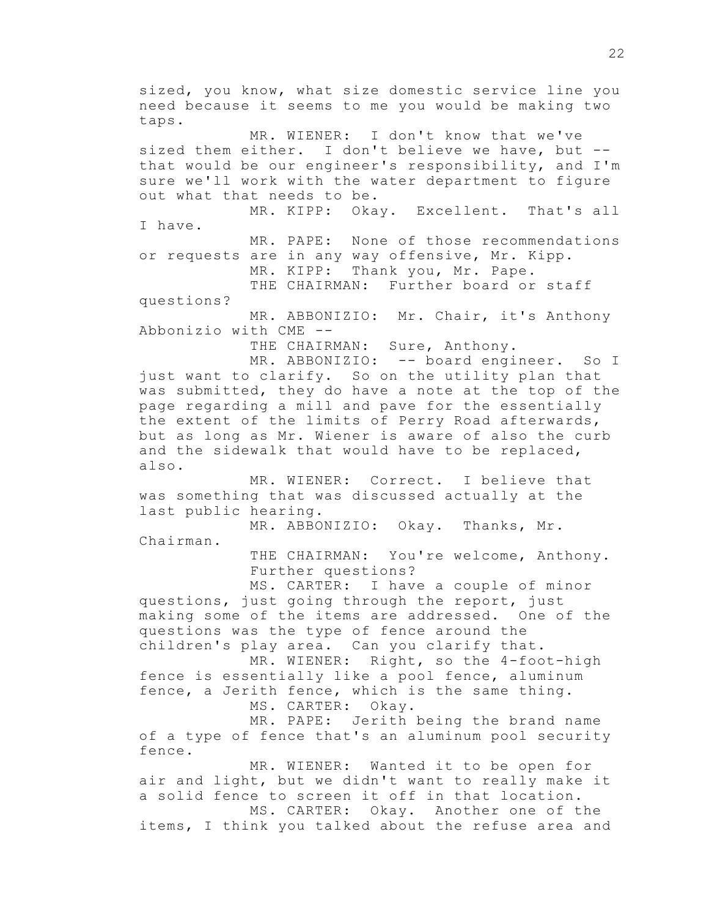sized, you know, what size domestic service line you need because it seems to me you would be making two taps. MR. WIENER: I don't know that we've sized them either. I don't believe we have, but - that would be our engineer's responsibility, and I'm sure we'll work with the water department to figure out what that needs to be. MR. KIPP: Okay. Excellent. That's all I have. MR. PAPE: None of those recommendations or requests are in any way offensive, Mr. Kipp. MR. KIPP: Thank you, Mr. Pape. THE CHAIRMAN: Further board or staff questions? MR. ABBONIZIO: Mr. Chair, it's Anthony Abbonizio with CME -- THE CHAIRMAN: Sure, Anthony. MR. ABBONIZIO: -- board engineer. So I just want to clarify. So on the utility plan that was submitted, they do have a note at the top of the page regarding a mill and pave for the essentially the extent of the limits of Perry Road afterwards, but as long as Mr. Wiener is aware of also the curb and the sidewalk that would have to be replaced, also. MR. WIENER: Correct. I believe that was something that was discussed actually at the last public hearing. MR. ABBONIZIO: Okay. Thanks, Mr. Chairman. THE CHAIRMAN: You're welcome, Anthony. Further questions? MS. CARTER: I have a couple of minor questions, just going through the report, just making some of the items are addressed. One of the questions was the type of fence around the children's play area. Can you clarify that. MR. WIENER: Right, so the 4-foot-high fence is essentially like a pool fence, aluminum fence, a Jerith fence, which is the same thing. MS. CARTER: Okay. MR. PAPE: Jerith being the brand name of a type of fence that's an aluminum pool security fence. MR. WIENER: Wanted it to be open for air and light, but we didn't want to really make it a solid fence to screen it off in that location. MS. CARTER: Okay. Another one of the items, I think you talked about the refuse area and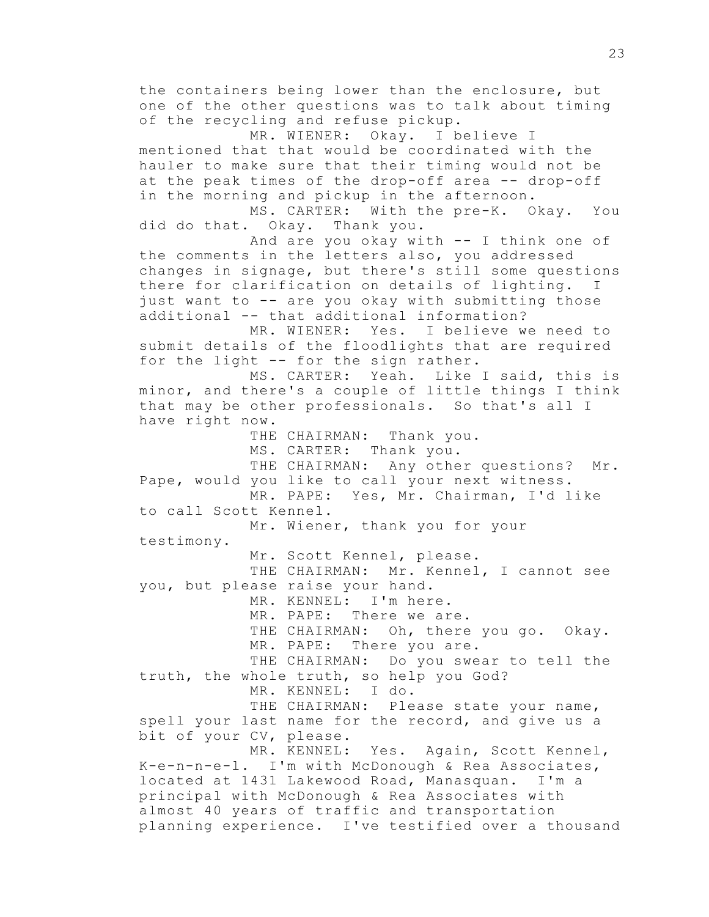the containers being lower than the enclosure, but one of the other questions was to talk about timing of the recycling and refuse pickup. MR. WIENER: Okay. I believe I mentioned that that would be coordinated with the hauler to make sure that their timing would not be at the peak times of the drop-off area -- drop-off in the morning and pickup in the afternoon. MS. CARTER: With the pre-K. Okay. You did do that. Okay. Thank you. And are you okay with -- I think one of the comments in the letters also, you addressed changes in signage, but there's still some questions there for clarification on details of lighting. I just want to -- are you okay with submitting those additional -- that additional information? MR. WIENER: Yes. I believe we need to submit details of the floodlights that are required for the light -- for the sign rather. MS. CARTER: Yeah. Like I said, this is minor, and there's a couple of little things I think that may be other professionals. So that's all I have right now. THE CHAIRMAN: Thank you. MS. CARTER: Thank you. THE CHAIRMAN: Any other questions? Mr. Pape, would you like to call your next witness. MR. PAPE: Yes, Mr. Chairman, I'd like to call Scott Kennel. Mr. Wiener, thank you for your testimony. Mr. Scott Kennel, please. THE CHAIRMAN: Mr. Kennel, I cannot see you, but please raise your hand. MR. KENNEL: I'm here. MR. PAPE: There we are. THE CHAIRMAN: Oh, there you go. Okay. MR. PAPE: There you are. THE CHAIRMAN: Do you swear to tell the truth, the whole truth, so help you God? MR. KENNEL: I do. THE CHAIRMAN: Please state your name, spell your last name for the record, and give us a bit of your CV, please. MR. KENNEL: Yes. Again, Scott Kennel, K-e-n-n-e-l. I'm with McDonough & Rea Associates, located at 1431 Lakewood Road, Manasquan. I'm a principal with McDonough & Rea Associates with almost 40 years of traffic and transportation planning experience. I've testified over a thousand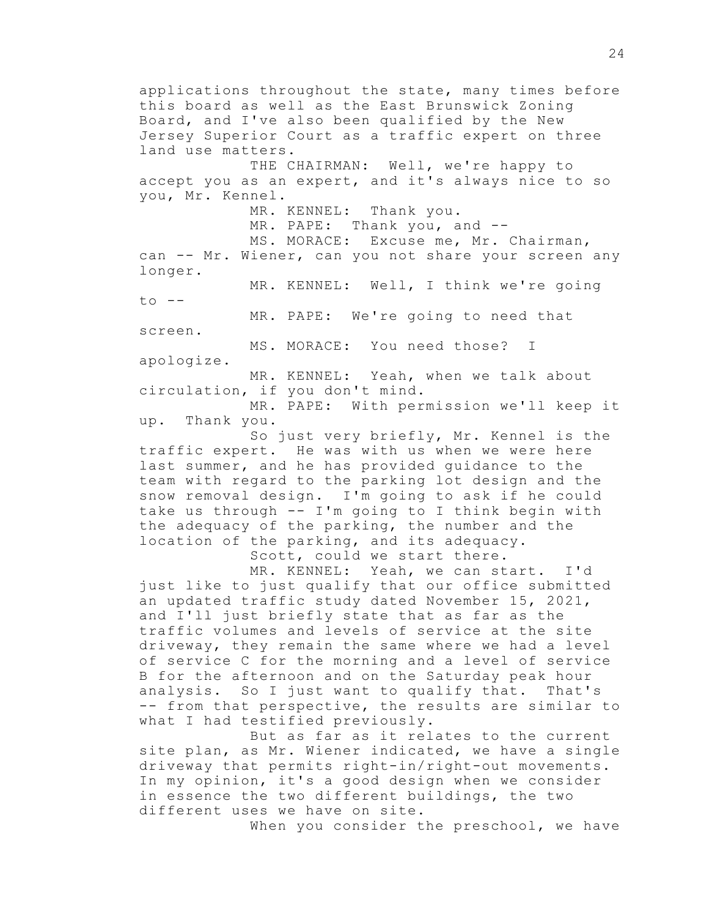applications throughout the state, many times before this board as well as the East Brunswick Zoning Board, and I've also been qualified by the New Jersey Superior Court as a traffic expert on three land use matters. THE CHAIRMAN: Well, we're happy to accept you as an expert, and it's always nice to so you, Mr. Kennel. MR. KENNEL: Thank you. MR. PAPE: Thank you, and --MS. MORACE: Excuse me, Mr. Chairman, can -- Mr. Wiener, can you not share your screen any longer. MR. KENNEL: Well, I think we're going  $to$   $--$ MR. PAPE: We're going to need that screen. MS. MORACE: You need those? I apologize. MR. KENNEL: Yeah, when we talk about circulation, if you don't mind. MR. PAPE: With permission we'll keep it up. Thank you. So just very briefly, Mr. Kennel is the traffic expert. He was with us when we were here last summer, and he has provided guidance to the team with regard to the parking lot design and the snow removal design. I'm going to ask if he could take us through -- I'm going to I think begin with the adequacy of the parking, the number and the location of the parking, and its adequacy. Scott, could we start there. MR. KENNEL: Yeah, we can start. I'd just like to just qualify that our office submitted an updated traffic study dated November 15, 2021, and I'll just briefly state that as far as the traffic volumes and levels of service at the site driveway, they remain the same where we had a level of service C for the morning and a level of service B for the afternoon and on the Saturday peak hour analysis. So I just want to qualify that. That's -- from that perspective, the results are similar to what I had testified previously. But as far as it relates to the current site plan, as Mr. Wiener indicated, we have a single

driveway that permits right-in/right-out movements. In my opinion, it's a good design when we consider in essence the two different buildings, the two different uses we have on site.

When you consider the preschool, we have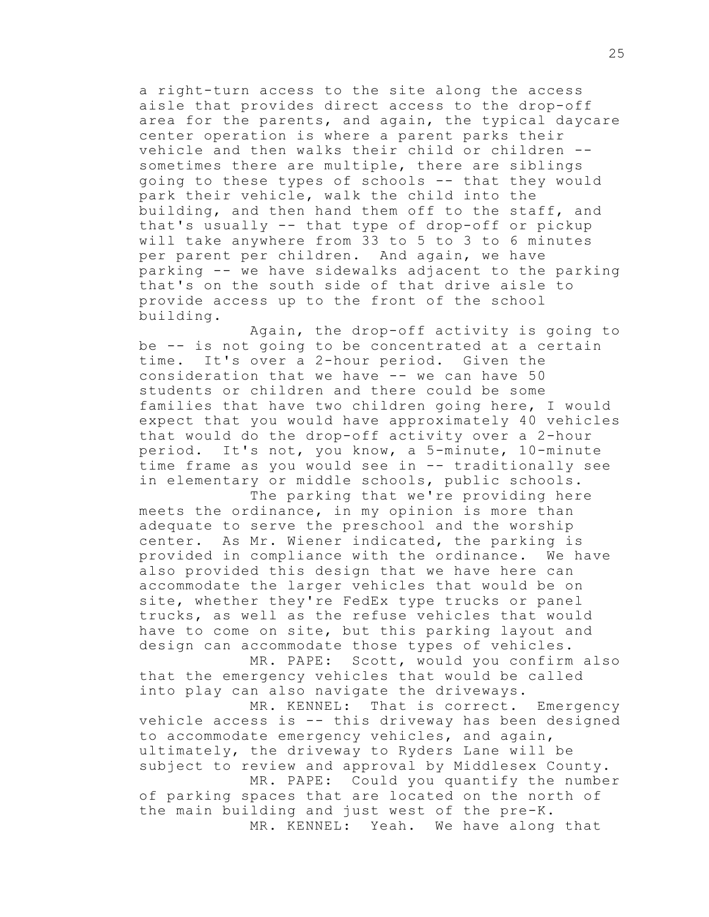a right-turn access to the site along the access aisle that provides direct access to the drop-off area for the parents, and again, the typical daycare center operation is where a parent parks their vehicle and then walks their child or children - sometimes there are multiple, there are siblings going to these types of schools -- that they would park their vehicle, walk the child into the building, and then hand them off to the staff, and that's usually -- that type of drop-off or pickup will take anywhere from 33 to 5 to 3 to 6 minutes per parent per children. And again, we have parking -- we have sidewalks adjacent to the parking that's on the south side of that drive aisle to provide access up to the front of the school building.

Again, the drop-off activity is going to be -- is not going to be concentrated at a certain time. It's over a 2-hour period. Given the consideration that we have -- we can have 50 students or children and there could be some families that have two children going here, I would expect that you would have approximately 40 vehicles that would do the drop-off activity over a 2-hour period. It's not, you know, a 5-minute, 10-minute time frame as you would see in -- traditionally see in elementary or middle schools, public schools.

The parking that we're providing here meets the ordinance, in my opinion is more than adequate to serve the preschool and the worship center. As Mr. Wiener indicated, the parking is provided in compliance with the ordinance. We have also provided this design that we have here can accommodate the larger vehicles that would be on site, whether they're FedEx type trucks or panel trucks, as well as the refuse vehicles that would have to come on site, but this parking layout and design can accommodate those types of vehicles.

MR. PAPE: Scott, would you confirm also that the emergency vehicles that would be called into play can also navigate the driveways.

MR. KENNEL: That is correct. Emergency vehicle access is -- this driveway has been designed to accommodate emergency vehicles, and again, ultimately, the driveway to Ryders Lane will be subject to review and approval by Middlesex County. MR. PAPE: Could you quantify the number of parking spaces that are located on the north of the main building and just west of the pre-K.

MR. KENNEL: Yeah. We have along that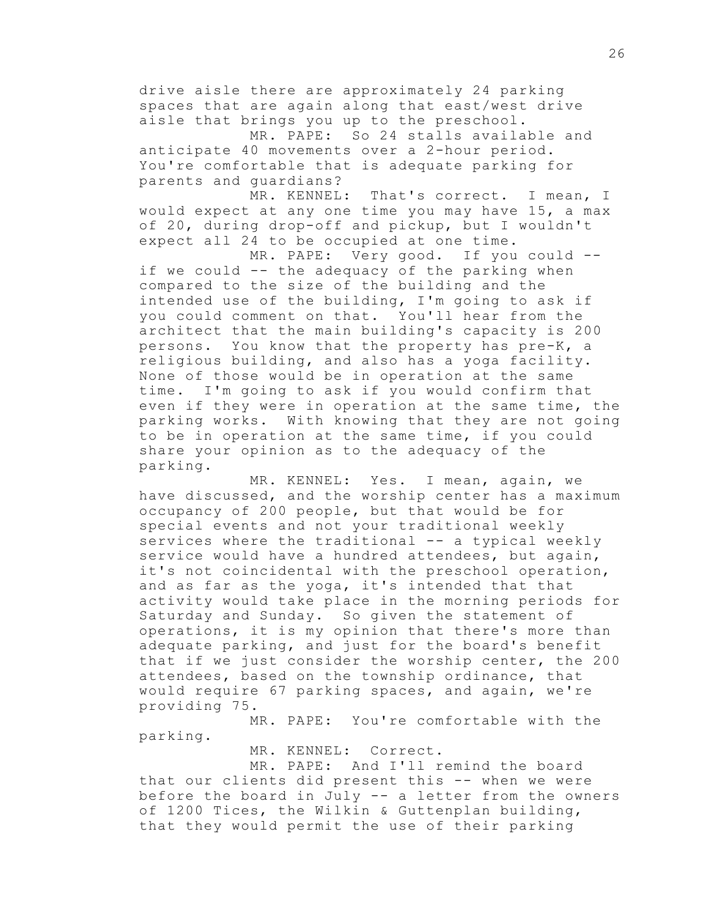drive aisle there are approximately 24 parking spaces that are again along that east/west drive aisle that brings you up to the preschool.

MR. PAPE: So 24 stalls available and anticipate 40 movements over a 2-hour period. You're comfortable that is adequate parking for parents and guardians?

MR. KENNEL: That's correct. I mean, I would expect at any one time you may have 15, a max of 20, during drop-off and pickup, but I wouldn't expect all 24 to be occupied at one time.

MR. PAPE: Very good. If you could - if we could -- the adequacy of the parking when compared to the size of the building and the intended use of the building, I'm going to ask if you could comment on that. You'll hear from the architect that the main building's capacity is 200 persons. You know that the property has pre-K, a religious building, and also has a yoga facility. None of those would be in operation at the same time. I'm going to ask if you would confirm that even if they were in operation at the same time, the parking works. With knowing that they are not going to be in operation at the same time, if you could share your opinion as to the adequacy of the parking.

MR. KENNEL: Yes. I mean, again, we have discussed, and the worship center has a maximum occupancy of 200 people, but that would be for special events and not your traditional weekly services where the traditional -- a typical weekly service would have a hundred attendees, but again, it's not coincidental with the preschool operation, and as far as the yoga, it's intended that that activity would take place in the morning periods for Saturday and Sunday. So given the statement of operations, it is my opinion that there's more than adequate parking, and just for the board's benefit that if we just consider the worship center, the 200 attendees, based on the township ordinance, that would require 67 parking spaces, and again, we're providing 75.

MR. PAPE: You're comfortable with the parking.

MR. KENNEL: Correct.

MR. PAPE: And I'll remind the board that our clients did present this -- when we were before the board in July -- a letter from the owners of 1200 Tices, the Wilkin & Guttenplan building, that they would permit the use of their parking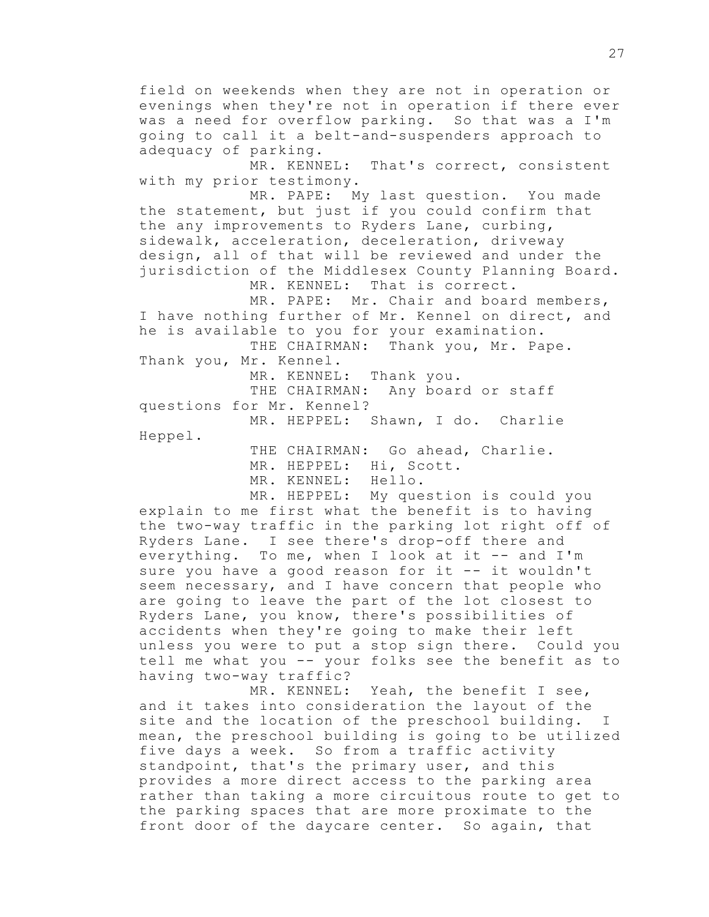field on weekends when they are not in operation or evenings when they're not in operation if there ever was a need for overflow parking. So that was a I'm going to call it a belt-and-suspenders approach to adequacy of parking. MR. KENNEL: That's correct, consistent with my prior testimony. MR. PAPE: My last question. You made the statement, but just if you could confirm that the any improvements to Ryders Lane, curbing, sidewalk, acceleration, deceleration, driveway design, all of that will be reviewed and under the jurisdiction of the Middlesex County Planning Board. MR. KENNEL: That is correct. MR. PAPE: Mr. Chair and board members, I have nothing further of Mr. Kennel on direct, and he is available to you for your examination. THE CHAIRMAN: Thank you, Mr. Pape. Thank you, Mr. Kennel. MR. KENNEL: Thank you. THE CHAIRMAN: Any board or staff questions for Mr. Kennel? MR. HEPPEL: Shawn, I do. Charlie Heppel. THE CHAIRMAN: Go ahead, Charlie. MR. HEPPEL: Hi, Scott. MR. KENNEL: Hello. MR. HEPPEL: My question is could you explain to me first what the benefit is to having the two-way traffic in the parking lot right off of Ryders Lane. I see there's drop-off there and everything. To me, when I look at it -- and I'm sure you have a good reason for it -- it wouldn't seem necessary, and I have concern that people who are going to leave the part of the lot closest to Ryders Lane, you know, there's possibilities of accidents when they're going to make their left unless you were to put a stop sign there. Could you tell me what you -- your folks see the benefit as to having two-way traffic? MR. KENNEL: Yeah, the benefit I see, and it takes into consideration the layout of the site and the location of the preschool building. I

mean, the preschool building is going to be utilized five days a week. So from a traffic activity standpoint, that's the primary user, and this provides a more direct access to the parking area rather than taking a more circuitous route to get to the parking spaces that are more proximate to the front door of the daycare center. So again, that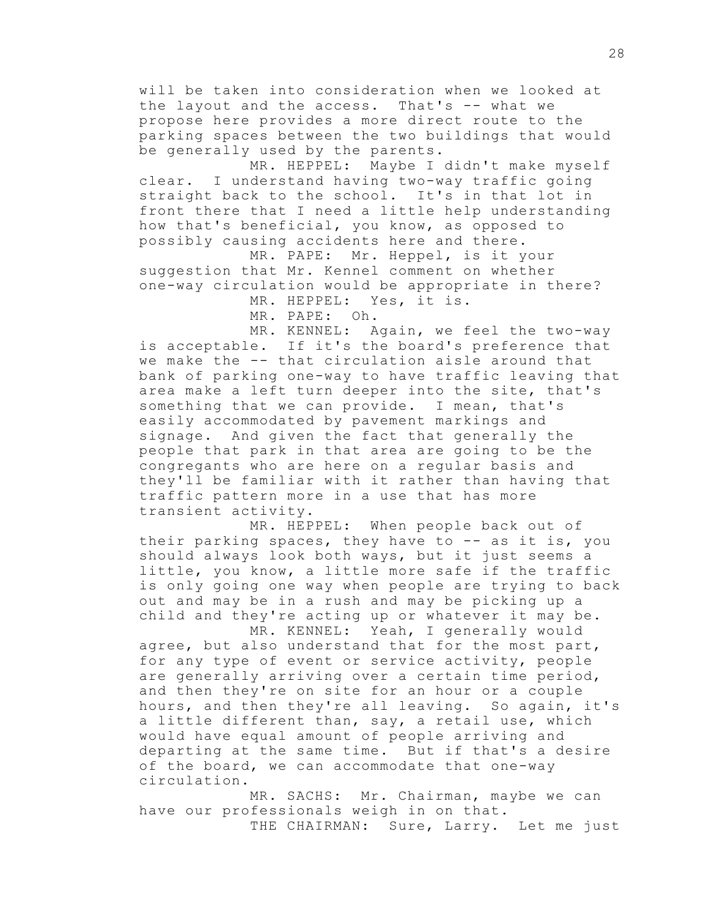will be taken into consideration when we looked at the layout and the access. That's -- what we propose here provides a more direct route to the parking spaces between the two buildings that would be generally used by the parents.

MR. HEPPEL: Maybe I didn't make myself clear. I understand having two-way traffic going straight back to the school. It's in that lot in front there that I need a little help understanding how that's beneficial, you know, as opposed to possibly causing accidents here and there.

MR. PAPE: Mr. Heppel, is it your suggestion that Mr. Kennel comment on whether one-way circulation would be appropriate in there? MR. HEPPEL: Yes, it is.

MR. PAPE: Oh.

MR. KENNEL: Again, we feel the two-way is acceptable. If it's the board's preference that we make the -- that circulation aisle around that bank of parking one-way to have traffic leaving that area make a left turn deeper into the site, that's something that we can provide. I mean, that's easily accommodated by pavement markings and signage. And given the fact that generally the people that park in that area are going to be the congregants who are here on a regular basis and they'll be familiar with it rather than having that traffic pattern more in a use that has more transient activity.

MR. HEPPEL: When people back out of their parking spaces, they have to -- as it is, you should always look both ways, but it just seems a little, you know, a little more safe if the traffic is only going one way when people are trying to back out and may be in a rush and may be picking up a child and they're acting up or whatever it may be.

MR. KENNEL: Yeah, I generally would agree, but also understand that for the most part, for any type of event or service activity, people are generally arriving over a certain time period, and then they're on site for an hour or a couple hours, and then they're all leaving. So again, it's a little different than, say, a retail use, which would have equal amount of people arriving and departing at the same time. But if that's a desire of the board, we can accommodate that one-way circulation.

MR. SACHS: Mr. Chairman, maybe we can have our professionals weigh in on that. THE CHAIRMAN: Sure, Larry. Let me just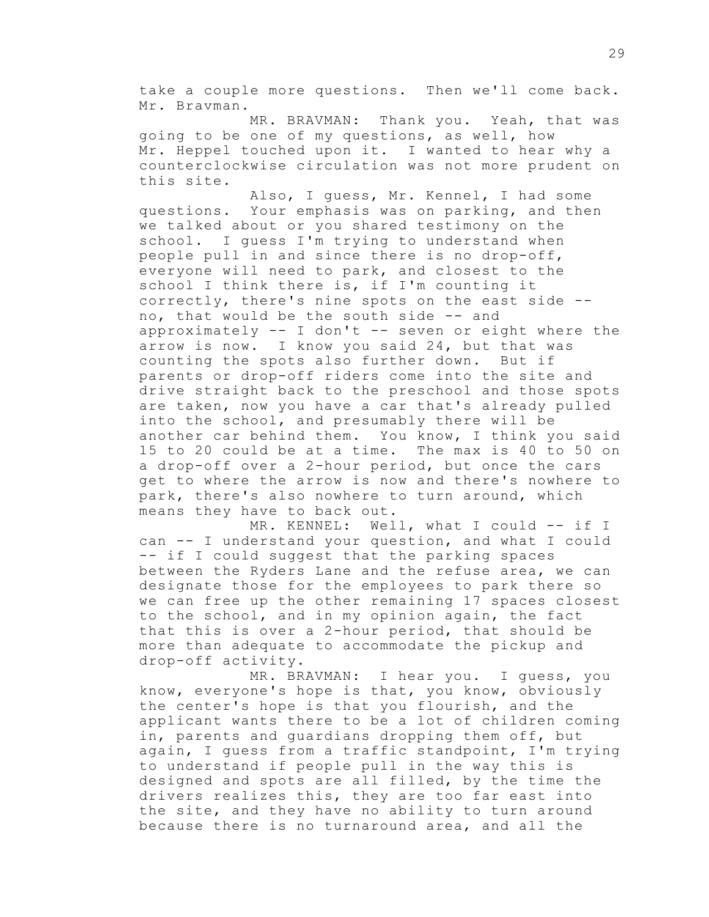take a couple more questions. Then we'll come back. Mr. Bravman.

MR. BRAVMAN: Thank you. Yeah, that was going to be one of my questions, as well, how Mr. Heppel touched upon it. I wanted to hear why a counterclockwise circulation was not more prudent on this site.

Also, I guess, Mr. Kennel, I had some questions. Your emphasis was on parking, and then we talked about or you shared testimony on the school. I quess I'm trying to understand when people pull in and since there is no drop-off, everyone will need to park, and closest to the school I think there is, if I'm counting it correctly, there's nine spots on the east side - no, that would be the south side -- and approximately -- I don't -- seven or eight where the arrow is now. I know you said 24, but that was counting the spots also further down. But if parents or drop-off riders come into the site and drive straight back to the preschool and those spots are taken, now you have a car that's already pulled into the school, and presumably there will be another car behind them. You know, I think you said 15 to 20 could be at a time. The max is 40 to 50 on a drop-off over a 2-hour period, but once the cars get to where the arrow is now and there's nowhere to park, there's also nowhere to turn around, which means they have to back out.

MR. KENNEL: Well, what I could -- if I can -- I understand your question, and what I could -- if I could suggest that the parking spaces between the Ryders Lane and the refuse area, we can designate those for the employees to park there so we can free up the other remaining 17 spaces closest to the school, and in my opinion again, the fact that this is over a 2-hour period, that should be more than adequate to accommodate the pickup and drop-off activity.

MR. BRAVMAN: I hear you. I guess, you know, everyone's hope is that, you know, obviously the center's hope is that you flourish, and the applicant wants there to be a lot of children coming in, parents and guardians dropping them off, but again, I guess from a traffic standpoint, I'm trying to understand if people pull in the way this is designed and spots are all filled, by the time the drivers realizes this, they are too far east into the site, and they have no ability to turn around because there is no turnaround area, and all the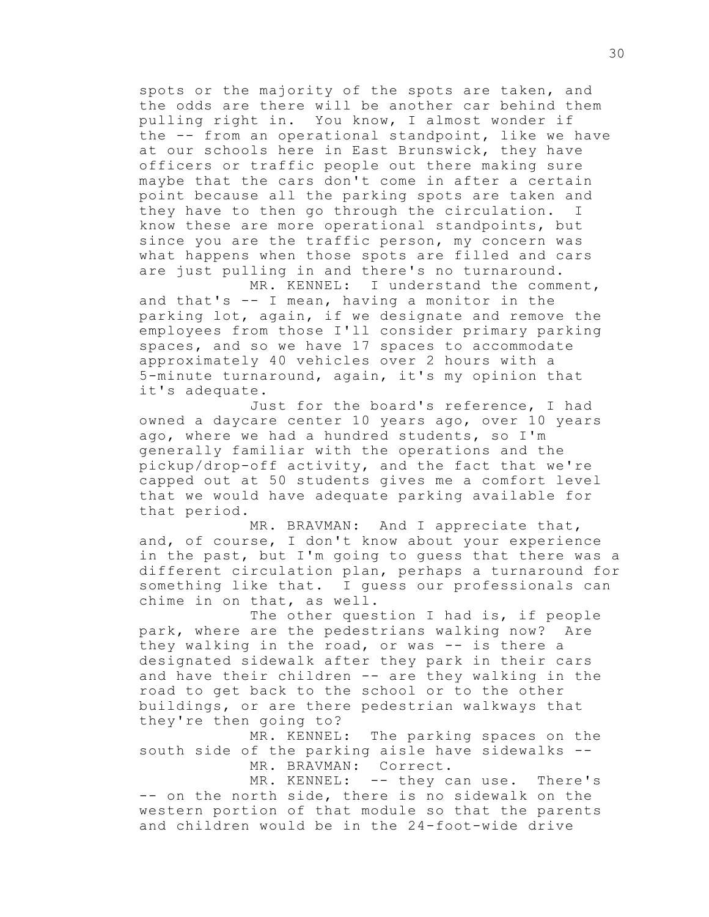spots or the majority of the spots are taken, and the odds are there will be another car behind them pulling right in. You know, I almost wonder if the -- from an operational standpoint, like we have at our schools here in East Brunswick, they have officers or traffic people out there making sure maybe that the cars don't come in after a certain point because all the parking spots are taken and they have to then go through the circulation. I know these are more operational standpoints, but since you are the traffic person, my concern was what happens when those spots are filled and cars are just pulling in and there's no turnaround.

MR. KENNEL: I understand the comment, and that's -- I mean, having a monitor in the parking lot, again, if we designate and remove the employees from those I'll consider primary parking spaces, and so we have 17 spaces to accommodate approximately 40 vehicles over 2 hours with a 5-minute turnaround, again, it's my opinion that it's adequate.

Just for the board's reference, I had owned a daycare center 10 years ago, over 10 years ago, where we had a hundred students, so I'm generally familiar with the operations and the pickup/drop-off activity, and the fact that we're capped out at 50 students gives me a comfort level that we would have adequate parking available for that period.

MR. BRAVMAN: And I appreciate that, and, of course, I don't know about your experience in the past, but I'm going to guess that there was a different circulation plan, perhaps a turnaround for something like that. I guess our professionals can chime in on that, as well.

The other question I had is, if people park, where are the pedestrians walking now? Are they walking in the road, or was -- is there a designated sidewalk after they park in their cars and have their children -- are they walking in the road to get back to the school or to the other buildings, or are there pedestrian walkways that they're then going to?

MR. KENNEL: The parking spaces on the south side of the parking aisle have sidewalks -- MR. BRAVMAN: Correct.

MR. KENNEL: -- they can use. There's -- on the north side, there is no sidewalk on the western portion of that module so that the parents and children would be in the 24-foot-wide drive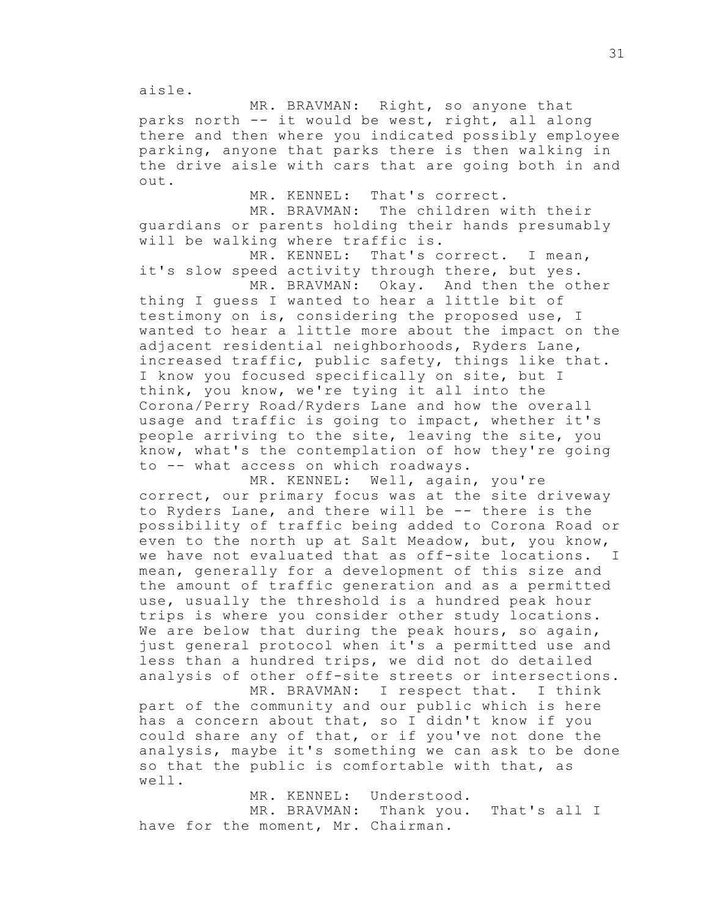aisle.

MR. BRAVMAN: Right, so anyone that parks north -- it would be west, right, all along there and then where you indicated possibly employee parking, anyone that parks there is then walking in the drive aisle with cars that are going both in and out.

MR. KENNEL: That's correct.

MR. BRAVMAN: The children with their guardians or parents holding their hands presumably will be walking where traffic is.

MR. KENNEL: That's correct. I mean, it's slow speed activity through there, but yes.

MR. BRAVMAN: Okay. And then the other thing I guess I wanted to hear a little bit of testimony on is, considering the proposed use, I wanted to hear a little more about the impact on the adjacent residential neighborhoods, Ryders Lane, increased traffic, public safety, things like that. I know you focused specifically on site, but I think, you know, we're tying it all into the Corona/Perry Road/Ryders Lane and how the overall usage and traffic is going to impact, whether it's people arriving to the site, leaving the site, you know, what's the contemplation of how they're going to -- what access on which roadways.

MR. KENNEL: Well, again, you're correct, our primary focus was at the site driveway to Ryders Lane, and there will be -- there is the possibility of traffic being added to Corona Road or even to the north up at Salt Meadow, but, you know, we have not evaluated that as off-site locations. I mean, generally for a development of this size and the amount of traffic generation and as a permitted use, usually the threshold is a hundred peak hour trips is where you consider other study locations. We are below that during the peak hours, so again, just general protocol when it's a permitted use and less than a hundred trips, we did not do detailed analysis of other off-site streets or intersections.

MR. BRAVMAN: I respect that. I think part of the community and our public which is here has a concern about that, so I didn't know if you could share any of that, or if you've not done the analysis, maybe it's something we can ask to be done so that the public is comfortable with that, as well.

MR. KENNEL: Understood. MR. BRAVMAN: Thank you. That's all I have for the moment, Mr. Chairman.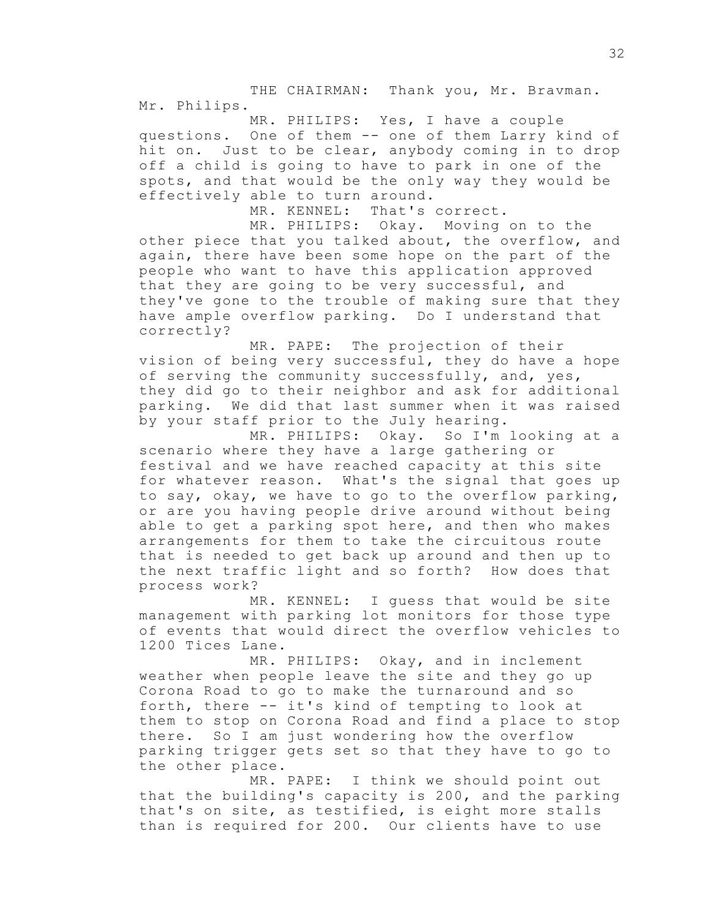THE CHAIRMAN: Thank you, Mr. Bravman. Mr. Philips.

MR. PHILIPS: Yes, I have a couple questions. One of them -- one of them Larry kind of hit on. Just to be clear, anybody coming in to drop off a child is going to have to park in one of the spots, and that would be the only way they would be effectively able to turn around.

MR. KENNEL: That's correct.

MR. PHILIPS: Okay. Moving on to the other piece that you talked about, the overflow, and again, there have been some hope on the part of the people who want to have this application approved that they are going to be very successful, and they've gone to the trouble of making sure that they have ample overflow parking. Do I understand that correctly?

MR. PAPE: The projection of their vision of being very successful, they do have a hope of serving the community successfully, and, yes, they did go to their neighbor and ask for additional parking. We did that last summer when it was raised by your staff prior to the July hearing.

MR. PHILIPS: Okay. So I'm looking at a scenario where they have a large gathering or festival and we have reached capacity at this site for whatever reason. What's the signal that goes up to say, okay, we have to go to the overflow parking, or are you having people drive around without being able to get a parking spot here, and then who makes arrangements for them to take the circuitous route that is needed to get back up around and then up to the next traffic light and so forth? How does that process work?

MR. KENNEL: I guess that would be site management with parking lot monitors for those type of events that would direct the overflow vehicles to 1200 Tices Lane.

MR. PHILIPS: Okay, and in inclement weather when people leave the site and they go up Corona Road to go to make the turnaround and so forth, there -- it's kind of tempting to look at them to stop on Corona Road and find a place to stop there. So I am just wondering how the overflow parking trigger gets set so that they have to go to the other place.

MR. PAPE: I think we should point out that the building's capacity is 200, and the parking that's on site, as testified, is eight more stalls than is required for 200. Our clients have to use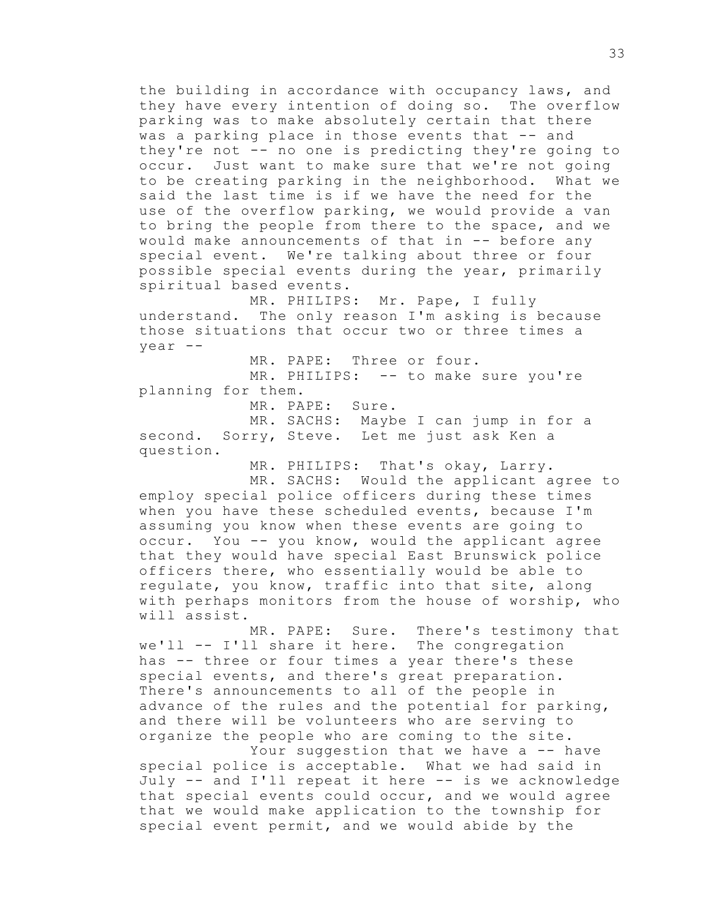the building in accordance with occupancy laws, and they have every intention of doing so. The overflow parking was to make absolutely certain that there was a parking place in those events that -- and they're not -- no one is predicting they're going to occur. Just want to make sure that we're not going to be creating parking in the neighborhood. What we said the last time is if we have the need for the use of the overflow parking, we would provide a van to bring the people from there to the space, and we would make announcements of that in -- before any special event. We're talking about three or four possible special events during the year, primarily spiritual based events.

MR. PHILIPS: Mr. Pape, I fully understand. The only reason I'm asking is because those situations that occur two or three times a year --

MR. PAPE: Three or four. MR. PHILIPS: -- to make sure you're planning for them.

MR. PAPE: Sure.

MR. SACHS: Maybe I can jump in for a second. Sorry, Steve. Let me just ask Ken a question.

MR. PHILIPS: That's okay, Larry.

MR. SACHS: Would the applicant agree to employ special police officers during these times when you have these scheduled events, because I'm assuming you know when these events are going to occur. You -- you know, would the applicant agree that they would have special East Brunswick police officers there, who essentially would be able to regulate, you know, traffic into that site, along with perhaps monitors from the house of worship, who will assist.

MR. PAPE: Sure. There's testimony that we'll -- I'll share it here. The congregation has -- three or four times a year there's these special events, and there's great preparation. There's announcements to all of the people in advance of the rules and the potential for parking, and there will be volunteers who are serving to organize the people who are coming to the site.

Your suggestion that we have a -- have special police is acceptable. What we had said in July -- and I'll repeat it here -- is we acknowledge that special events could occur, and we would agree that we would make application to the township for special event permit, and we would abide by the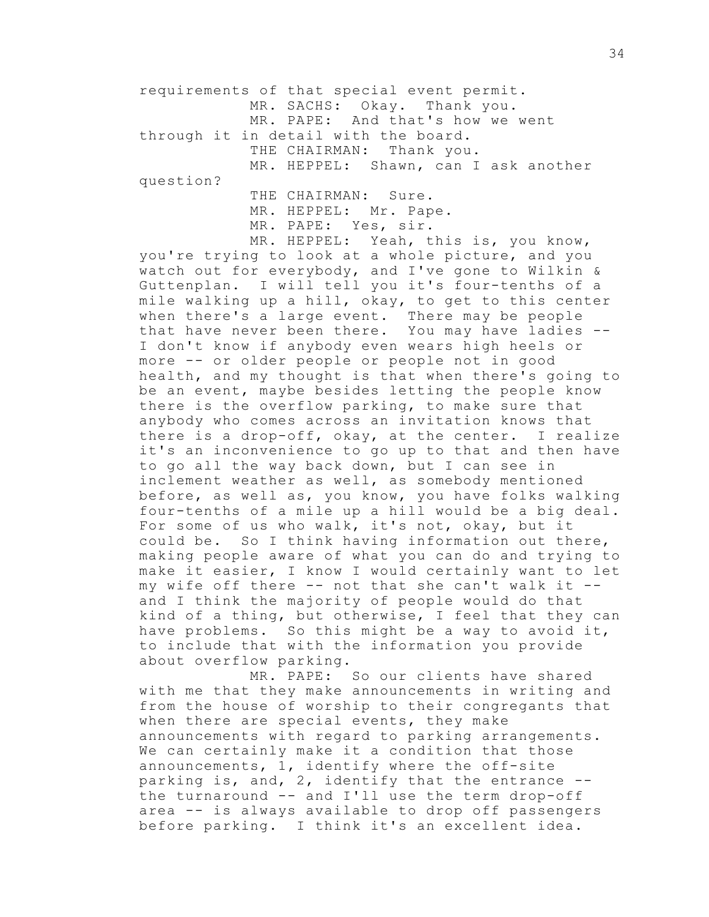requirements of that special event permit. MR. SACHS: Okay. Thank you. MR. PAPE: And that's how we went through it in detail with the board. THE CHAIRMAN: Thank you. MR. HEPPEL: Shawn, can I ask another question? THE CHAIRMAN: Sure.

MR. HEPPEL: Mr. Pape. MR. PAPE: Yes, sir.

MR. HEPPEL: Yeah, this is, you know, you're trying to look at a whole picture, and you watch out for everybody, and I've gone to Wilkin & Guttenplan. I will tell you it's four-tenths of a mile walking up a hill, okay, to get to this center when there's a large event. There may be people that have never been there. You may have ladies -- I don't know if anybody even wears high heels or more -- or older people or people not in good health, and my thought is that when there's going to be an event, maybe besides letting the people know there is the overflow parking, to make sure that anybody who comes across an invitation knows that there is a drop-off, okay, at the center. I realize it's an inconvenience to go up to that and then have to go all the way back down, but I can see in inclement weather as well, as somebody mentioned before, as well as, you know, you have folks walking four-tenths of a mile up a hill would be a big deal. For some of us who walk, it's not, okay, but it could be. So I think having information out there, making people aware of what you can do and trying to make it easier, I know I would certainly want to let my wife off there -- not that she can't walk it - and I think the majority of people would do that kind of a thing, but otherwise, I feel that they can have problems. So this might be a way to avoid it, to include that with the information you provide about overflow parking.

MR. PAPE: So our clients have shared with me that they make announcements in writing and from the house of worship to their congregants that when there are special events, they make announcements with regard to parking arrangements. We can certainly make it a condition that those announcements, 1, identify where the off-site parking is, and, 2, identify that the entrance - the turnaround -- and I'll use the term drop-off area -- is always available to drop off passengers before parking. I think it's an excellent idea.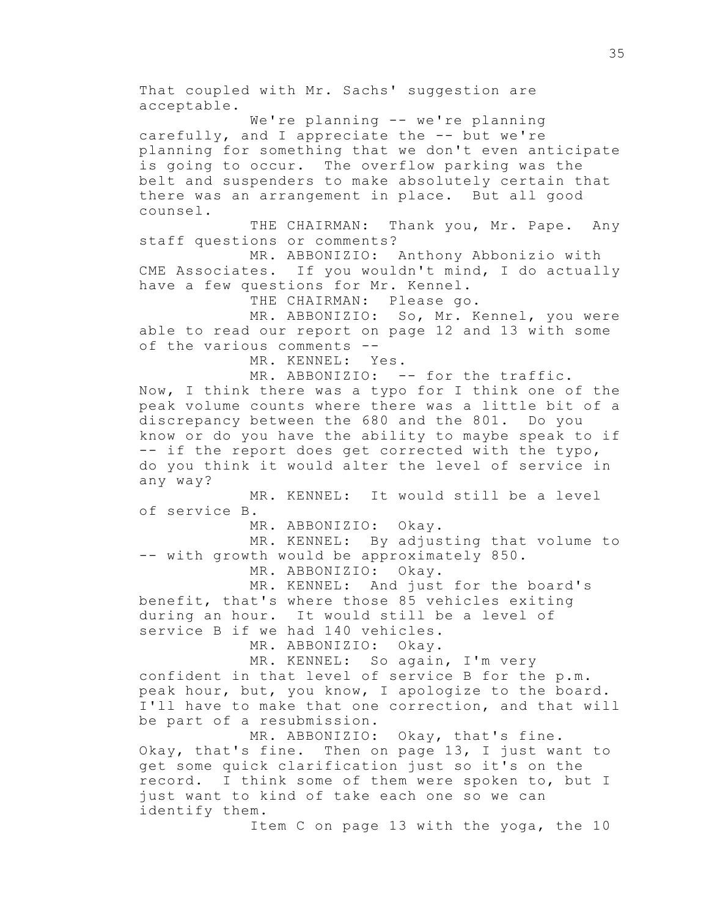That coupled with Mr. Sachs' suggestion are acceptable. We're planning -- we're planning carefully, and I appreciate the -- but we're planning for something that we don't even anticipate is going to occur. The overflow parking was the belt and suspenders to make absolutely certain that there was an arrangement in place. But all good counsel. THE CHAIRMAN: Thank you, Mr. Pape. Any staff questions or comments? MR. ABBONIZIO: Anthony Abbonizio with CME Associates. If you wouldn't mind, I do actually have a few questions for Mr. Kennel. THE CHAIRMAN: Please go. MR. ABBONIZIO: So, Mr. Kennel, you were able to read our report on page 12 and 13 with some of the various comments -- MR. KENNEL: Yes. MR. ABBONIZIO: -- for the traffic. Now, I think there was a typo for I think one of the peak volume counts where there was a little bit of a discrepancy between the 680 and the 801. Do you know or do you have the ability to maybe speak to if -- if the report does get corrected with the typo, do you think it would alter the level of service in any way? MR. KENNEL: It would still be a level of service B. MR. ABBONIZIO: Okay. MR. KENNEL: By adjusting that volume to -- with growth would be approximately 850. MR. ABBONIZIO: Okay. MR. KENNEL: And just for the board's benefit, that's where those 85 vehicles exiting during an hour. It would still be a level of service B if we had 140 vehicles. MR. ABBONIZIO: Okay. MR. KENNEL: So again, I'm very confident in that level of service B for the p.m. peak hour, but, you know, I apologize to the board. I'll have to make that one correction, and that will be part of a resubmission. MR. ABBONIZIO: Okay, that's fine. Okay, that's fine. Then on page 13, I just want to get some quick clarification just so it's on the record. I think some of them were spoken to, but I just want to kind of take each one so we can identify them. Item C on page 13 with the yoga, the 10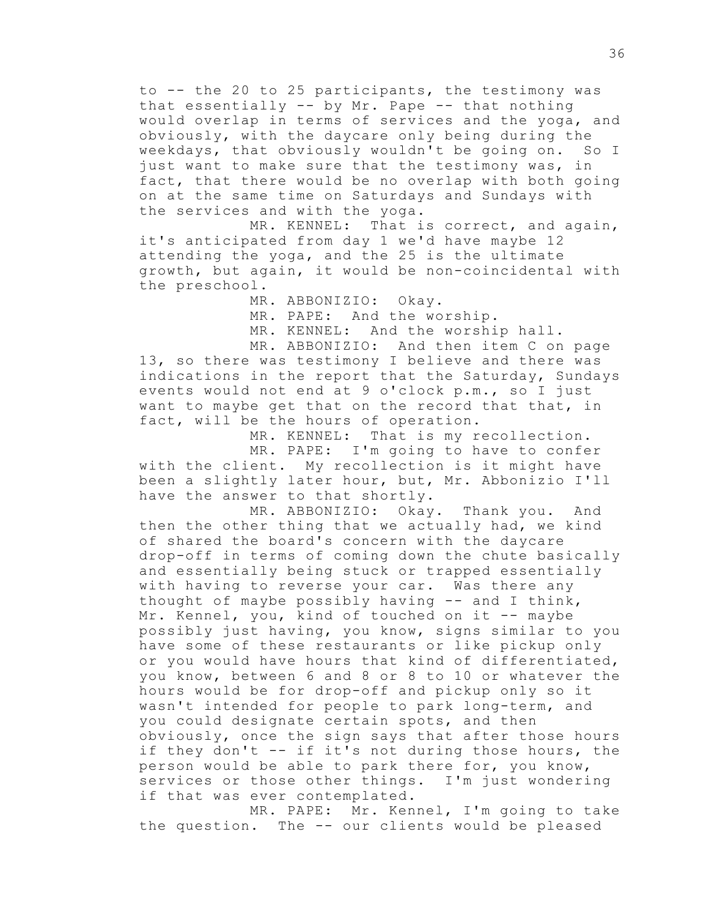to -- the 20 to 25 participants, the testimony was that essentially -- by Mr. Pape -- that nothing would overlap in terms of services and the yoga, and obviously, with the daycare only being during the weekdays, that obviously wouldn't be going on. So I just want to make sure that the testimony was, in fact, that there would be no overlap with both going on at the same time on Saturdays and Sundays with the services and with the yoga.

MR. KENNEL: That is correct, and again, it's anticipated from day 1 we'd have maybe 12 attending the yoga, and the 25 is the ultimate growth, but again, it would be non-coincidental with the preschool.

MR. ABBONIZIO: Okay.

MR. PAPE: And the worship.

MR. KENNEL: And the worship hall.

MR. ABBONIZIO: And then item C on page 13, so there was testimony I believe and there was indications in the report that the Saturday, Sundays events would not end at 9 o'clock p.m., so I just want to maybe get that on the record that that, in fact, will be the hours of operation.

MR. KENNEL: That is my recollection. MR. PAPE: I'm going to have to confer with the client. My recollection is it might have been a slightly later hour, but, Mr. Abbonizio I'll have the answer to that shortly.

MR. ABBONIZIO: Okay. Thank you. And then the other thing that we actually had, we kind of shared the board's concern with the daycare drop-off in terms of coming down the chute basically and essentially being stuck or trapped essentially with having to reverse your car. Was there any thought of maybe possibly having  $--$  and I think, Mr. Kennel, you, kind of touched on it -- maybe possibly just having, you know, signs similar to you have some of these restaurants or like pickup only or you would have hours that kind of differentiated, you know, between 6 and 8 or 8 to 10 or whatever the hours would be for drop-off and pickup only so it wasn't intended for people to park long-term, and you could designate certain spots, and then obviously, once the sign says that after those hours if they don't -- if it's not during those hours, the person would be able to park there for, you know, services or those other things. I'm just wondering if that was ever contemplated.

MR. PAPE: Mr. Kennel, I'm going to take the question. The -- our clients would be pleased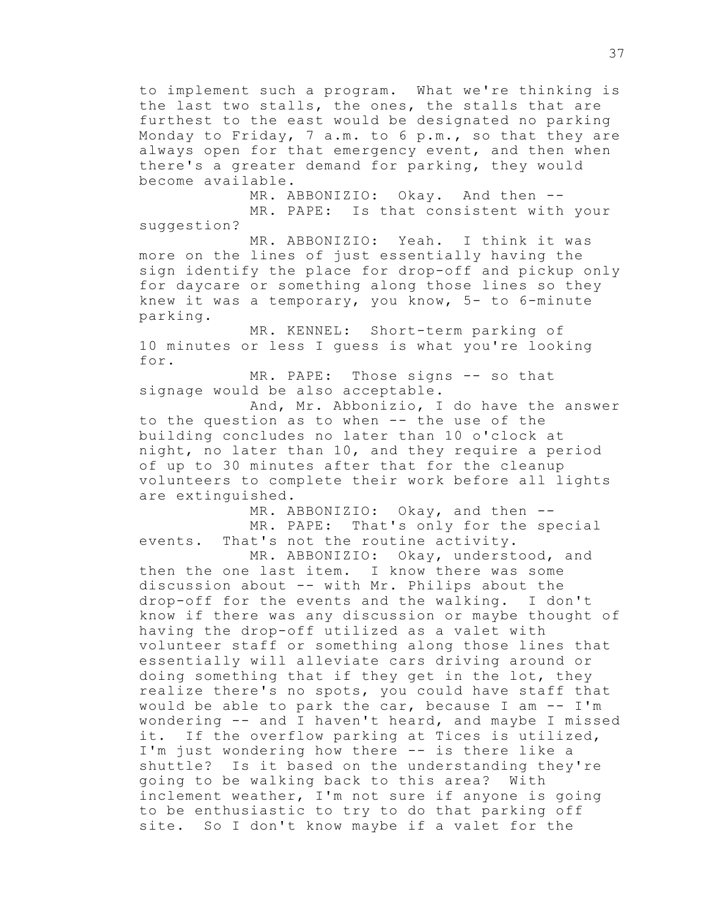to implement such a program. What we're thinking is the last two stalls, the ones, the stalls that are furthest to the east would be designated no parking Monday to Friday, 7 a.m. to 6 p.m., so that they are always open for that emergency event, and then when there's a greater demand for parking, they would become available.

MR. ABBONIZIO: Okay. And then -- MR. PAPE: Is that consistent with your suggestion?

MR. ABBONIZIO: Yeah. I think it was more on the lines of just essentially having the sign identify the place for drop-off and pickup only for daycare or something along those lines so they knew it was a temporary, you know, 5- to 6-minute parking.

MR. KENNEL: Short-term parking of 10 minutes or less I guess is what you're looking for.

MR. PAPE: Those signs -- so that signage would be also acceptable.

And, Mr. Abbonizio, I do have the answer to the question as to when -- the use of the building concludes no later than 10 o'clock at night, no later than 10, and they require a period of up to 30 minutes after that for the cleanup volunteers to complete their work before all lights are extinguished.

MR. ABBONIZIO: Okay, and then --

MR. PAPE: That's only for the special events. That's not the routine activity.

MR. ABBONIZIO: Okay, understood, and then the one last item. I know there was some discussion about -- with Mr. Philips about the drop-off for the events and the walking. I don't know if there was any discussion or maybe thought of having the drop-off utilized as a valet with volunteer staff or something along those lines that essentially will alleviate cars driving around or doing something that if they get in the lot, they realize there's no spots, you could have staff that would be able to park the car, because I am -- I'm wondering -- and I haven't heard, and maybe I missed it. If the overflow parking at Tices is utilized, I'm just wondering how there -- is there like a shuttle? Is it based on the understanding they're going to be walking back to this area? With inclement weather, I'm not sure if anyone is going to be enthusiastic to try to do that parking off site. So I don't know maybe if a valet for the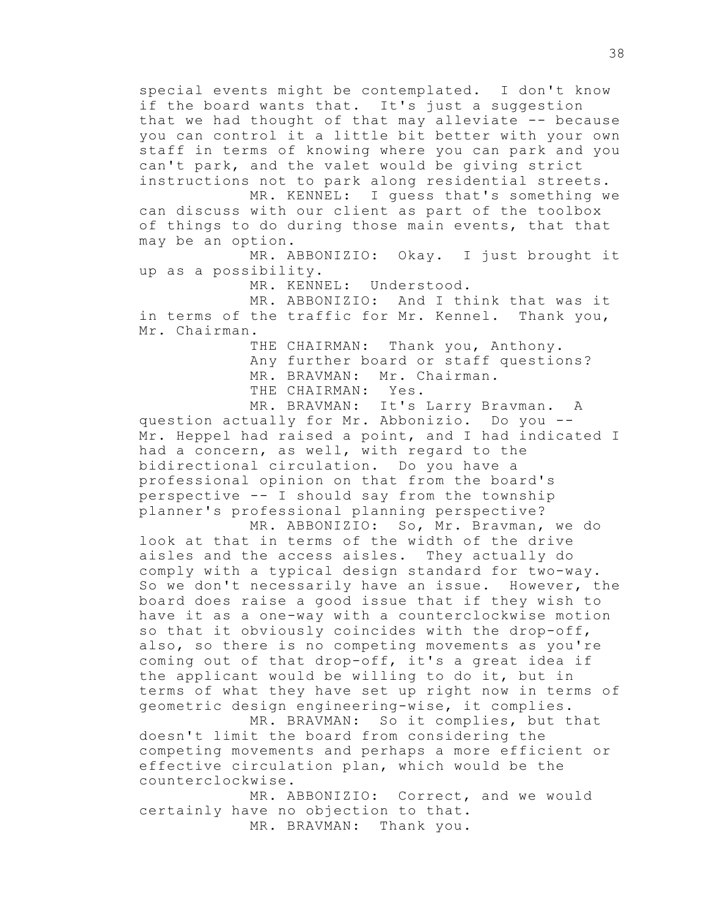special events might be contemplated. I don't know if the board wants that. It's just a suggestion that we had thought of that may alleviate -- because you can control it a little bit better with your own staff in terms of knowing where you can park and you can't park, and the valet would be giving strict instructions not to park along residential streets.

MR. KENNEL: I guess that's something we can discuss with our client as part of the toolbox of things to do during those main events, that that may be an option.

MR. ABBONIZIO: Okay. I just brought it up as a possibility.

MR. KENNEL: Understood.

MR. ABBONIZIO: And I think that was it in terms of the traffic for Mr. Kennel. Thank you, Mr. Chairman.

> THE CHAIRMAN: Thank you, Anthony. Any further board or staff questions? MR. BRAVMAN: Mr. Chairman. THE CHAIRMAN: Yes.

MR. BRAVMAN: It's Larry Bravman. A question actually for Mr. Abbonizio. Do you -- Mr. Heppel had raised a point, and I had indicated I had a concern, as well, with regard to the bidirectional circulation. Do you have a professional opinion on that from the board's perspective -- I should say from the township planner's professional planning perspective?

MR. ABBONIZIO: So, Mr. Bravman, we do look at that in terms of the width of the drive aisles and the access aisles. They actually do comply with a typical design standard for two-way. So we don't necessarily have an issue. However, the board does raise a good issue that if they wish to have it as a one-way with a counterclockwise motion so that it obviously coincides with the drop-off, also, so there is no competing movements as you're coming out of that drop-off, it's a great idea if the applicant would be willing to do it, but in terms of what they have set up right now in terms of geometric design engineering-wise, it complies.

MR. BRAVMAN: So it complies, but that doesn't limit the board from considering the competing movements and perhaps a more efficient or effective circulation plan, which would be the counterclockwise.

MR. ABBONIZIO: Correct, and we would certainly have no objection to that. MR. BRAVMAN: Thank you.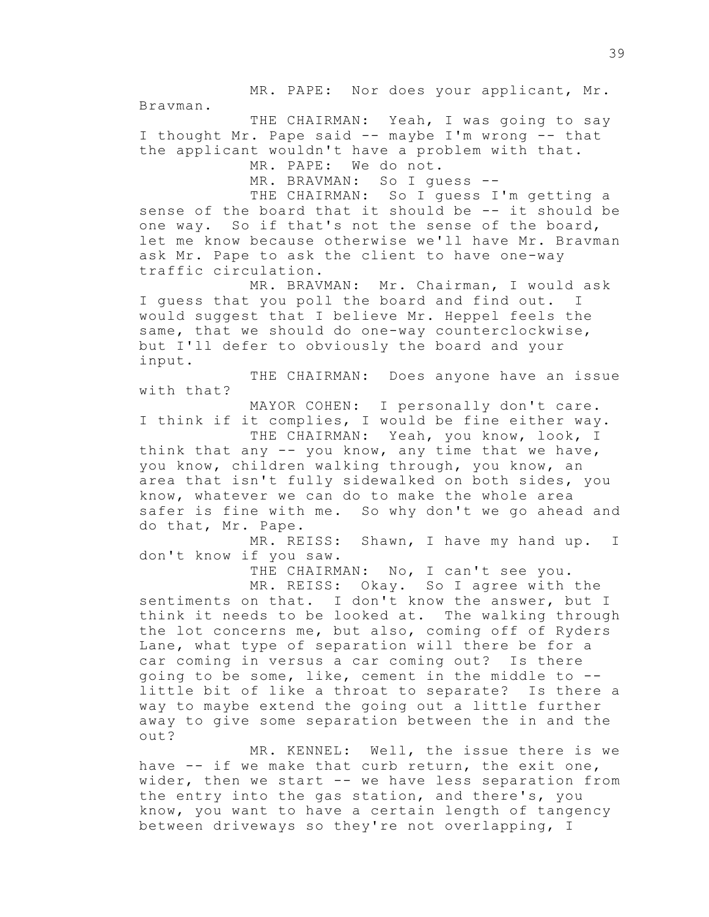MR. PAPE: Nor does your applicant, Mr.

Bravman.

THE CHAIRMAN: Yeah, I was going to say I thought Mr. Pape said -- maybe I'm wrong -- that the applicant wouldn't have a problem with that. MR. PAPE: We do not.

MR. BRAVMAN: So I quess --

THE CHAIRMAN: So I guess I'm getting a sense of the board that it should be -- it should be one way. So if that's not the sense of the board, let me know because otherwise we'll have Mr. Bravman ask Mr. Pape to ask the client to have one-way traffic circulation.

MR. BRAVMAN: Mr. Chairman, I would ask I guess that you poll the board and find out. I would suggest that I believe Mr. Heppel feels the same, that we should do one-way counterclockwise, but I'll defer to obviously the board and your input.

THE CHAIRMAN: Does anyone have an issue with that?

MAYOR COHEN: I personally don't care. I think if it complies, I would be fine either way. THE CHAIRMAN: Yeah, you know, look, I think that any -- you know, any time that we have, you know, children walking through, you know, an

area that isn't fully sidewalked on both sides, you know, whatever we can do to make the whole area safer is fine with me. So why don't we go ahead and do that, Mr. Pape.

MR. REISS: Shawn, I have my hand up. I don't know if you saw.

THE CHAIRMAN: No, I can't see you.

MR. REISS: Okay. So I agree with the sentiments on that. I don't know the answer, but I think it needs to be looked at. The walking through the lot concerns me, but also, coming off of Ryders Lane, what type of separation will there be for a car coming in versus a car coming out? Is there going to be some, like, cement in the middle to - little bit of like a throat to separate? Is there a way to maybe extend the going out a little further away to give some separation between the in and the out?

MR. KENNEL: Well, the issue there is we have -- if we make that curb return, the exit one, wider, then we start -- we have less separation from the entry into the gas station, and there's, you know, you want to have a certain length of tangency between driveways so they're not overlapping, I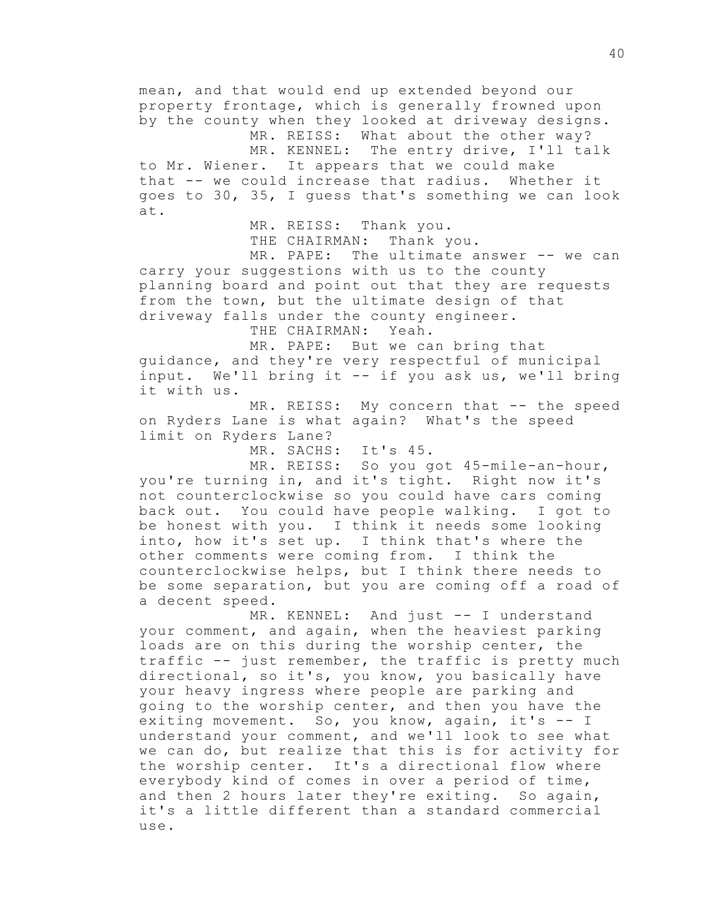mean, and that would end up extended beyond our property frontage, which is generally frowned upon by the county when they looked at driveway designs. MR. REISS: What about the other way? MR. KENNEL: The entry drive, I'll talk to Mr. Wiener. It appears that we could make that -- we could increase that radius. Whether it goes to 30, 35, I guess that's something we can look at. MR. REISS: Thank you. THE CHAIRMAN: Thank you. MR. PAPE: The ultimate answer -- we can carry your suggestions with us to the county planning board and point out that they are requests from the town, but the ultimate design of that driveway falls under the county engineer. THE CHAIRMAN: Yeah. MR. PAPE: But we can bring that guidance, and they're very respectful of municipal input. We'll bring it -- if you ask us, we'll bring it with us. MR. REISS: My concern that -- the speed on Ryders Lane is what again? What's the speed limit on Ryders Lane? MR. SACHS: It's 45. MR. REISS: So you got 45-mile-an-hour, you're turning in, and it's tight. Right now it's not counterclockwise so you could have cars coming back out. You could have people walking. I got to be honest with you. I think it needs some looking into, how it's set up. I think that's where the other comments were coming from. I think the counterclockwise helps, but I think there needs to be some separation, but you are coming off a road of a decent speed. MR. KENNEL: And just -- I understand your comment, and again, when the heaviest parking loads are on this during the worship center, the traffic -- just remember, the traffic is pretty much directional, so it's, you know, you basically have your heavy ingress where people are parking and going to the worship center, and then you have the exiting movement. So, you know, again, it's -- I understand your comment, and we'll look to see what we can do, but realize that this is for activity for the worship center. It's a directional flow where everybody kind of comes in over a period of time, and then 2 hours later they're exiting. So again, it's a little different than a standard commercial use.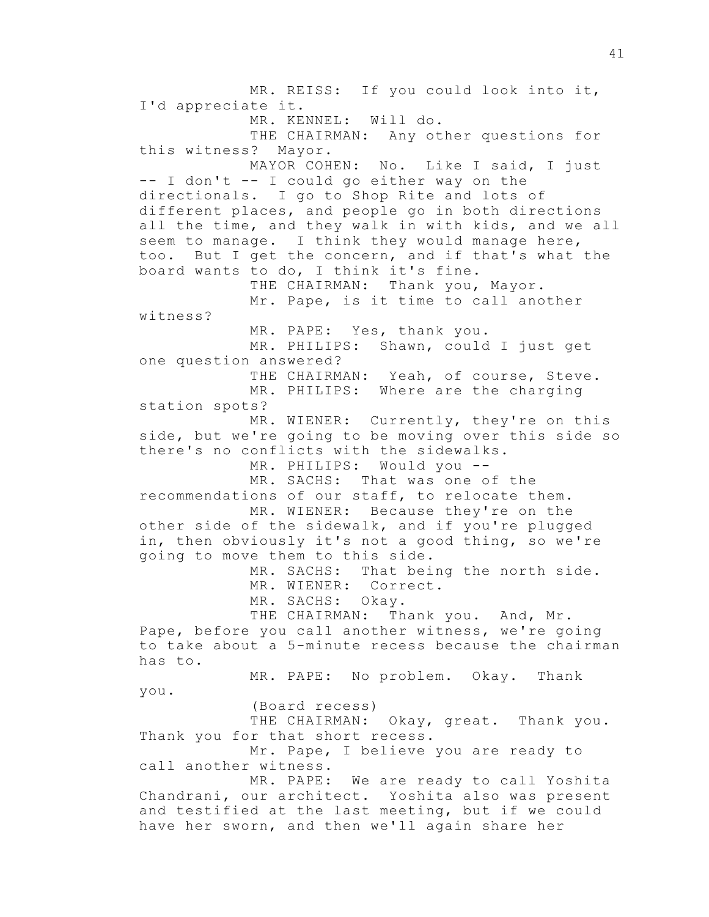MR. REISS: If you could look into it, I'd appreciate it. MR. KENNEL: Will do. THE CHAIRMAN: Any other questions for this witness? Mayor. MAYOR COHEN: No. Like I said, I just -- I don't -- I could go either way on the directionals. I go to Shop Rite and lots of different places, and people go in both directions all the time, and they walk in with kids, and we all seem to manage. I think they would manage here, too. But I get the concern, and if that's what the board wants to do, I think it's fine. THE CHAIRMAN: Thank you, Mayor. Mr. Pape, is it time to call another witness? MR. PAPE: Yes, thank you. MR. PHILIPS: Shawn, could I just get one question answered? THE CHAIRMAN: Yeah, of course, Steve. MR. PHILIPS: Where are the charging station spots? MR. WIENER: Currently, they're on this side, but we're going to be moving over this side so there's no conflicts with the sidewalks. MR. PHILIPS: Would you -- MR. SACHS: That was one of the recommendations of our staff, to relocate them. MR. WIENER: Because they're on the other side of the sidewalk, and if you're plugged in, then obviously it's not a good thing, so we're going to move them to this side. MR. SACHS: That being the north side. MR. WIENER: Correct. MR. SACHS: Okay. THE CHAIRMAN: Thank you. And, Mr. Pape, before you call another witness, we're going to take about a 5-minute recess because the chairman has to. MR. PAPE: No problem. Okay. Thank you. (Board recess) THE CHAIRMAN: Okay, great. Thank you. Thank you for that short recess. Mr. Pape, I believe you are ready to call another witness. MR. PAPE: We are ready to call Yoshita Chandrani, our architect. Yoshita also was present and testified at the last meeting, but if we could have her sworn, and then we'll again share her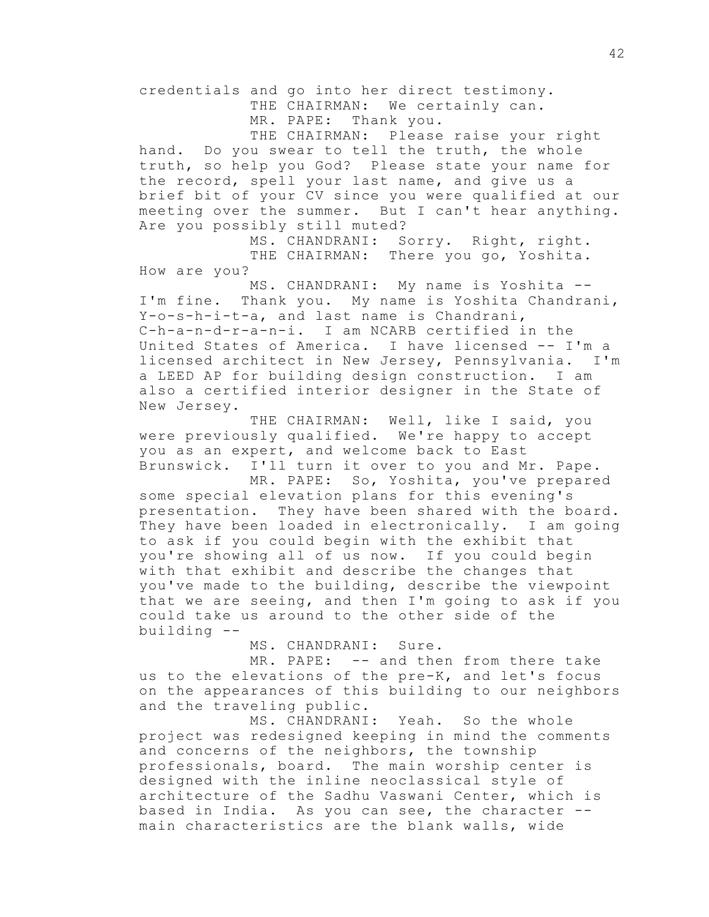credentials and go into her direct testimony.

THE CHAIRMAN: We certainly can.

MR. PAPE: Thank you.

THE CHAIRMAN: Please raise your right hand. Do you swear to tell the truth, the whole truth, so help you God? Please state your name for the record, spell your last name, and give us a brief bit of your CV since you were qualified at our meeting over the summer. But I can't hear anything. Are you possibly still muted?

MS. CHANDRANI: Sorry. Right, right. THE CHAIRMAN: There you go, Yoshita. How are you?

MS. CHANDRANI: My name is Yoshita -- I'm fine. Thank you. My name is Yoshita Chandrani, Y-o-s-h-i-t-a, and last name is Chandrani, C-h-a-n-d-r-a-n-i. I am NCARB certified in the United States of America. I have licensed -- I'm a licensed architect in New Jersey, Pennsylvania. I'm a LEED AP for building design construction. I am also a certified interior designer in the State of New Jersey.

THE CHAIRMAN: Well, like I said, you were previously qualified. We're happy to accept you as an expert, and welcome back to East Brunswick. I'll turn it over to you and Mr. Pape.

MR. PAPE: So, Yoshita, you've prepared some special elevation plans for this evening's presentation. They have been shared with the board. They have been loaded in electronically. I am going to ask if you could begin with the exhibit that you're showing all of us now. If you could begin with that exhibit and describe the changes that you've made to the building, describe the viewpoint that we are seeing, and then I'm going to ask if you could take us around to the other side of the building --

MS. CHANDRANI: Sure.

MR. PAPE: -- and then from there take us to the elevations of the pre-K, and let's focus on the appearances of this building to our neighbors and the traveling public.

MS. CHANDRANI: Yeah. So the whole project was redesigned keeping in mind the comments and concerns of the neighbors, the township professionals, board. The main worship center is designed with the inline neoclassical style of architecture of the Sadhu Vaswani Center, which is based in India. As you can see, the character - main characteristics are the blank walls, wide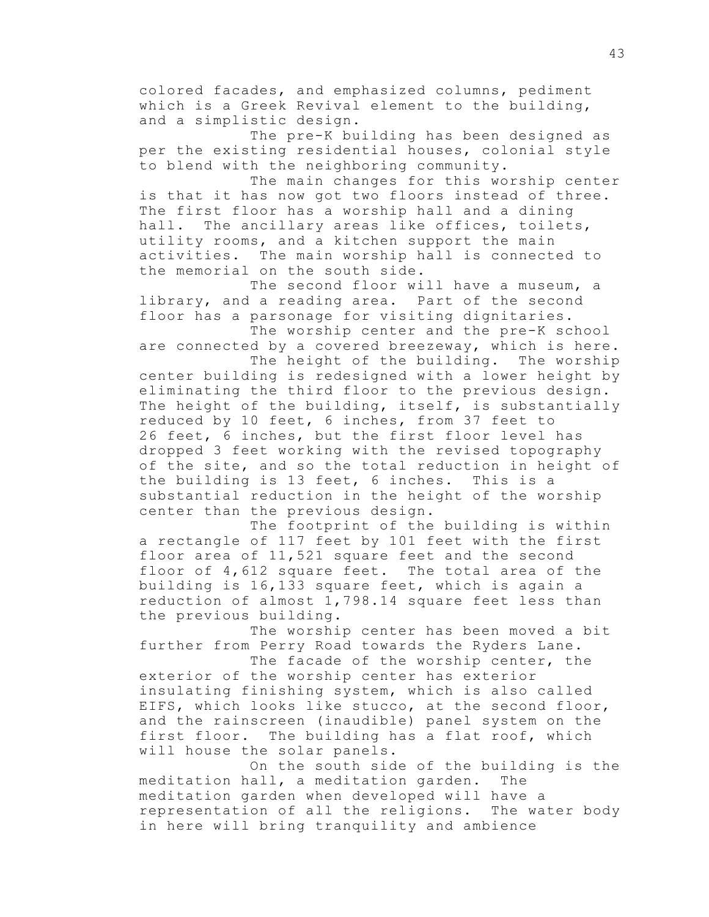colored facades, and emphasized columns, pediment which is a Greek Revival element to the building, and a simplistic design.

The pre-K building has been designed as per the existing residential houses, colonial style to blend with the neighboring community.

The main changes for this worship center is that it has now got two floors instead of three. The first floor has a worship hall and a dining hall. The ancillary areas like offices, toilets, utility rooms, and a kitchen support the main activities. The main worship hall is connected to the memorial on the south side.

The second floor will have a museum, a library, and a reading area. Part of the second floor has a parsonage for visiting dignitaries. The worship center and the pre-K school

are connected by a covered breezeway, which is here.

The height of the building. The worship center building is redesigned with a lower height by eliminating the third floor to the previous design. The height of the building, itself, is substantially reduced by 10 feet, 6 inches, from 37 feet to 26 feet, 6 inches, but the first floor level has dropped 3 feet working with the revised topography of the site, and so the total reduction in height of the building is 13 feet, 6 inches. This is a substantial reduction in the height of the worship center than the previous design.

The footprint of the building is within a rectangle of 117 feet by 101 feet with the first floor area of 11,521 square feet and the second floor of 4,612 square feet. The total area of the building is 16,133 square feet, which is again a reduction of almost 1,798.14 square feet less than the previous building.

The worship center has been moved a bit further from Perry Road towards the Ryders Lane.

The facade of the worship center, the exterior of the worship center has exterior insulating finishing system, which is also called EIFS, which looks like stucco, at the second floor, and the rainscreen (inaudible) panel system on the first floor. The building has a flat roof, which will house the solar panels.

On the south side of the building is the meditation hall, a meditation garden. The meditation garden when developed will have a representation of all the religions. The water body in here will bring tranquility and ambience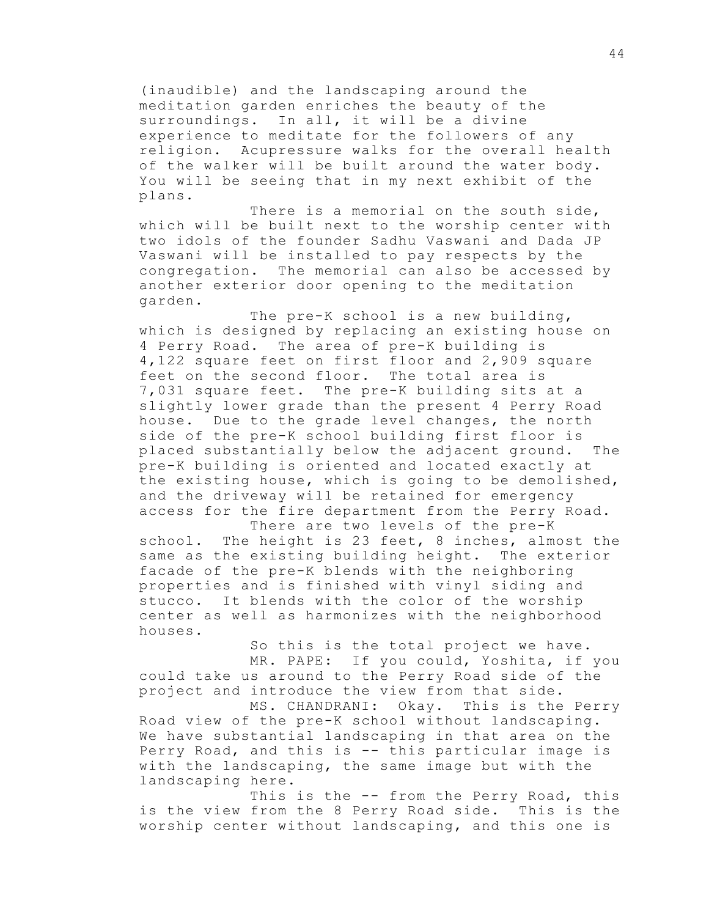(inaudible) and the landscaping around the meditation garden enriches the beauty of the surroundings. In all, it will be a divine experience to meditate for the followers of any religion. Acupressure walks for the overall health of the walker will be built around the water body. You will be seeing that in my next exhibit of the plans.

There is a memorial on the south side, which will be built next to the worship center with two idols of the founder Sadhu Vaswani and Dada JP Vaswani will be installed to pay respects by the congregation. The memorial can also be accessed by another exterior door opening to the meditation garden.

The pre-K school is a new building, which is designed by replacing an existing house on 4 Perry Road. The area of pre-K building is 4,122 square feet on first floor and 2,909 square feet on the second floor. The total area is 7,031 square feet. The pre-K building sits at a slightly lower grade than the present 4 Perry Road house. Due to the grade level changes, the north side of the pre-K school building first floor is placed substantially below the adjacent ground. The pre-K building is oriented and located exactly at the existing house, which is going to be demolished, and the driveway will be retained for emergency access for the fire department from the Perry Road.

There are two levels of the pre-K school. The height is 23 feet, 8 inches, almost the same as the existing building height. The exterior facade of the pre-K blends with the neighboring properties and is finished with vinyl siding and stucco. It blends with the color of the worship center as well as harmonizes with the neighborhood houses.

So this is the total project we have. MR. PAPE: If you could, Yoshita, if you could take us around to the Perry Road side of the project and introduce the view from that side.

MS. CHANDRANI: Okay. This is the Perry Road view of the pre-K school without landscaping. We have substantial landscaping in that area on the Perry Road, and this is -- this particular image is with the landscaping, the same image but with the landscaping here.

This is the -- from the Perry Road, this is the view from the 8 Perry Road side. This is the worship center without landscaping, and this one is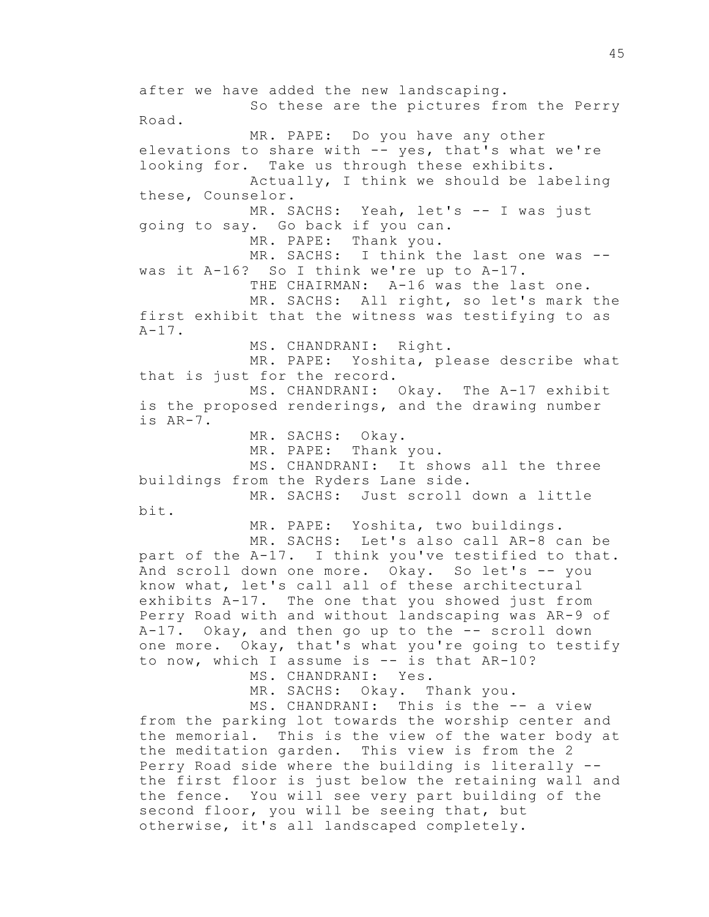after we have added the new landscaping. So these are the pictures from the Perry Road. MR. PAPE: Do you have any other elevations to share with  $-$  yes, that's what we're looking for. Take us through these exhibits. Actually, I think we should be labeling these, Counselor. MR. SACHS: Yeah, let's -- I was just going to say. Go back if you can. MR. PAPE: Thank you. MR. SACHS: I think the last one was -was it A-16? So I think we're up to A-17. THE CHAIRMAN: A-16 was the last one. MR. SACHS: All right, so let's mark the first exhibit that the witness was testifying to as  $A-17$ . MS. CHANDRANI: Right. MR. PAPE: Yoshita, please describe what that is just for the record. MS. CHANDRANI: Okay. The A-17 exhibit is the proposed renderings, and the drawing number is AR-7. MR. SACHS: Okay. MR. PAPE: Thank you. MS. CHANDRANI: It shows all the three buildings from the Ryders Lane side. MR. SACHS: Just scroll down a little bit. MR. PAPE: Yoshita, two buildings. MR. SACHS: Let's also call AR-8 can be part of the A-17. I think you've testified to that. And scroll down one more. Okay. So let's -- you know what, let's call all of these architectural exhibits A-17. The one that you showed just from Perry Road with and without landscaping was AR-9 of A-17. Okay, and then go up to the -- scroll down one more. Okay, that's what you're going to testify to now, which I assume is -- is that AR-10? MS. CHANDRANI: Yes. MR. SACHS: Okay. Thank you. MS. CHANDRANI: This is the -- a view from the parking lot towards the worship center and the memorial. This is the view of the water body at the meditation garden. This view is from the 2 Perry Road side where the building is literally - the first floor is just below the retaining wall and the fence. You will see very part building of the second floor, you will be seeing that, but

otherwise, it's all landscaped completely.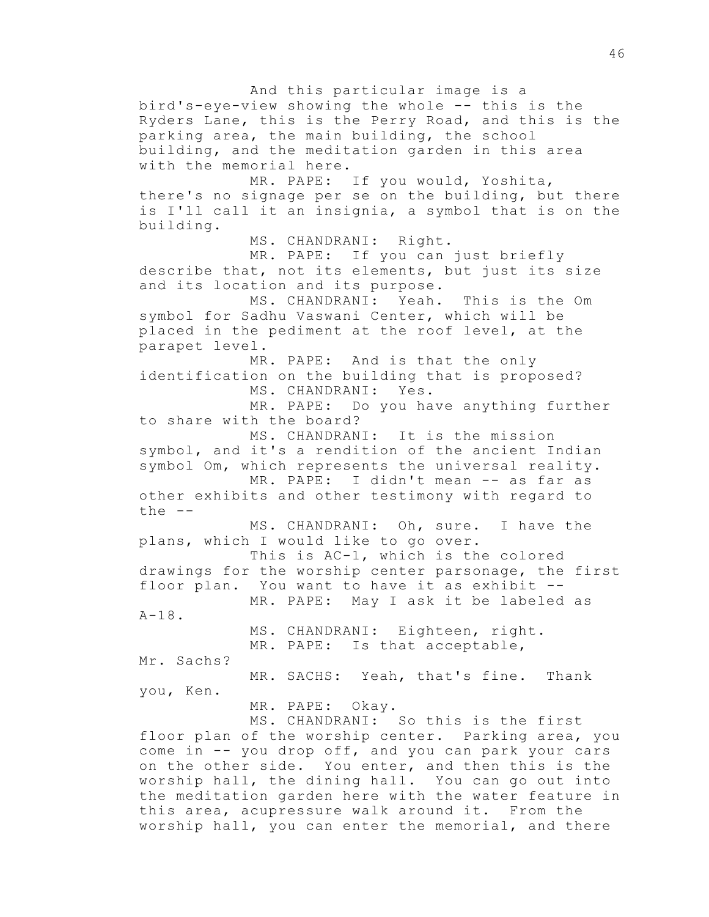And this particular image is a bird's-eye-view showing the whole -- this is the Ryders Lane, this is the Perry Road, and this is the parking area, the main building, the school building, and the meditation garden in this area with the memorial here. MR. PAPE: If you would, Yoshita, there's no signage per se on the building, but there is I'll call it an insignia, a symbol that is on the building. MS. CHANDRANI: Right. MR. PAPE: If you can just briefly describe that, not its elements, but just its size and its location and its purpose. MS. CHANDRANI: Yeah. This is the Om symbol for Sadhu Vaswani Center, which will be placed in the pediment at the roof level, at the parapet level. MR. PAPE: And is that the only identification on the building that is proposed? MS. CHANDRANI: Yes. MR. PAPE: Do you have anything further to share with the board? MS. CHANDRANI: It is the mission symbol, and it's a rendition of the ancient Indian symbol Om, which represents the universal reality. MR. PAPE: I didn't mean -- as far as other exhibits and other testimony with regard to the -- MS. CHANDRANI: Oh, sure. I have the plans, which I would like to go over. This is AC-1, which is the colored drawings for the worship center parsonage, the first floor plan. You want to have it as exhibit -- MR. PAPE: May I ask it be labeled as  $A-18$ . MS. CHANDRANI: Eighteen, right. MR. PAPE: Is that acceptable, Mr. Sachs? MR. SACHS: Yeah, that's fine. Thank you, Ken. MR. PAPE: Okay. MS. CHANDRANI: So this is the first floor plan of the worship center. Parking area, you come in -- you drop off, and you can park your cars on the other side. You enter, and then this is the worship hall, the dining hall. You can go out into the meditation garden here with the water feature in this area, acupressure walk around it. From the

worship hall, you can enter the memorial, and there

46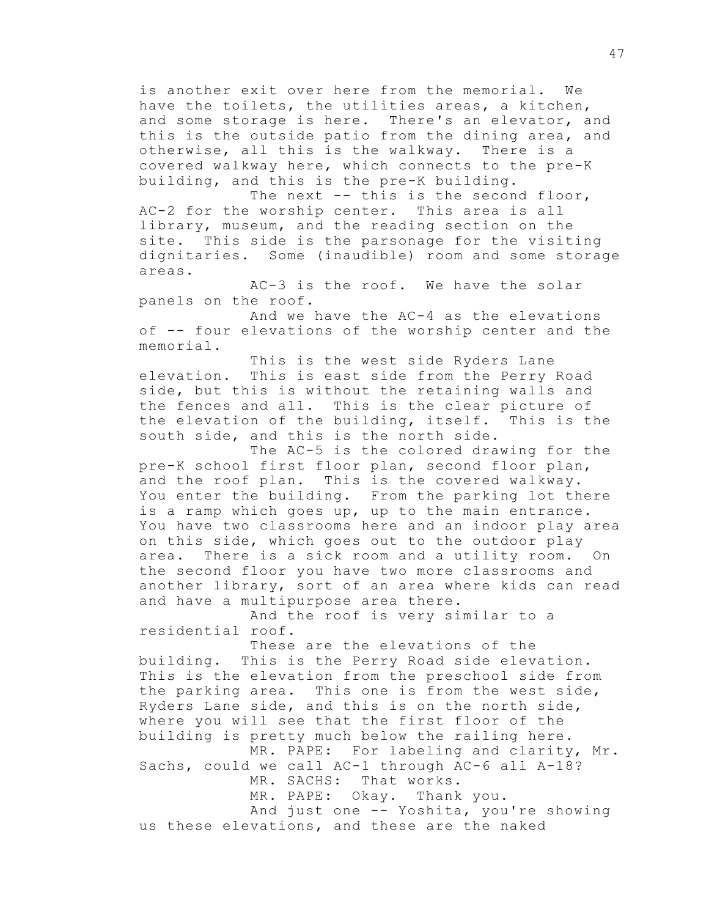is another exit over here from the memorial. We have the toilets, the utilities areas, a kitchen, and some storage is here. There's an elevator, and this is the outside patio from the dining area, and otherwise, all this is the walkway. There is a covered walkway here, which connects to the pre-K building, and this is the pre-K building.

The next -- this is the second floor, AC-2 for the worship center. This area is all library, museum, and the reading section on the site. This side is the parsonage for the visiting dignitaries. Some (inaudible) room and some storage areas.

AC-3 is the roof. We have the solar panels on the roof.

And we have the AC-4 as the elevations of -- four elevations of the worship center and the memorial.

This is the west side Ryders Lane elevation. This is east side from the Perry Road side, but this is without the retaining walls and the fences and all. This is the clear picture of the elevation of the building, itself. This is the south side, and this is the north side.

The AC-5 is the colored drawing for the pre-K school first floor plan, second floor plan, and the roof plan. This is the covered walkway. You enter the building. From the parking lot there is a ramp which goes up, up to the main entrance. You have two classrooms here and an indoor play area on this side, which goes out to the outdoor play area. There is a sick room and a utility room. On the second floor you have two more classrooms and another library, sort of an area where kids can read and have a multipurpose area there.

And the roof is very similar to a residential roof.

These are the elevations of the building. This is the Perry Road side elevation. This is the elevation from the preschool side from the parking area. This one is from the west side, Ryders Lane side, and this is on the north side, where you will see that the first floor of the building is pretty much below the railing here.

MR. PAPE: For labeling and clarity, Mr. Sachs, could we call AC-1 through AC-6 all A-18?

MR. SACHS: That works.

MR. PAPE: Okay. Thank you.

And just one -- Yoshita, you're showing us these elevations, and these are the naked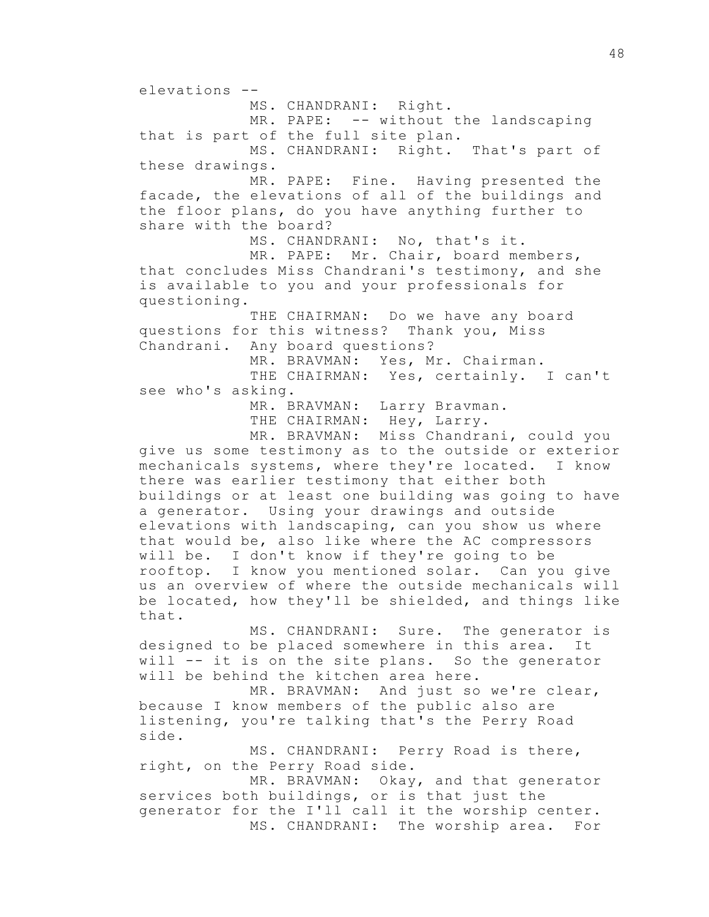elevations -- MS. CHANDRANI: Right. MR. PAPE: -- without the landscaping that is part of the full site plan. MS. CHANDRANI: Right. That's part of these drawings. MR. PAPE: Fine. Having presented the facade, the elevations of all of the buildings and the floor plans, do you have anything further to share with the board? MS. CHANDRANI: No, that's it. MR. PAPE: Mr. Chair, board members, that concludes Miss Chandrani's testimony, and she is available to you and your professionals for questioning. THE CHAIRMAN: Do we have any board questions for this witness? Thank you, Miss Chandrani. Any board questions? MR. BRAVMAN: Yes, Mr. Chairman. THE CHAIRMAN: Yes, certainly. I can't see who's asking. MR. BRAVMAN: Larry Bravman. THE CHAIRMAN: Hey, Larry. MR. BRAVMAN: Miss Chandrani, could you give us some testimony as to the outside or exterior mechanicals systems, where they're located. I know there was earlier testimony that either both buildings or at least one building was going to have a generator. Using your drawings and outside elevations with landscaping, can you show us where that would be, also like where the AC compressors will be. I don't know if they're going to be rooftop. I know you mentioned solar. Can you give us an overview of where the outside mechanicals will be located, how they'll be shielded, and things like that. MS. CHANDRANI: Sure. The generator is designed to be placed somewhere in this area. It will -- it is on the site plans. So the generator will be behind the kitchen area here. MR. BRAVMAN: And just so we're clear, because I know members of the public also are listening, you're talking that's the Perry Road side. MS. CHANDRANI: Perry Road is there, right, on the Perry Road side.

MR. BRAVMAN: Okay, and that generator services both buildings, or is that just the generator for the I'll call it the worship center. MS. CHANDRANI: The worship area. For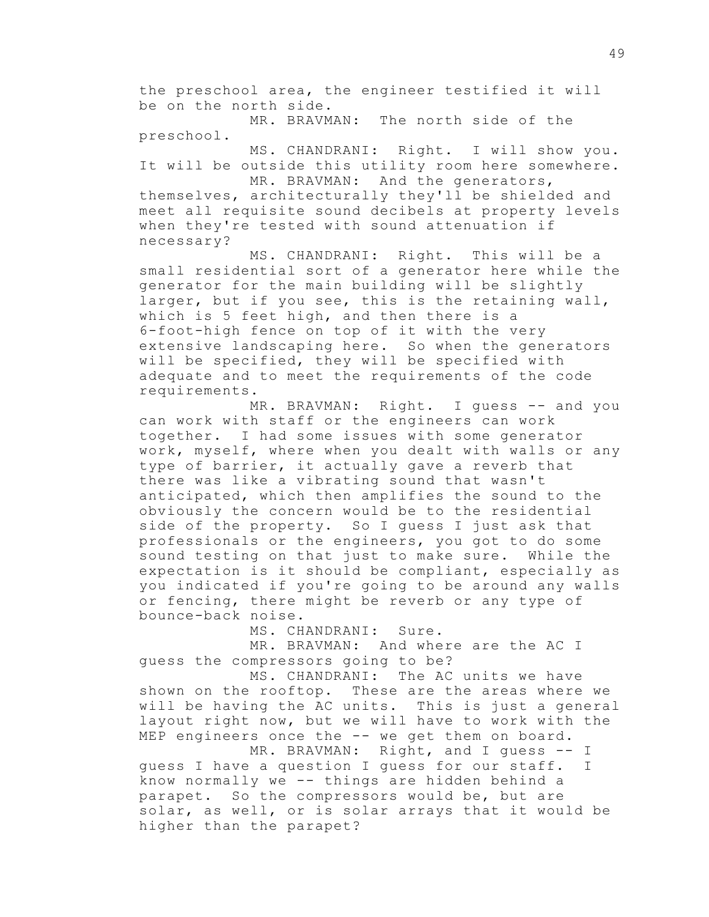the preschool area, the engineer testified it will be on the north side.

MR. BRAVMAN: The north side of the preschool.

MS. CHANDRANI: Right. I will show you. It will be outside this utility room here somewhere.

MR. BRAVMAN: And the generators, themselves, architecturally they'll be shielded and meet all requisite sound decibels at property levels when they're tested with sound attenuation if necessary?

MS. CHANDRANI: Right. This will be a small residential sort of a generator here while the generator for the main building will be slightly larger, but if you see, this is the retaining wall, which is 5 feet high, and then there is a 6-foot-high fence on top of it with the very extensive landscaping here. So when the generators will be specified, they will be specified with adequate and to meet the requirements of the code requirements.

MR. BRAVMAN: Right. I guess -- and you can work with staff or the engineers can work together. I had some issues with some generator work, myself, where when you dealt with walls or any type of barrier, it actually gave a reverb that there was like a vibrating sound that wasn't anticipated, which then amplifies the sound to the obviously the concern would be to the residential side of the property. So I guess I just ask that professionals or the engineers, you got to do some sound testing on that just to make sure. While the expectation is it should be compliant, especially as you indicated if you're going to be around any walls or fencing, there might be reverb or any type of bounce-back noise.

MS. CHANDRANI: Sure.

MR. BRAVMAN: And where are the AC I guess the compressors going to be?

MS. CHANDRANI: The AC units we have shown on the rooftop. These are the areas where we will be having the AC units. This is just a general layout right now, but we will have to work with the MEP engineers once the -- we get them on board.

MR. BRAVMAN: Right, and I quess -- I guess I have a question I guess for our staff. I know normally we -- things are hidden behind a parapet. So the compressors would be, but are solar, as well, or is solar arrays that it would be higher than the parapet?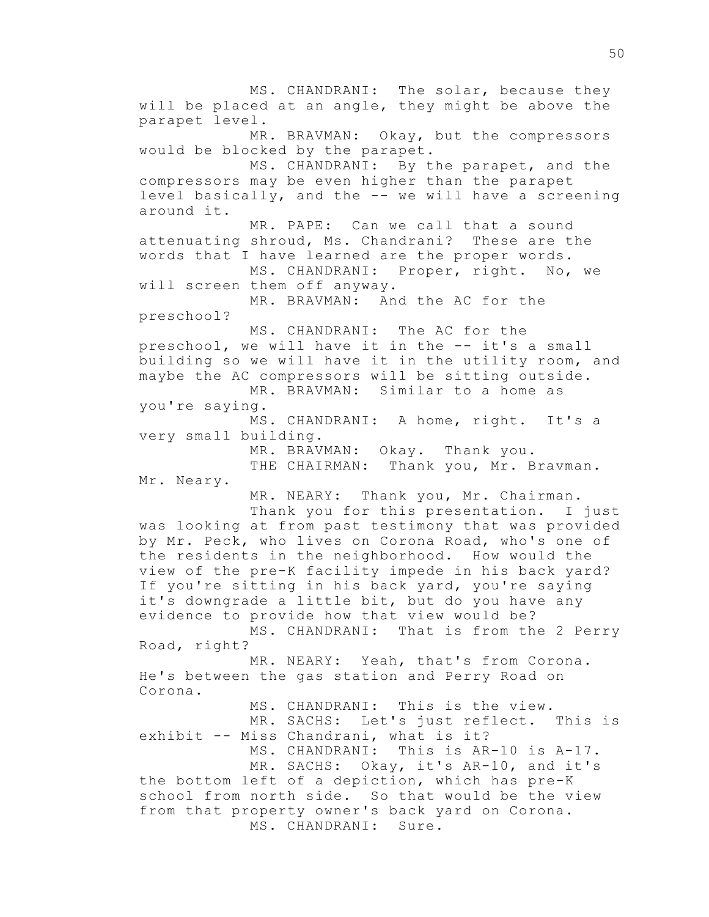MS. CHANDRANI: The solar, because they will be placed at an angle, they might be above the parapet level. MR. BRAVMAN: Okay, but the compressors would be blocked by the parapet. MS. CHANDRANI: By the parapet, and the compressors may be even higher than the parapet level basically, and the -- we will have a screening around it. MR. PAPE: Can we call that a sound attenuating shroud, Ms. Chandrani? These are the words that I have learned are the proper words. MS. CHANDRANI: Proper, right. No, we will screen them off anyway. MR. BRAVMAN: And the AC for the preschool? MS. CHANDRANI: The AC for the preschool, we will have it in the -- it's a small building so we will have it in the utility room, and maybe the AC compressors will be sitting outside. MR. BRAVMAN: Similar to a home as you're saying. MS. CHANDRANI: A home, right. It's a very small building. MR. BRAVMAN: Okay. Thank you. THE CHAIRMAN: Thank you, Mr. Bravman. Mr. Neary. MR. NEARY: Thank you, Mr. Chairman. Thank you for this presentation. I just was looking at from past testimony that was provided by Mr. Peck, who lives on Corona Road, who's one of the residents in the neighborhood. How would the view of the pre-K facility impede in his back yard? If you're sitting in his back yard, you're saying it's downgrade a little bit, but do you have any evidence to provide how that view would be? MS. CHANDRANI: That is from the 2 Perry Road, right? MR. NEARY: Yeah, that's from Corona. He's between the gas station and Perry Road on Corona. MS. CHANDRANI: This is the view. MR. SACHS: Let's just reflect. This is exhibit -- Miss Chandrani, what is it? MS. CHANDRANI: This is AR-10 is A-17. MR. SACHS: Okay, it's AR-10, and it's the bottom left of a depiction, which has pre-K school from north side. So that would be the view from that property owner's back yard on Corona. MS. CHANDRANI: Sure.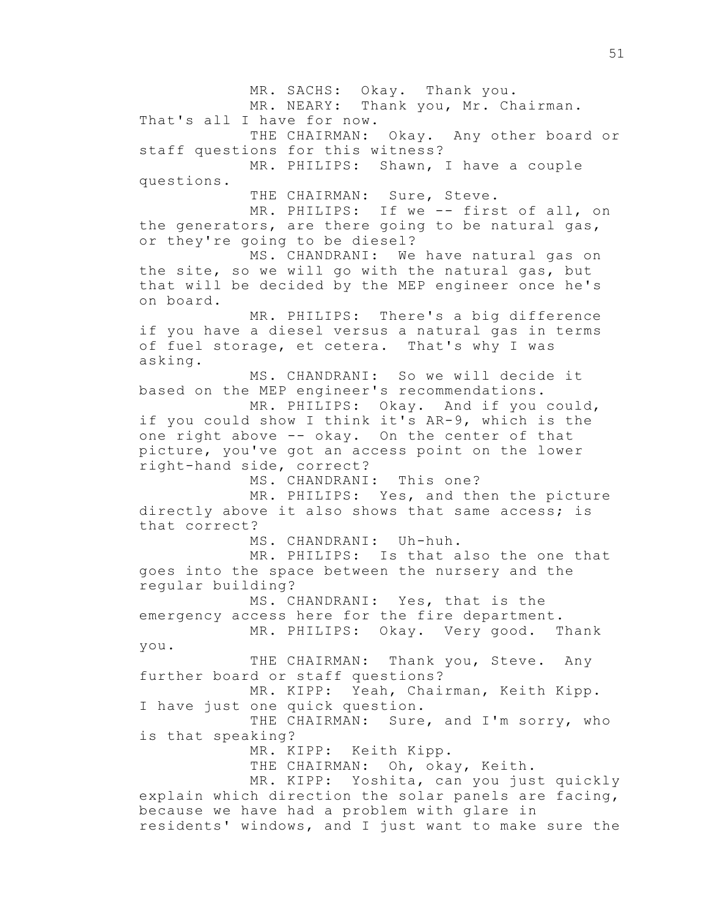MR. SACHS: Okay. Thank you. MR. NEARY: Thank you, Mr. Chairman. That's all I have for now. THE CHAIRMAN: Okay. Any other board or staff questions for this witness? MR. PHILIPS: Shawn, I have a couple questions. THE CHAIRMAN: Sure, Steve. MR. PHILIPS: If we -- first of all, on the generators, are there going to be natural gas, or they're going to be diesel? MS. CHANDRANI: We have natural gas on the site, so we will go with the natural gas, but that will be decided by the MEP engineer once he's on board. MR. PHILIPS: There's a big difference if you have a diesel versus a natural gas in terms of fuel storage, et cetera. That's why I was asking. MS. CHANDRANI: So we will decide it based on the MEP engineer's recommendations. MR. PHILIPS: Okay. And if you could, if you could show I think it's AR-9, which is the one right above -- okay. On the center of that picture, you've got an access point on the lower right-hand side, correct? MS. CHANDRANI: This one? MR. PHILIPS: Yes, and then the picture directly above it also shows that same access; is that correct? MS. CHANDRANI: Uh-huh. MR. PHILIPS: Is that also the one that goes into the space between the nursery and the regular building? MS. CHANDRANI: Yes, that is the emergency access here for the fire department. MR. PHILIPS: Okay. Very good. Thank you. THE CHAIRMAN: Thank you, Steve. Any further board or staff questions? MR. KIPP: Yeah, Chairman, Keith Kipp. I have just one quick question. THE CHAIRMAN: Sure, and I'm sorry, who is that speaking? MR. KIPP: Keith Kipp. THE CHAIRMAN: Oh, okay, Keith. MR. KIPP: Yoshita, can you just quickly explain which direction the solar panels are facing, because we have had a problem with glare in residents' windows, and I just want to make sure the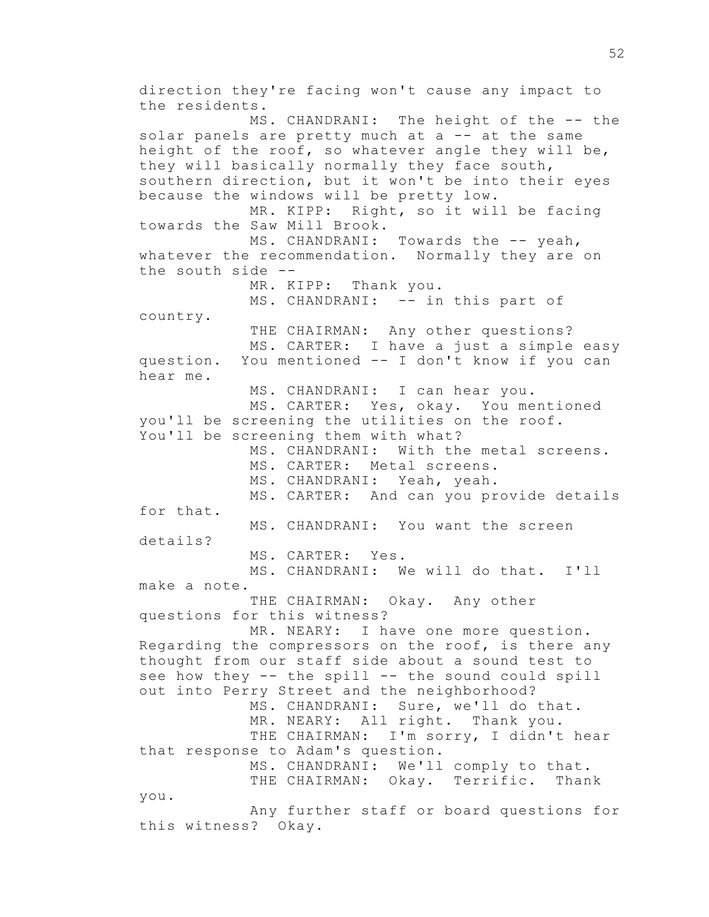direction they're facing won't cause any impact to the residents. MS. CHANDRANI: The height of the -- the solar panels are pretty much at a -- at the same height of the roof, so whatever angle they will be, they will basically normally they face south, southern direction, but it won't be into their eyes because the windows will be pretty low. MR. KIPP: Right, so it will be facing towards the Saw Mill Brook. MS. CHANDRANI: Towards the -- yeah, whatever the recommendation. Normally they are on the south side -- MR. KIPP: Thank you. MS. CHANDRANI: -- in this part of country. THE CHAIRMAN: Any other questions? MS. CARTER: I have a just a simple easy question. You mentioned -- I don't know if you can hear me. MS. CHANDRANI: I can hear you. MS. CARTER: Yes, okay. You mentioned you'll be screening the utilities on the roof. You'll be screening them with what? MS. CHANDRANI: With the metal screens. MS. CARTER: Metal screens. MS. CHANDRANI: Yeah, yeah. MS. CARTER: And can you provide details for that. MS. CHANDRANI: You want the screen details? MS. CARTER: Yes. MS. CHANDRANI: We will do that. I'll make a note. THE CHAIRMAN: Okay. Any other questions for this witness? MR. NEARY: I have one more question. Regarding the compressors on the roof, is there any thought from our staff side about a sound test to see how they -- the spill -- the sound could spill out into Perry Street and the neighborhood? MS. CHANDRANI: Sure, we'll do that. MR. NEARY: All right. Thank you. THE CHAIRMAN: I'm sorry, I didn't hear that response to Adam's question. MS. CHANDRANI: We'll comply to that. THE CHAIRMAN: Okay. Terrific. Thank you. Any further staff or board questions for this witness? Okay.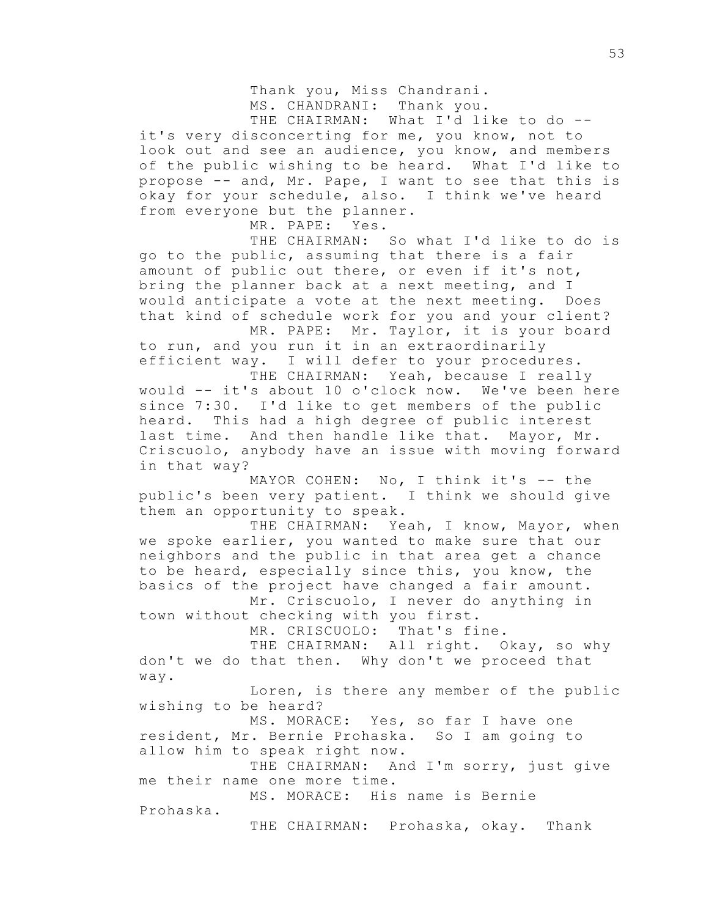Thank you, Miss Chandrani. MS. CHANDRANI: Thank you. THE CHAIRMAN: What I'd like to do -it's very disconcerting for me, you know, not to

look out and see an audience, you know, and members of the public wishing to be heard. What I'd like to propose -- and, Mr. Pape, I want to see that this is okay for your schedule, also. I think we've heard from everyone but the planner.

MR. PAPE: Yes.

THE CHAIRMAN: So what I'd like to do is go to the public, assuming that there is a fair amount of public out there, or even if it's not, bring the planner back at a next meeting, and I would anticipate a vote at the next meeting. Does that kind of schedule work for you and your client? MR. PAPE: Mr. Taylor, it is your board

to run, and you run it in an extraordinarily efficient way. I will defer to your procedures.

THE CHAIRMAN: Yeah, because I really would -- it's about 10 o'clock now. We've been here since 7:30. I'd like to get members of the public heard. This had a high degree of public interest last time. And then handle like that. Mayor, Mr. Criscuolo, anybody have an issue with moving forward in that way?

MAYOR COHEN: No, I think it's -- the public's been very patient. I think we should give them an opportunity to speak.

THE CHAIRMAN: Yeah, I know, Mayor, when we spoke earlier, you wanted to make sure that our neighbors and the public in that area get a chance to be heard, especially since this, you know, the basics of the project have changed a fair amount.

Mr. Criscuolo, I never do anything in town without checking with you first.

MR. CRISCUOLO: That's fine.

THE CHAIRMAN: All right. Okay, so why don't we do that then. Why don't we proceed that way.

Loren, is there any member of the public wishing to be heard?

MS. MORACE: Yes, so far I have one resident, Mr. Bernie Prohaska. So I am going to allow him to speak right now.

THE CHAIRMAN: And I'm sorry, just give me their name one more time.

MS. MORACE: His name is Bernie Prohaska.

THE CHAIRMAN: Prohaska, okay. Thank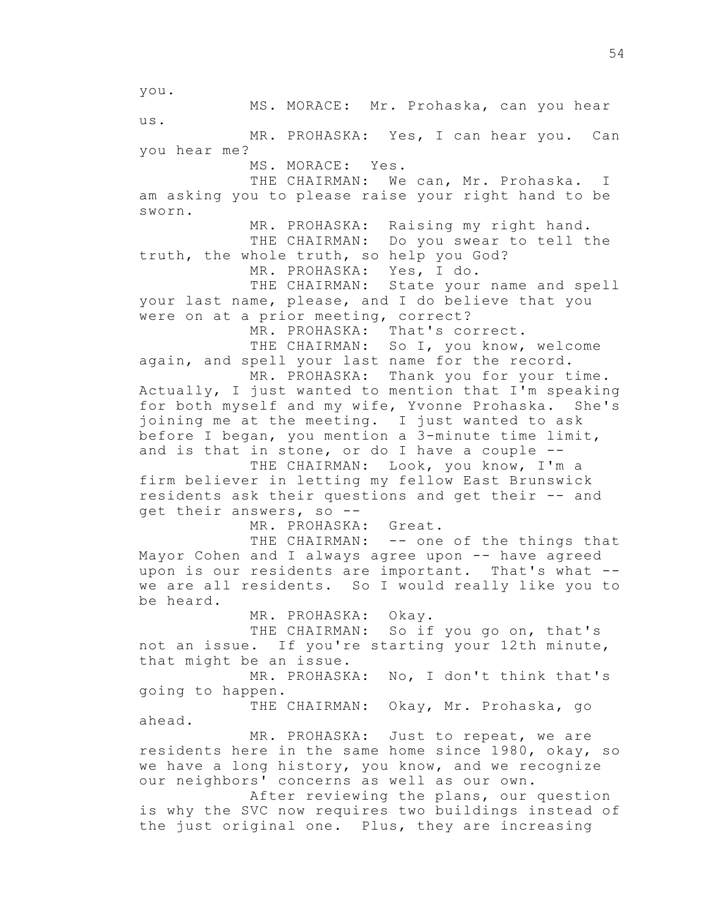you. MS. MORACE: Mr. Prohaska, can you hear us. MR. PROHASKA: Yes, I can hear you. Can you hear me? MS. MORACE: Yes. THE CHAIRMAN: We can, Mr. Prohaska. I am asking you to please raise your right hand to be sworn. MR. PROHASKA: Raising my right hand. THE CHAIRMAN: Do you swear to tell the truth, the whole truth, so help you God? MR. PROHASKA: Yes, I do. THE CHAIRMAN: State your name and spell your last name, please, and I do believe that you were on at a prior meeting, correct? MR. PROHASKA: That's correct. THE CHAIRMAN: So I, you know, welcome again, and spell your last name for the record. MR. PROHASKA: Thank you for your time. Actually, I just wanted to mention that I'm speaking for both myself and my wife, Yvonne Prohaska. She's joining me at the meeting. I just wanted to ask before I began, you mention a 3-minute time limit, and is that in stone, or do I have a couple -- THE CHAIRMAN: Look, you know, I'm a firm believer in letting my fellow East Brunswick residents ask their questions and get their -- and get their answers, so -- MR. PROHASKA: Great. THE CHAIRMAN: -- one of the things that Mayor Cohen and I always agree upon -- have agreed upon is our residents are important. That's what - we are all residents. So I would really like you to be heard. MR. PROHASKA: Okay. THE CHAIRMAN: So if you go on, that's not an issue. If you're starting your 12th minute, that might be an issue. MR. PROHASKA: No, I don't think that's going to happen. THE CHAIRMAN: Okay, Mr. Prohaska, go ahead. MR. PROHASKA: Just to repeat, we are residents here in the same home since 1980, okay, so we have a long history, you know, and we recognize our neighbors' concerns as well as our own. After reviewing the plans, our question is why the SVC now requires two buildings instead of the just original one. Plus, they are increasing

54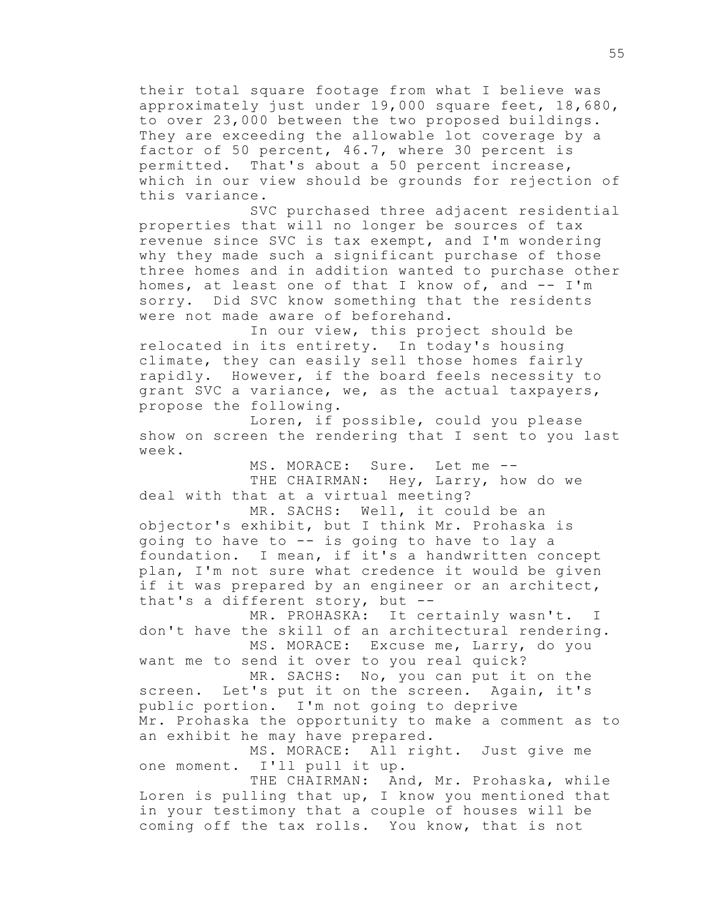their total square footage from what I believe was approximately just under 19,000 square feet, 18,680, to over 23,000 between the two proposed buildings. They are exceeding the allowable lot coverage by a factor of 50 percent, 46.7, where 30 percent is permitted. That's about a 50 percent increase, which in our view should be grounds for rejection of this variance.

SVC purchased three adjacent residential properties that will no longer be sources of tax revenue since SVC is tax exempt, and I'm wondering why they made such a significant purchase of those three homes and in addition wanted to purchase other homes, at least one of that I know of, and -- I'm sorry. Did SVC know something that the residents were not made aware of beforehand.

In our view, this project should be relocated in its entirety. In today's housing climate, they can easily sell those homes fairly rapidly. However, if the board feels necessity to grant SVC a variance, we, as the actual taxpayers, propose the following.

Loren, if possible, could you please show on screen the rendering that I sent to you last week.

MS. MORACE: Sure. Let me -- THE CHAIRMAN: Hey, Larry, how do we deal with that at a virtual meeting?

MR. SACHS: Well, it could be an objector's exhibit, but I think Mr. Prohaska is going to have to -- is going to have to lay a foundation. I mean, if it's a handwritten concept plan, I'm not sure what credence it would be given if it was prepared by an engineer or an architect, that's a different story, but --

MR. PROHASKA: It certainly wasn't. I don't have the skill of an architectural rendering. MS. MORACE: Excuse me, Larry, do you

want me to send it over to you real quick? MR. SACHS: No, you can put it on the

screen. Let's put it on the screen. Again, it's public portion. I'm not going to deprive Mr. Prohaska the opportunity to make a comment as to an exhibit he may have prepared.

MS. MORACE: All right. Just give me one moment. I'll pull it up.

THE CHAIRMAN: And, Mr. Prohaska, while Loren is pulling that up, I know you mentioned that in your testimony that a couple of houses will be coming off the tax rolls. You know, that is not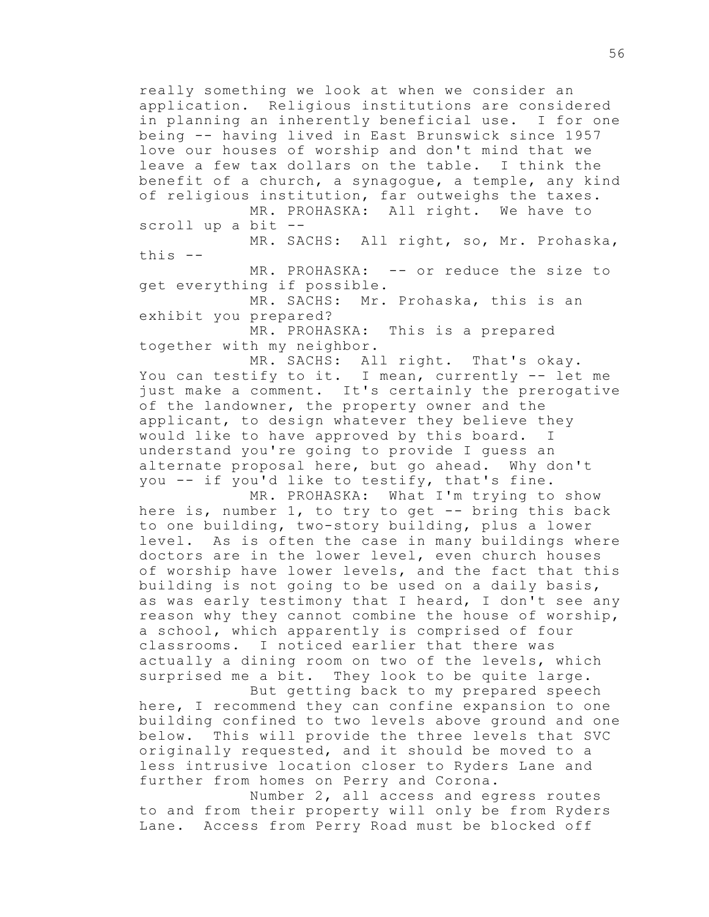really something we look at when we consider an application. Religious institutions are considered in planning an inherently beneficial use. I for one being -- having lived in East Brunswick since 1957 love our houses of worship and don't mind that we leave a few tax dollars on the table. I think the benefit of a church, a synagogue, a temple, any kind of religious institution, far outweighs the taxes. MR. PROHASKA: All right. We have to scroll up a bit --

MR. SACHS: All right, so, Mr. Prohaska, this --

MR. PROHASKA: -- or reduce the size to get everything if possible.

MR. SACHS: Mr. Prohaska, this is an exhibit you prepared?

MR. PROHASKA: This is a prepared together with my neighbor.

MR. SACHS: All right. That's okay. You can testify to it. I mean, currently -- let me just make a comment. It's certainly the prerogative of the landowner, the property owner and the applicant, to design whatever they believe they would like to have approved by this board. I understand you're going to provide I guess an alternate proposal here, but go ahead. Why don't you -- if you'd like to testify, that's fine.

MR. PROHASKA: What I'm trying to show here is, number 1, to try to get -- bring this back to one building, two-story building, plus a lower level. As is often the case in many buildings where doctors are in the lower level, even church houses of worship have lower levels, and the fact that this building is not going to be used on a daily basis, as was early testimony that I heard, I don't see any reason why they cannot combine the house of worship, a school, which apparently is comprised of four classrooms. I noticed earlier that there was actually a dining room on two of the levels, which surprised me a bit. They look to be quite large.

But getting back to my prepared speech here, I recommend they can confine expansion to one building confined to two levels above ground and one below. This will provide the three levels that SVC originally requested, and it should be moved to a less intrusive location closer to Ryders Lane and further from homes on Perry and Corona.

Number 2, all access and egress routes to and from their property will only be from Ryders Lane. Access from Perry Road must be blocked off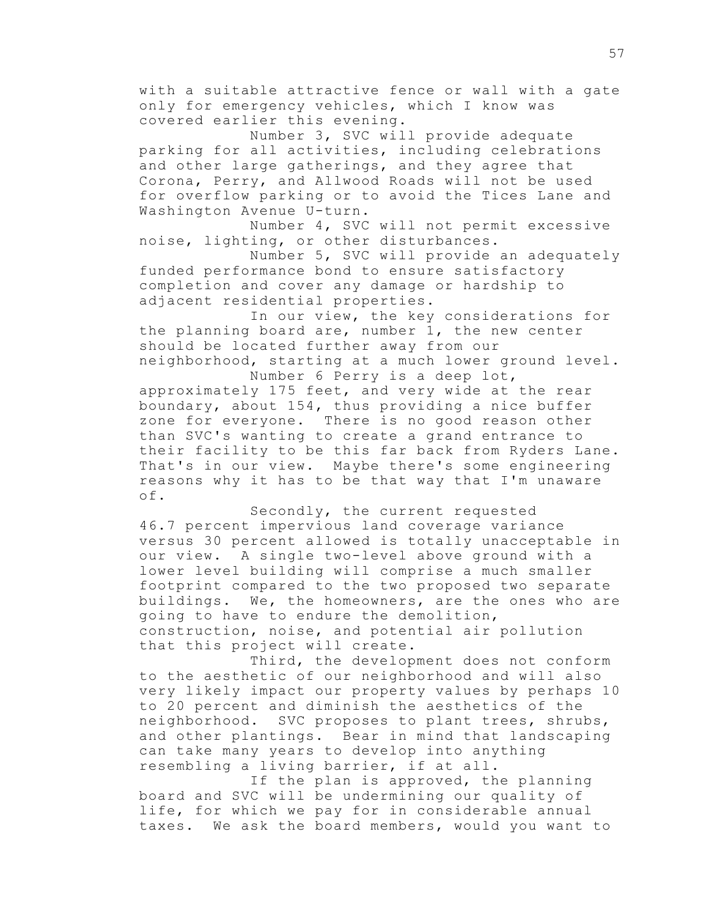with a suitable attractive fence or wall with a gate only for emergency vehicles, which I know was covered earlier this evening.

Number 3, SVC will provide adequate parking for all activities, including celebrations and other large gatherings, and they agree that Corona, Perry, and Allwood Roads will not be used for overflow parking or to avoid the Tices Lane and Washington Avenue U-turn.

Number 4, SVC will not permit excessive noise, lighting, or other disturbances.

Number 5, SVC will provide an adequately funded performance bond to ensure satisfactory completion and cover any damage or hardship to adjacent residential properties.

In our view, the key considerations for the planning board are, number 1, the new center should be located further away from our neighborhood, starting at a much lower ground level. Number 6 Perry is a deep lot,

approximately 175 feet, and very wide at the rear boundary, about 154, thus providing a nice buffer zone for everyone. There is no good reason other than SVC's wanting to create a grand entrance to their facility to be this far back from Ryders Lane. That's in our view. Maybe there's some engineering reasons why it has to be that way that I'm unaware of.

Secondly, the current requested 46.7 percent impervious land coverage variance versus 30 percent allowed is totally unacceptable in our view. A single two-level above ground with a lower level building will comprise a much smaller footprint compared to the two proposed two separate buildings. We, the homeowners, are the ones who are going to have to endure the demolition, construction, noise, and potential air pollution that this project will create.

Third, the development does not conform to the aesthetic of our neighborhood and will also very likely impact our property values by perhaps 10 to 20 percent and diminish the aesthetics of the neighborhood. SVC proposes to plant trees, shrubs, and other plantings. Bear in mind that landscaping can take many years to develop into anything resembling a living barrier, if at all.

If the plan is approved, the planning board and SVC will be undermining our quality of life, for which we pay for in considerable annual taxes. We ask the board members, would you want to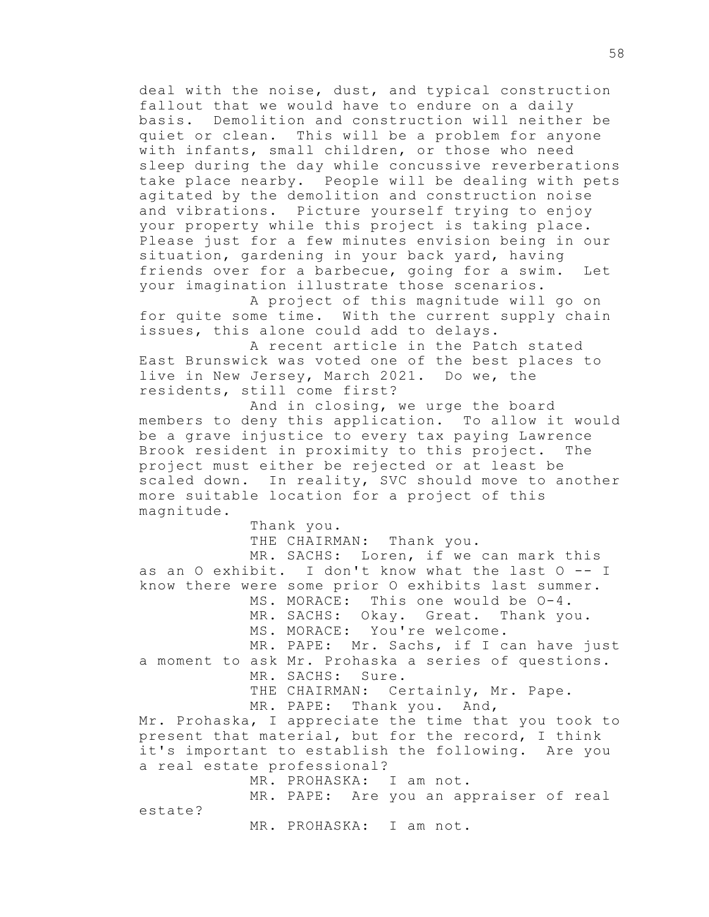deal with the noise, dust, and typical construction fallout that we would have to endure on a daily basis. Demolition and construction will neither be quiet or clean. This will be a problem for anyone with infants, small children, or those who need sleep during the day while concussive reverberations take place nearby. People will be dealing with pets agitated by the demolition and construction noise and vibrations. Picture yourself trying to enjoy your property while this project is taking place. Please just for a few minutes envision being in our situation, gardening in your back yard, having friends over for a barbecue, going for a swim. Let your imagination illustrate those scenarios.

A project of this magnitude will go on for quite some time. With the current supply chain issues, this alone could add to delays.

A recent article in the Patch stated East Brunswick was voted one of the best places to live in New Jersey, March 2021. Do we, the residents, still come first?

And in closing, we urge the board members to deny this application. To allow it would be a grave injustice to every tax paying Lawrence Brook resident in proximity to this project. The project must either be rejected or at least be scaled down. In reality, SVC should move to another more suitable location for a project of this magnitude.

Thank you. THE CHAIRMAN: Thank you. MR. SACHS: Loren, if we can mark this as an O exhibit. I don't know what the last O -- I know there were some prior O exhibits last summer. MS. MORACE: This one would be O-4. MR. SACHS: Okay. Great. Thank you. MS. MORACE: You're welcome. MR. PAPE: Mr. Sachs, if I can have just a moment to ask Mr. Prohaska a series of questions. MR. SACHS: Sure. THE CHAIRMAN: Certainly, Mr. Pape. MR. PAPE: Thank you. And, Mr. Prohaska, I appreciate the time that you took to present that material, but for the record, I think it's important to establish the following. Are you a real estate professional? MR. PROHASKA: I am not. MR. PAPE: Are you an appraiser of real

estate?

MR. PROHASKA: I am not.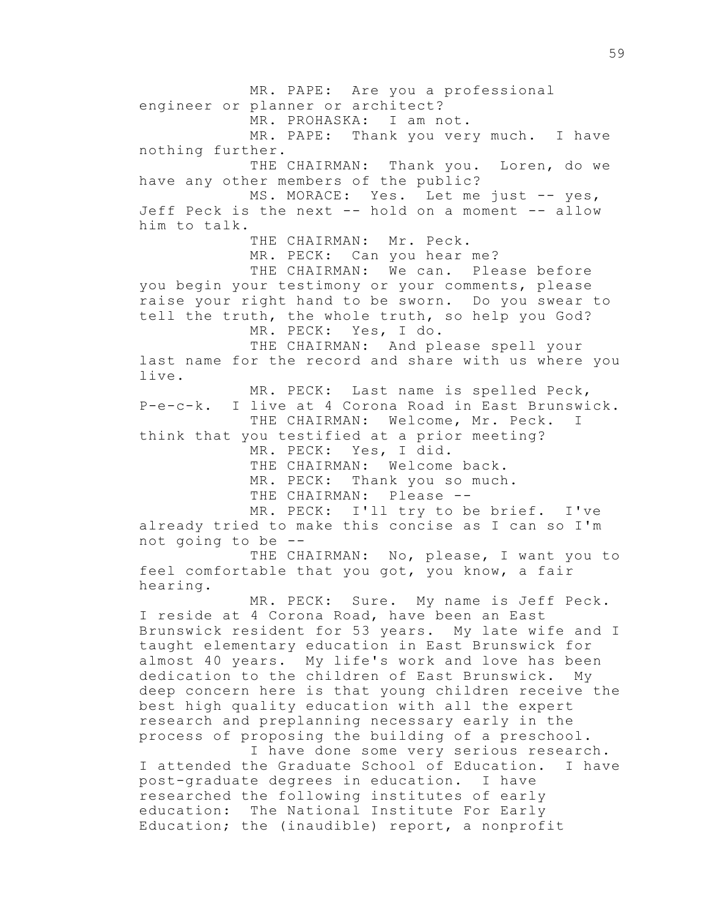MR. PAPE: Are you a professional engineer or planner or architect? MR. PROHASKA: I am not. MR. PAPE: Thank you very much. I have nothing further. THE CHAIRMAN: Thank you. Loren, do we have any other members of the public? MS. MORACE: Yes. Let me just -- yes, Jeff Peck is the next -- hold on a moment -- allow him to talk. THE CHAIRMAN: Mr. Peck. MR. PECK: Can you hear me? THE CHAIRMAN: We can. Please before you begin your testimony or your comments, please raise your right hand to be sworn. Do you swear to tell the truth, the whole truth, so help you God? MR. PECK: Yes, I do. THE CHAIRMAN: And please spell your last name for the record and share with us where you live. MR. PECK: Last name is spelled Peck, P-e-c-k. I live at 4 Corona Road in East Brunswick. THE CHAIRMAN: Welcome, Mr. Peck. I think that you testified at a prior meeting? MR. PECK: Yes, I did. THE CHAIRMAN: Welcome back. MR. PECK: Thank you so much. THE CHAIRMAN: Please --MR. PECK: I'll try to be brief. I've already tried to make this concise as I can so I'm not going to be -- THE CHAIRMAN: No, please, I want you to feel comfortable that you got, you know, a fair hearing. MR. PECK: Sure. My name is Jeff Peck. I reside at 4 Corona Road, have been an East Brunswick resident for 53 years. My late wife and I taught elementary education in East Brunswick for almost 40 years. My life's work and love has been dedication to the children of East Brunswick. My deep concern here is that young children receive the best high quality education with all the expert research and preplanning necessary early in the process of proposing the building of a preschool. I have done some very serious research.

I attended the Graduate School of Education. I have post-graduate degrees in education. I have researched the following institutes of early education: The National Institute For Early Education; the (inaudible) report, a nonprofit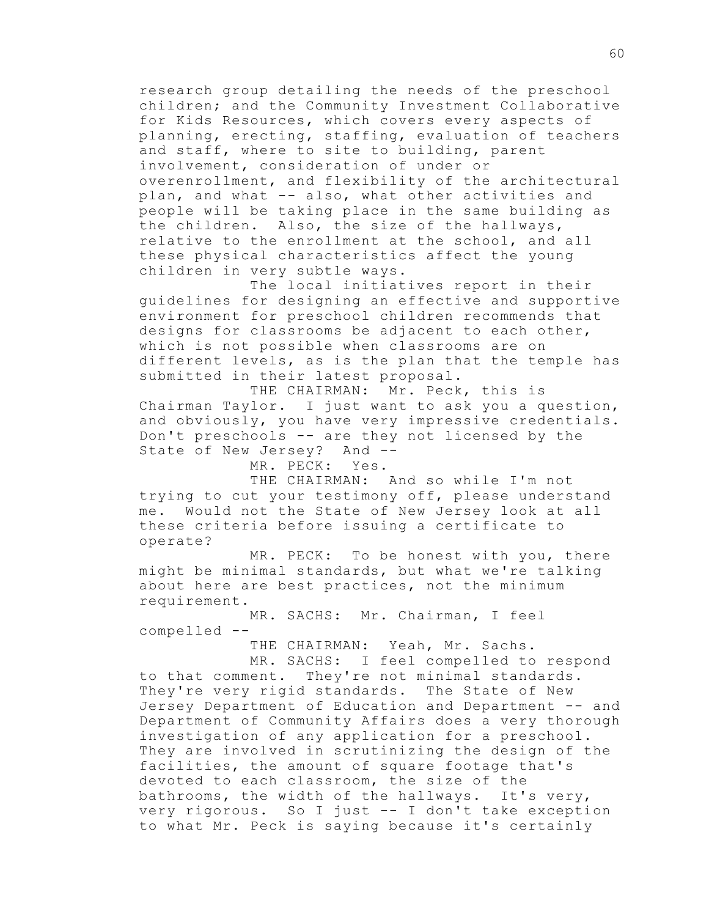research group detailing the needs of the preschool children; and the Community Investment Collaborative for Kids Resources, which covers every aspects of planning, erecting, staffing, evaluation of teachers and staff, where to site to building, parent involvement, consideration of under or overenrollment, and flexibility of the architectural plan, and what -- also, what other activities and people will be taking place in the same building as the children. Also, the size of the hallways, relative to the enrollment at the school, and all these physical characteristics affect the young children in very subtle ways.

The local initiatives report in their guidelines for designing an effective and supportive environment for preschool children recommends that designs for classrooms be adjacent to each other, which is not possible when classrooms are on different levels, as is the plan that the temple has submitted in their latest proposal.

THE CHAIRMAN: Mr. Peck, this is Chairman Taylor. I just want to ask you a question, and obviously, you have very impressive credentials. Don't preschools -- are they not licensed by the State of New Jersey? And --

MR. PECK: Yes.

THE CHAIRMAN: And so while I'm not trying to cut your testimony off, please understand me. Would not the State of New Jersey look at all these criteria before issuing a certificate to operate?

MR. PECK: To be honest with you, there might be minimal standards, but what we're talking about here are best practices, not the minimum requirement.

MR. SACHS: Mr. Chairman, I feel compelled --

THE CHAIRMAN: Yeah, Mr. Sachs.

MR. SACHS: I feel compelled to respond to that comment. They're not minimal standards. They're very rigid standards. The State of New Jersey Department of Education and Department -- and Department of Community Affairs does a very thorough investigation of any application for a preschool. They are involved in scrutinizing the design of the facilities, the amount of square footage that's devoted to each classroom, the size of the bathrooms, the width of the hallways. It's very, very rigorous. So I just -- I don't take exception to what Mr. Peck is saying because it's certainly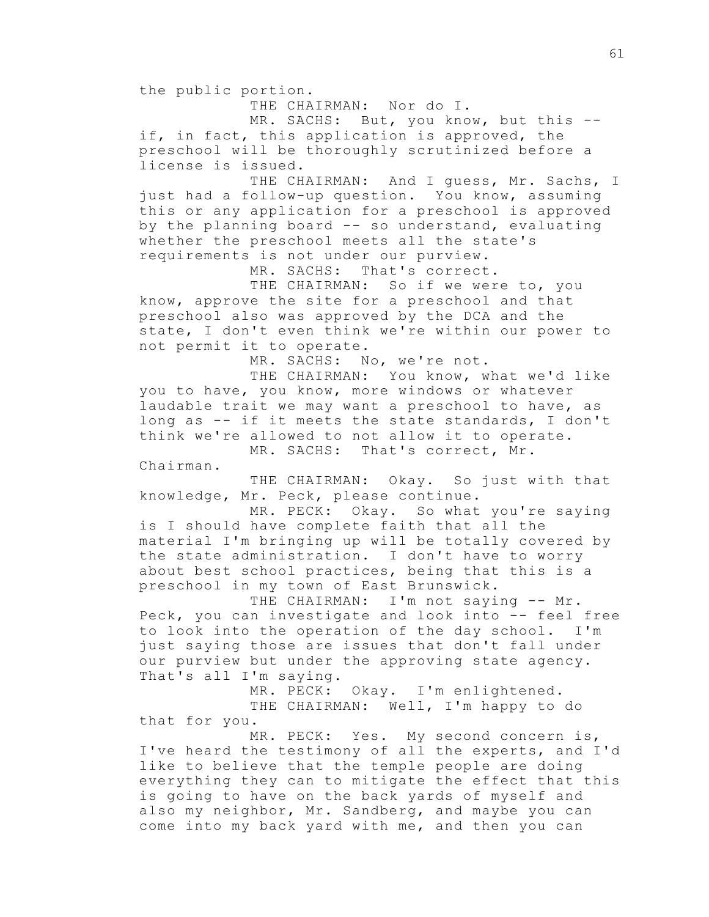the public portion.

THE CHAIRMAN: Nor do I.

MR. SACHS: But, you know, but this -if, in fact, this application is approved, the preschool will be thoroughly scrutinized before a license is issued.

THE CHAIRMAN: And I guess, Mr. Sachs, I just had a follow-up question. You know, assuming this or any application for a preschool is approved by the planning board -- so understand, evaluating whether the preschool meets all the state's requirements is not under our purview.

MR. SACHS: That's correct.

THE CHAIRMAN: So if we were to, you know, approve the site for a preschool and that preschool also was approved by the DCA and the state, I don't even think we're within our power to not permit it to operate.

MR. SACHS: No, we're not.

THE CHAIRMAN: You know, what we'd like you to have, you know, more windows or whatever laudable trait we may want a preschool to have, as long as -- if it meets the state standards, I don't think we're allowed to not allow it to operate. MR. SACHS: That's correct, Mr.

Chairman.

THE CHAIRMAN: Okay. So just with that knowledge, Mr. Peck, please continue.

MR. PECK: Okay. So what you're saying is I should have complete faith that all the material I'm bringing up will be totally covered by the state administration. I don't have to worry about best school practices, being that this is a preschool in my town of East Brunswick.

THE CHAIRMAN: I'm not saying -- Mr. Peck, you can investigate and look into -- feel free to look into the operation of the day school. I'm just saying those are issues that don't fall under our purview but under the approving state agency. That's all I'm saying.

> MR. PECK: Okay. I'm enlightened. THE CHAIRMAN: Well, I'm happy to do

that for you.

MR. PECK: Yes. My second concern is, I've heard the testimony of all the experts, and I'd like to believe that the temple people are doing everything they can to mitigate the effect that this is going to have on the back yards of myself and also my neighbor, Mr. Sandberg, and maybe you can come into my back yard with me, and then you can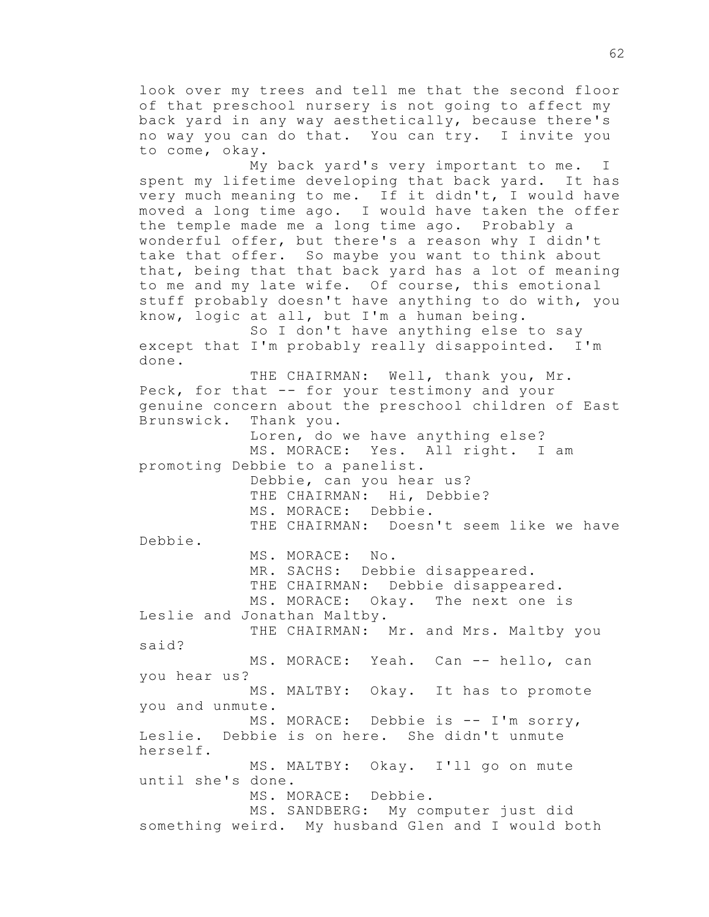look over my trees and tell me that the second floor of that preschool nursery is not going to affect my back yard in any way aesthetically, because there's no way you can do that. You can try. I invite you to come, okay.

My back yard's very important to me. I spent my lifetime developing that back yard. It has very much meaning to me. If it didn't, I would have moved a long time ago. I would have taken the offer the temple made me a long time ago. Probably a wonderful offer, but there's a reason why I didn't take that offer. So maybe you want to think about that, being that that back yard has a lot of meaning to me and my late wife. Of course, this emotional stuff probably doesn't have anything to do with, you know, logic at all, but I'm a human being.

So I don't have anything else to say except that I'm probably really disappointed. I'm done.

THE CHAIRMAN: Well, thank you, Mr. Peck, for that -- for your testimony and your genuine concern about the preschool children of East Brunswick. Thank you. Loren, do we have anything else? MS. MORACE: Yes. All right. I am promoting Debbie to a panelist. Debbie, can you hear us? THE CHAIRMAN: Hi, Debbie? MS. MORACE: Debbie. THE CHAIRMAN: Doesn't seem like we have Debbie. MS. MORACE: No. MR. SACHS: Debbie disappeared. THE CHAIRMAN: Debbie disappeared. MS. MORACE: Okay. The next one is Leslie and Jonathan Maltby. THE CHAIRMAN: Mr. and Mrs. Maltby you said? MS. MORACE: Yeah. Can -- hello, can you hear us? MS. MALTBY: Okay. It has to promote you and unmute. MS. MORACE: Debbie is -- I'm sorry, Leslie. Debbie is on here. She didn't unmute herself. MS. MALTBY: Okay. I'll go on mute until she's done. MS. MORACE: Debbie. MS. SANDBERG: My computer just did something weird. My husband Glen and I would both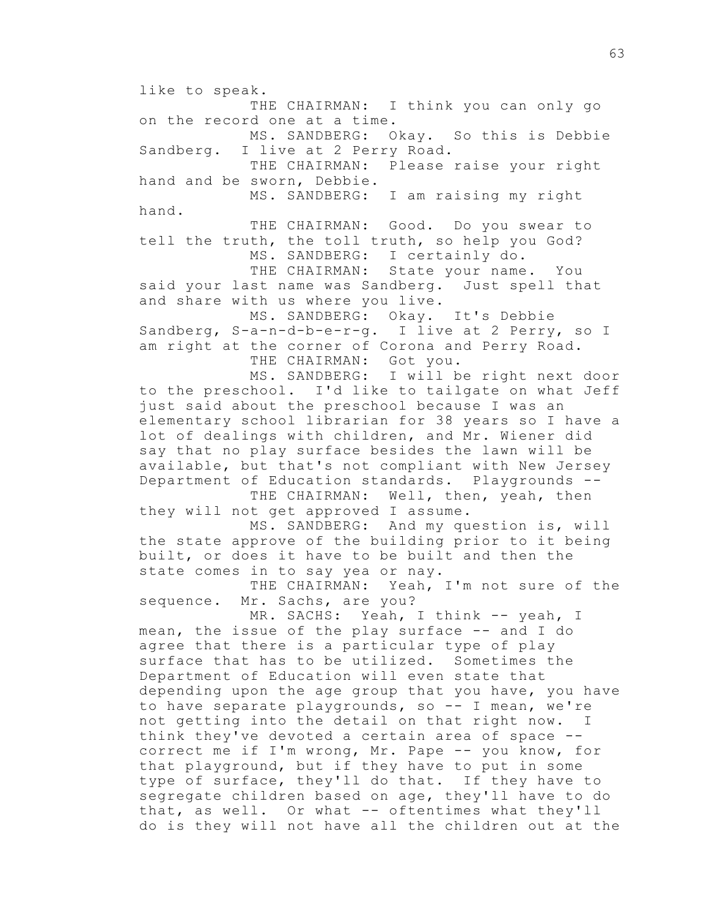like to speak. THE CHAIRMAN: I think you can only go on the record one at a time. MS. SANDBERG: Okay. So this is Debbie Sandberg. I live at 2 Perry Road. THE CHAIRMAN: Please raise your right hand and be sworn, Debbie. MS. SANDBERG: I am raising my right hand. THE CHAIRMAN: Good. Do you swear to tell the truth, the toll truth, so help you God? MS. SANDBERG: I certainly do. THE CHAIRMAN: State your name. You said your last name was Sandberg. Just spell that and share with us where you live. MS. SANDBERG: Okay. It's Debbie Sandberg, S-a-n-d-b-e-r-g. I live at 2 Perry, so I am right at the corner of Corona and Perry Road. THE CHAIRMAN: Got you. MS. SANDBERG: I will be right next door to the preschool. I'd like to tailgate on what Jeff just said about the preschool because I was an elementary school librarian for 38 years so I have a lot of dealings with children, and Mr. Wiener did say that no play surface besides the lawn will be available, but that's not compliant with New Jersey Department of Education standards. Playgrounds -- THE CHAIRMAN: Well, then, yeah, then they will not get approved I assume. MS. SANDBERG: And my question is, will the state approve of the building prior to it being built, or does it have to be built and then the state comes in to say yea or nay. THE CHAIRMAN: Yeah, I'm not sure of the sequence. Mr. Sachs, are you? MR. SACHS: Yeah, I think -- yeah, I mean, the issue of the play surface -- and I do agree that there is a particular type of play surface that has to be utilized. Sometimes the Department of Education will even state that depending upon the age group that you have, you have to have separate playgrounds, so -- I mean, we're not getting into the detail on that right now. I think they've devoted a certain area of space - correct me if I'm wrong, Mr. Pape -- you know, for that playground, but if they have to put in some type of surface, they'll do that. If they have to segregate children based on age, they'll have to do that, as well. Or what -- oftentimes what they'll do is they will not have all the children out at the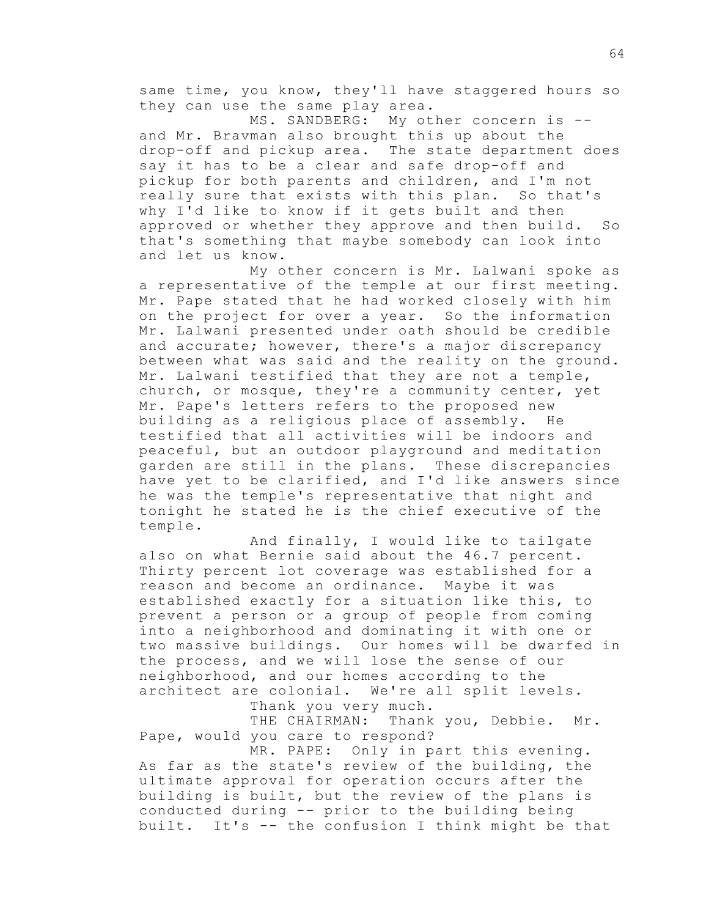same time, you know, they'll have staggered hours so they can use the same play area.

MS. SANDBERG: My other concern is -and Mr. Bravman also brought this up about the drop-off and pickup area. The state department does say it has to be a clear and safe drop-off and pickup for both parents and children, and I'm not really sure that exists with this plan. So that's why I'd like to know if it gets built and then approved or whether they approve and then build. So that's something that maybe somebody can look into and let us know.

My other concern is Mr. Lalwani spoke as a representative of the temple at our first meeting. Mr. Pape stated that he had worked closely with him on the project for over a year. So the information Mr. Lalwani presented under oath should be credible and accurate; however, there's a major discrepancy between what was said and the reality on the ground. Mr. Lalwani testified that they are not a temple, church, or mosque, they're a community center, yet Mr. Pape's letters refers to the proposed new building as a religious place of assembly. He testified that all activities will be indoors and peaceful, but an outdoor playground and meditation garden are still in the plans. These discrepancies have yet to be clarified, and I'd like answers since he was the temple's representative that night and tonight he stated he is the chief executive of the temple.

And finally, I would like to tailgate also on what Bernie said about the 46.7 percent. Thirty percent lot coverage was established for a reason and become an ordinance. Maybe it was established exactly for a situation like this, to prevent a person or a group of people from coming into a neighborhood and dominating it with one or two massive buildings. Our homes will be dwarfed in the process, and we will lose the sense of our neighborhood, and our homes according to the architect are colonial. We're all split levels.

Thank you very much.

THE CHAIRMAN: Thank you, Debbie. Mr. Pape, would you care to respond?

MR. PAPE: Only in part this evening. As far as the state's review of the building, the ultimate approval for operation occurs after the building is built, but the review of the plans is conducted during -- prior to the building being built. It's -- the confusion I think might be that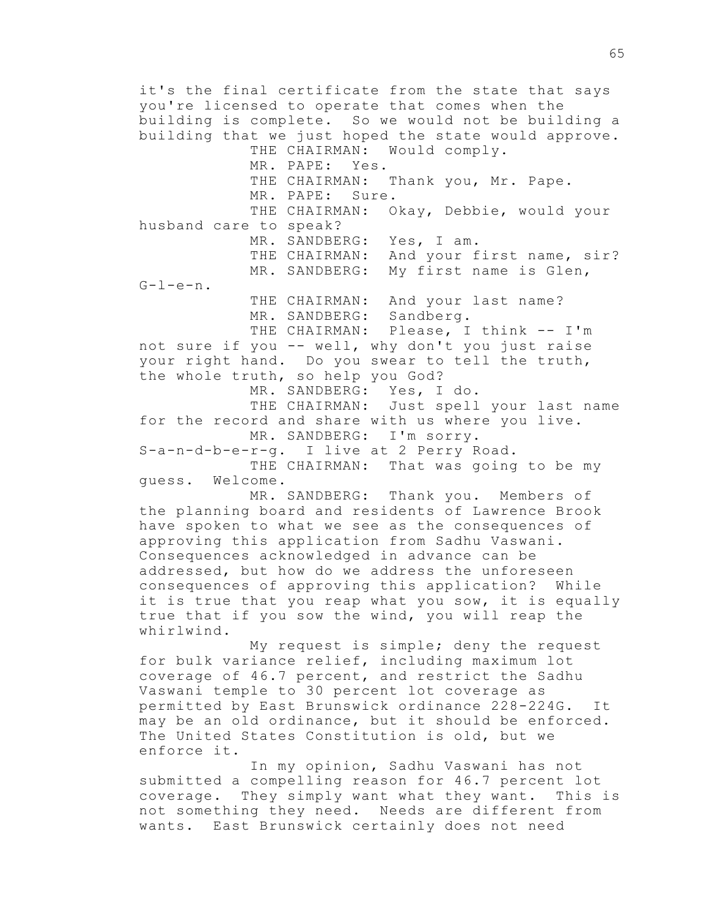it's the final certificate from the state that says you're licensed to operate that comes when the building is complete. So we would not be building a building that we just hoped the state would approve. THE CHAIRMAN: Would comply. MR. PAPE: Yes. THE CHAIRMAN: Thank you, Mr. Pape. MR. PAPE: Sure. THE CHAIRMAN: Okay, Debbie, would your husband care to speak? MR. SANDBERG: Yes, I am. THE CHAIRMAN: And your first name, sir? MR. SANDBERG: My first name is Glen,  $G-I-e-n$ . THE CHAIRMAN: And your last name? MR. SANDBERG: Sandberg. THE CHAIRMAN: Please, I think -- I'm not sure if you -- well, why don't you just raise your right hand. Do you swear to tell the truth, the whole truth, so help you God? MR. SANDBERG: Yes, I do. THE CHAIRMAN: Just spell your last name for the record and share with us where you live. MR. SANDBERG: I'm sorry. S-a-n-d-b-e-r-g. I live at 2 Perry Road. THE CHAIRMAN: That was going to be my guess. Welcome. MR. SANDBERG: Thank you. Members of the planning board and residents of Lawrence Brook have spoken to what we see as the consequences of approving this application from Sadhu Vaswani. Consequences acknowledged in advance can be addressed, but how do we address the unforeseen consequences of approving this application? While it is true that you reap what you sow, it is equally true that if you sow the wind, you will reap the whirlwind. My request is simple; deny the request for bulk variance relief, including maximum lot coverage of 46.7 percent, and restrict the Sadhu

Vaswani temple to 30 percent lot coverage as permitted by East Brunswick ordinance 228-224G. It may be an old ordinance, but it should be enforced. The United States Constitution is old, but we enforce it.

In my opinion, Sadhu Vaswani has not submitted a compelling reason for 46.7 percent lot coverage. They simply want what they want. This is not something they need. Needs are different from wants. East Brunswick certainly does not need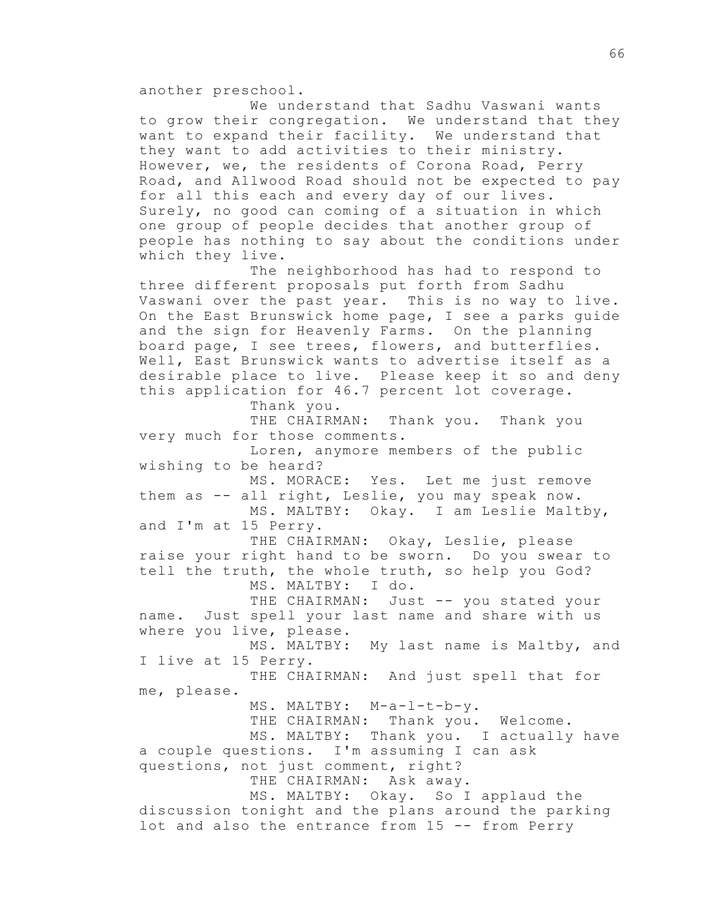another preschool.

We understand that Sadhu Vaswani wants to grow their congregation. We understand that they want to expand their facility. We understand that they want to add activities to their ministry. However, we, the residents of Corona Road, Perry Road, and Allwood Road should not be expected to pay for all this each and every day of our lives. Surely, no good can coming of a situation in which one group of people decides that another group of people has nothing to say about the conditions under which they live.

The neighborhood has had to respond to three different proposals put forth from Sadhu Vaswani over the past year. This is no way to live. On the East Brunswick home page, I see a parks guide and the sign for Heavenly Farms. On the planning board page, I see trees, flowers, and butterflies. Well, East Brunswick wants to advertise itself as a desirable place to live. Please keep it so and deny this application for 46.7 percent lot coverage. Thank you.

THE CHAIRMAN: Thank you. Thank you very much for those comments. Loren, anymore members of the public wishing to be heard? MS. MORACE: Yes. Let me just remove them as -- all right, Leslie, you may speak now. MS. MALTBY: Okay. I am Leslie Maltby,

and I'm at 15 Perry.

THE CHAIRMAN: Okay, Leslie, please raise your right hand to be sworn. Do you swear to tell the truth, the whole truth, so help you God? MS. MALTBY: I do.

THE CHAIRMAN: Just -- you stated your name. Just spell your last name and share with us where you live, please.

MS. MALTBY: My last name is Maltby, and I live at 15 Perry.

THE CHAIRMAN: And just spell that for me, please.

MS. MALTBY: M-a-l-t-b-y.

THE CHAIRMAN: Thank you. Welcome.

MS. MALTBY: Thank you. I actually have a couple questions. I'm assuming I can ask questions, not just comment, right?

THE CHAIRMAN: Ask away.

MS. MALTBY: Okay. So I applaud the discussion tonight and the plans around the parking lot and also the entrance from 15 -- from Perry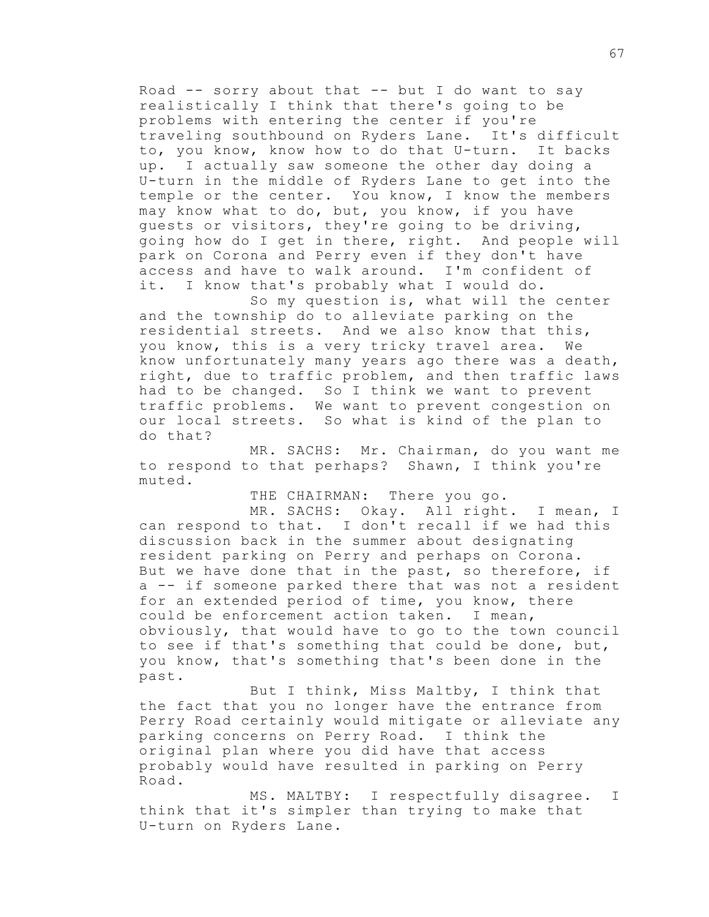Road  $-$  sorry about that  $-$  but I do want to say realistically I think that there's going to be problems with entering the center if you're traveling southbound on Ryders Lane. It's difficult to, you know, know how to do that U-turn. It backs up. I actually saw someone the other day doing a U-turn in the middle of Ryders Lane to get into the temple or the center. You know, I know the members may know what to do, but, you know, if you have guests or visitors, they're going to be driving, going how do I get in there, right. And people will park on Corona and Perry even if they don't have access and have to walk around. I'm confident of it. I know that's probably what I would do.

So my question is, what will the center and the township do to alleviate parking on the residential streets. And we also know that this, you know, this is a very tricky travel area. We know unfortunately many years ago there was a death, right, due to traffic problem, and then traffic laws had to be changed. So I think we want to prevent traffic problems. We want to prevent congestion on our local streets. So what is kind of the plan to do that?

MR. SACHS: Mr. Chairman, do you want me to respond to that perhaps? Shawn, I think you're muted.

THE CHAIRMAN: There you go.

MR. SACHS: Okay. All right. I mean, I can respond to that. I don't recall if we had this discussion back in the summer about designating resident parking on Perry and perhaps on Corona. But we have done that in the past, so therefore, if a -- if someone parked there that was not a resident for an extended period of time, you know, there could be enforcement action taken. I mean, obviously, that would have to go to the town council to see if that's something that could be done, but, you know, that's something that's been done in the past.

But I think, Miss Maltby, I think that the fact that you no longer have the entrance from Perry Road certainly would mitigate or alleviate any parking concerns on Perry Road. I think the original plan where you did have that access probably would have resulted in parking on Perry Road.

MS. MALTBY: I respectfully disagree. I think that it's simpler than trying to make that U-turn on Ryders Lane.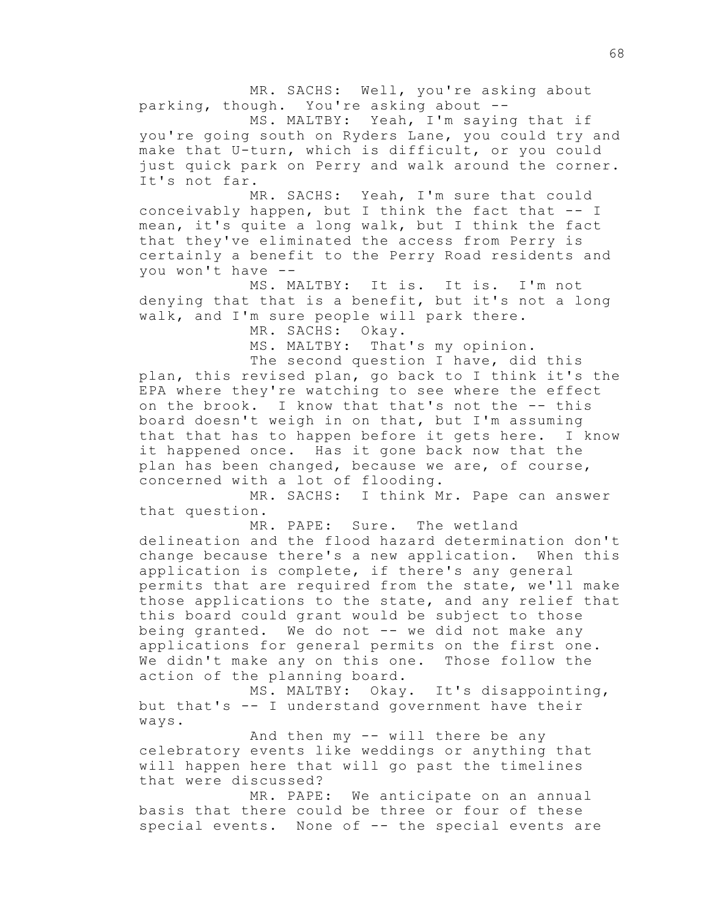MR. SACHS: Well, you're asking about parking, though. You're asking about --

MS. MALTBY: Yeah, I'm saying that if you're going south on Ryders Lane, you could try and make that U-turn, which is difficult, or you could just quick park on Perry and walk around the corner. It's not far.

MR. SACHS: Yeah, I'm sure that could conceivably happen, but I think the fact that -- I mean, it's quite a long walk, but I think the fact that they've eliminated the access from Perry is certainly a benefit to the Perry Road residents and you won't have --

MS. MALTBY: It is. It is. I'm not denying that that is a benefit, but it's not a long walk, and I'm sure people will park there.

MR. SACHS: Okay.

MS. MALTBY: That's my opinion.

The second question I have, did this plan, this revised plan, go back to I think it's the EPA where they're watching to see where the effect on the brook. I know that that's not the -- this board doesn't weigh in on that, but I'm assuming that that has to happen before it gets here. I know it happened once. Has it gone back now that the plan has been changed, because we are, of course, concerned with a lot of flooding.

MR. SACHS: I think Mr. Pape can answer that question.

MR. PAPE: Sure. The wetland delineation and the flood hazard determination don't change because there's a new application. When this application is complete, if there's any general permits that are required from the state, we'll make those applications to the state, and any relief that this board could grant would be subject to those being granted. We do not -- we did not make any applications for general permits on the first one. We didn't make any on this one. Those follow the action of the planning board.

MS. MALTBY: Okay. It's disappointing, but that's -- I understand government have their ways.

And then my -- will there be any celebratory events like weddings or anything that will happen here that will go past the timelines that were discussed?

MR. PAPE: We anticipate on an annual basis that there could be three or four of these special events. None of -- the special events are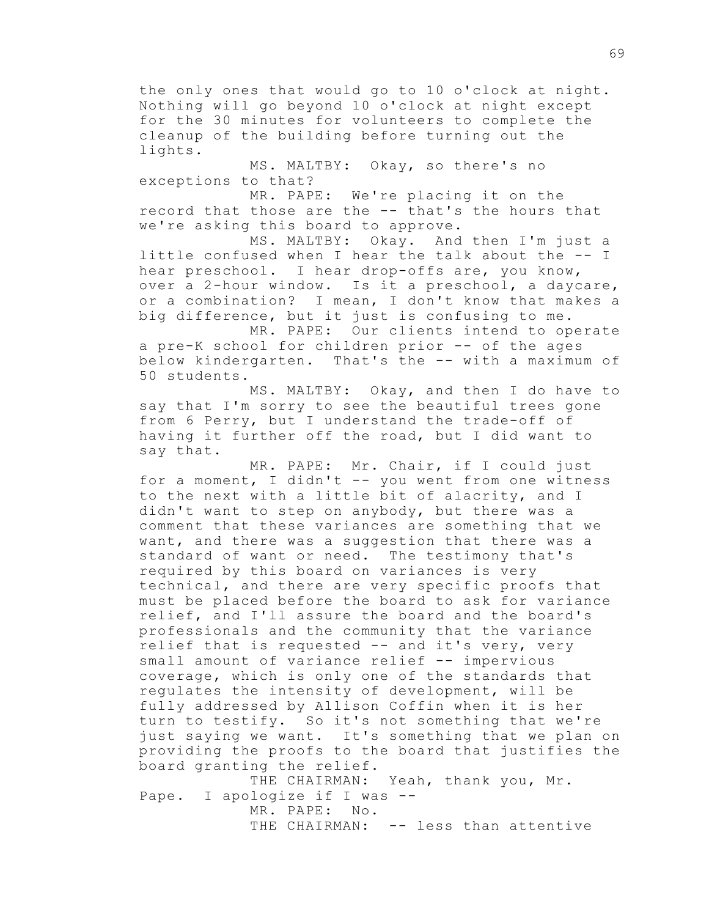the only ones that would go to 10 o'clock at night. Nothing will go beyond 10 o'clock at night except for the 30 minutes for volunteers to complete the cleanup of the building before turning out the lights.

MS. MALTBY: Okay, so there's no exceptions to that?

MR. PAPE: We're placing it on the record that those are the -- that's the hours that we're asking this board to approve.

MS. MALTBY: Okay. And then I'm just a little confused when I hear the talk about the -- I hear preschool. I hear drop-offs are, you know, over a 2-hour window. Is it a preschool, a daycare, or a combination? I mean, I don't know that makes a big difference, but it just is confusing to me.

MR. PAPE: Our clients intend to operate a pre-K school for children prior -- of the ages below kindergarten. That's the -- with a maximum of 50 students.

MS. MALTBY: Okay, and then I do have to say that I'm sorry to see the beautiful trees gone from 6 Perry, but I understand the trade-off of having it further off the road, but I did want to say that.

MR. PAPE: Mr. Chair, if I could just for a moment, I didn't -- you went from one witness to the next with a little bit of alacrity, and I didn't want to step on anybody, but there was a comment that these variances are something that we want, and there was a suggestion that there was a standard of want or need. The testimony that's required by this board on variances is very technical, and there are very specific proofs that must be placed before the board to ask for variance relief, and I'll assure the board and the board's professionals and the community that the variance relief that is requested -- and it's very, very small amount of variance relief -- impervious coverage, which is only one of the standards that regulates the intensity of development, will be fully addressed by Allison Coffin when it is her turn to testify. So it's not something that we're just saying we want. It's something that we plan on providing the proofs to the board that justifies the board granting the relief.

THE CHAIRMAN: Yeah, thank you, Mr. Pape. I apologize if I was -- MR. PAPE: No. THE CHAIRMAN: -- less than attentive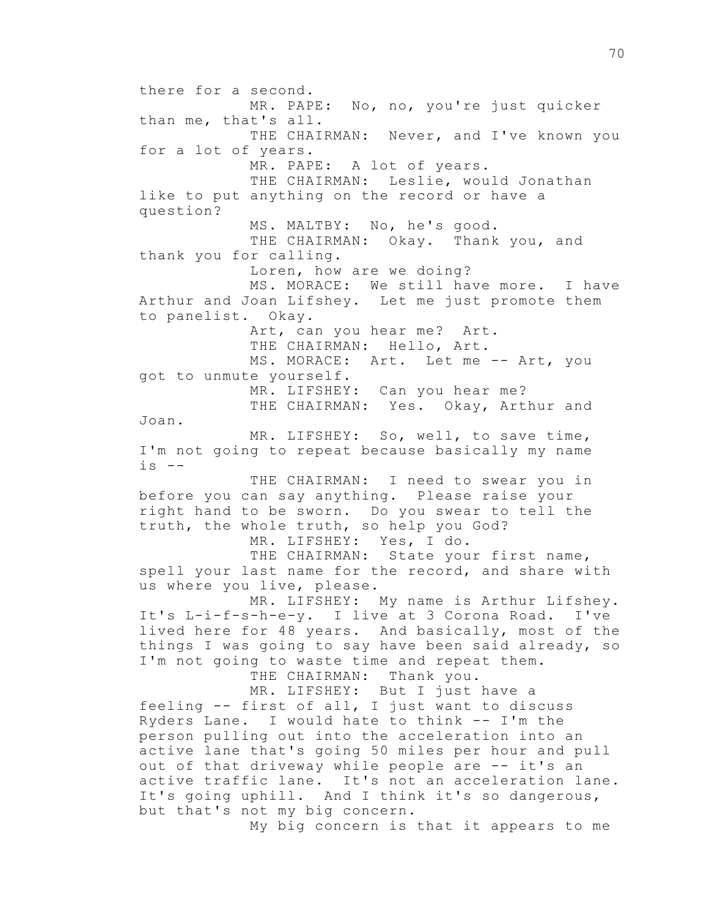there for a second. MR. PAPE: No, no, you're just quicker than me, that's all. THE CHAIRMAN: Never, and I've known you for a lot of years. MR. PAPE: A lot of years. THE CHAIRMAN: Leslie, would Jonathan like to put anything on the record or have a question? MS. MALTBY: No, he's good. THE CHAIRMAN: Okay. Thank you, and thank you for calling. Loren, how are we doing? MS. MORACE: We still have more. I have Arthur and Joan Lifshey. Let me just promote them to panelist. Okay. Art, can you hear me? Art. THE CHAIRMAN: Hello, Art. MS. MORACE: Art. Let me -- Art, you got to unmute yourself. MR. LIFSHEY: Can you hear me? THE CHAIRMAN: Yes. Okay, Arthur and Joan. MR. LIFSHEY: So, well, to save time, I'm not going to repeat because basically my name  $is$   $--$ THE CHAIRMAN: I need to swear you in before you can say anything. Please raise your right hand to be sworn. Do you swear to tell the truth, the whole truth, so help you God? MR. LIFSHEY: Yes, I do. THE CHAIRMAN: State your first name, spell your last name for the record, and share with us where you live, please. MR. LIFSHEY: My name is Arthur Lifshey. It's L-i-f-s-h-e-y. I live at 3 Corona Road. I've lived here for 48 years. And basically, most of the things I was going to say have been said already, so I'm not going to waste time and repeat them. THE CHAIRMAN: Thank you. MR. LIFSHEY: But I just have a feeling -- first of all, I just want to discuss Ryders Lane. I would hate to think -- I'm the person pulling out into the acceleration into an active lane that's going 50 miles per hour and pull out of that driveway while people are -- it's an active traffic lane. It's not an acceleration lane. It's going uphill. And I think it's so dangerous, but that's not my big concern. My big concern is that it appears to me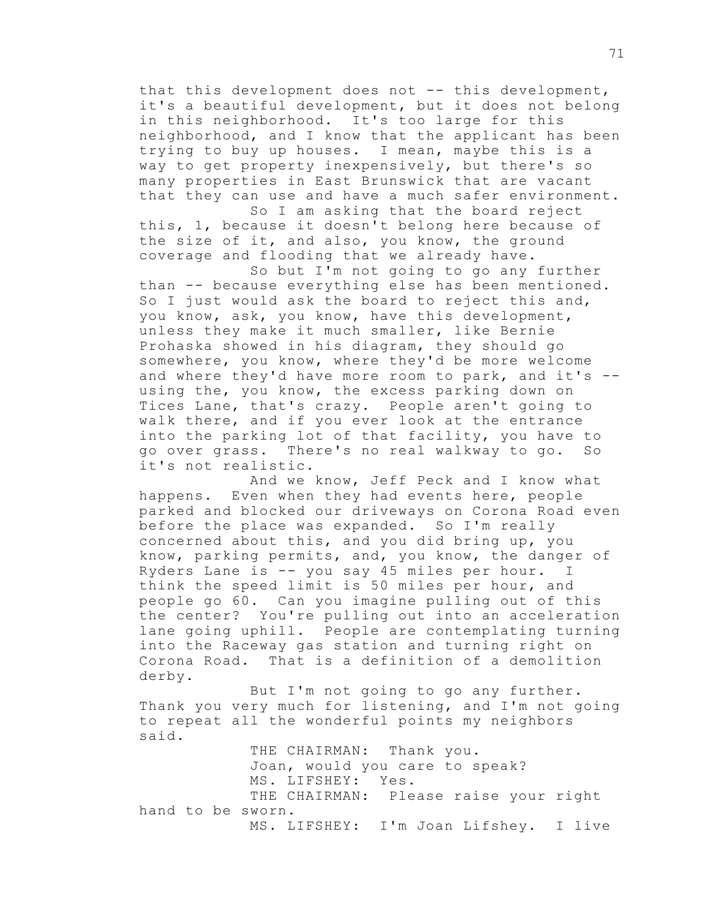that this development does not -- this development, it's a beautiful development, but it does not belong in this neighborhood. It's too large for this neighborhood, and I know that the applicant has been trying to buy up houses. I mean, maybe this is a way to get property inexpensively, but there's so many properties in East Brunswick that are vacant that they can use and have a much safer environment.

So I am asking that the board reject this, 1, because it doesn't belong here because of the size of it, and also, you know, the ground coverage and flooding that we already have.

So but I'm not going to go any further than -- because everything else has been mentioned. So I just would ask the board to reject this and, you know, ask, you know, have this development, unless they make it much smaller, like Bernie Prohaska showed in his diagram, they should go somewhere, you know, where they'd be more welcome and where they'd have more room to park, and it's - using the, you know, the excess parking down on Tices Lane, that's crazy. People aren't going to walk there, and if you ever look at the entrance into the parking lot of that facility, you have to go over grass. There's no real walkway to go. So it's not realistic.

And we know, Jeff Peck and I know what happens. Even when they had events here, people parked and blocked our driveways on Corona Road even before the place was expanded. So I'm really concerned about this, and you did bring up, you know, parking permits, and, you know, the danger of Ryders Lane is -- you say 45 miles per hour. I think the speed limit is 50 miles per hour, and people go 60. Can you imagine pulling out of this the center? You're pulling out into an acceleration lane going uphill. People are contemplating turning into the Raceway gas station and turning right on Corona Road. That is a definition of a demolition derby.

But I'm not going to go any further. Thank you very much for listening, and I'm not going to repeat all the wonderful points my neighbors said.

THE CHAIRMAN: Thank you. Joan, would you care to speak? MS. LIFSHEY: Yes. THE CHAIRMAN: Please raise your right hand to be sworn. MS. LIFSHEY: I'm Joan Lifshey. I live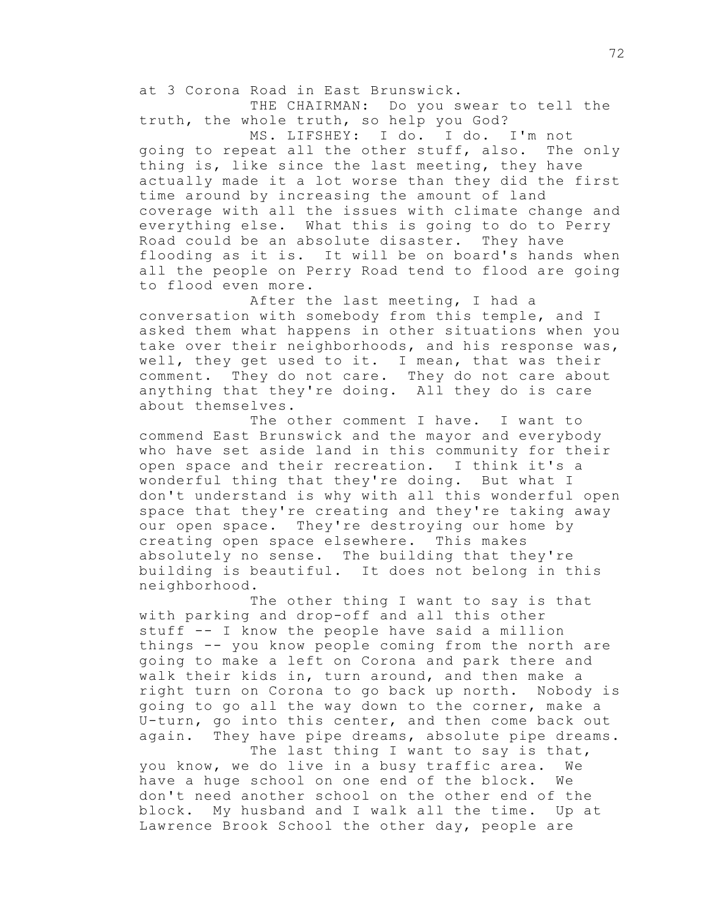at 3 Corona Road in East Brunswick.

THE CHAIRMAN: Do you swear to tell the truth, the whole truth, so help you God?

MS. LIFSHEY: I do. I do. I'm not going to repeat all the other stuff, also. The only thing is, like since the last meeting, they have actually made it a lot worse than they did the first time around by increasing the amount of land coverage with all the issues with climate change and everything else. What this is going to do to Perry Road could be an absolute disaster. They have flooding as it is. It will be on board's hands when all the people on Perry Road tend to flood are going to flood even more.

After the last meeting, I had a conversation with somebody from this temple, and I asked them what happens in other situations when you take over their neighborhoods, and his response was, well, they get used to it. I mean, that was their comment. They do not care. They do not care about anything that they're doing. All they do is care about themselves.

The other comment I have. I want to commend East Brunswick and the mayor and everybody who have set aside land in this community for their open space and their recreation. I think it's a wonderful thing that they're doing. But what I don't understand is why with all this wonderful open space that they're creating and they're taking away our open space. They're destroying our home by creating open space elsewhere. This makes absolutely no sense. The building that they're building is beautiful. It does not belong in this neighborhood.

The other thing I want to say is that with parking and drop-off and all this other stuff -- I know the people have said a million things -- you know people coming from the north are going to make a left on Corona and park there and walk their kids in, turn around, and then make a right turn on Corona to go back up north. Nobody is going to go all the way down to the corner, make a U-turn, go into this center, and then come back out again. They have pipe dreams, absolute pipe dreams.

The last thing I want to say is that, you know, we do live in a busy traffic area. We have a huge school on one end of the block. We don't need another school on the other end of the block. My husband and I walk all the time. Up at Lawrence Brook School the other day, people are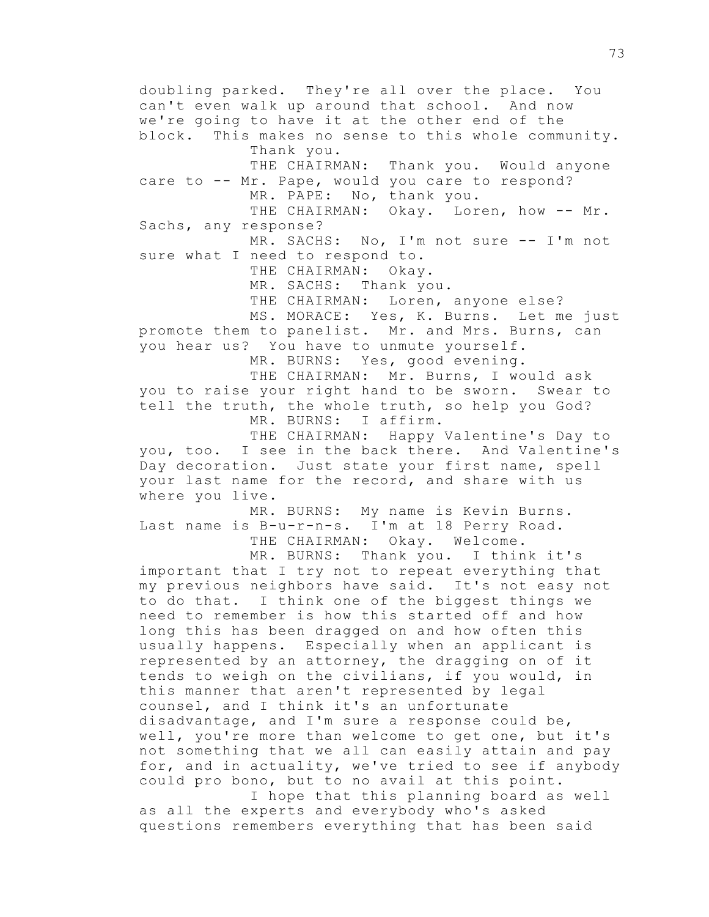doubling parked. They're all over the place. You can't even walk up around that school. And now we're going to have it at the other end of the block. This makes no sense to this whole community. Thank you. THE CHAIRMAN: Thank you. Would anyone care to -- Mr. Pape, would you care to respond? MR. PAPE: No, thank you. THE CHAIRMAN: Okay. Loren, how -- Mr. Sachs, any response? MR. SACHS: No, I'm not sure -- I'm not sure what I need to respond to. THE CHAIRMAN: Okay. MR. SACHS: Thank you. THE CHAIRMAN: Loren, anyone else? MS. MORACE: Yes, K. Burns. Let me just promote them to panelist. Mr. and Mrs. Burns, can you hear us? You have to unmute yourself. MR. BURNS: Yes, good evening. THE CHAIRMAN: Mr. Burns, I would ask you to raise your right hand to be sworn. Swear to tell the truth, the whole truth, so help you God? MR. BURNS: I affirm. THE CHAIRMAN: Happy Valentine's Day to you, too. I see in the back there. And Valentine's Day decoration. Just state your first name, spell your last name for the record, and share with us where you live. MR. BURNS: My name is Kevin Burns. Last name is B-u-r-n-s. I'm at 18 Perry Road. THE CHAIRMAN: Okay. Welcome. MR. BURNS: Thank you. I think it's important that I try not to repeat everything that my previous neighbors have said. It's not easy not to do that. I think one of the biggest things we need to remember is how this started off and how long this has been dragged on and how often this usually happens. Especially when an applicant is represented by an attorney, the dragging on of it tends to weigh on the civilians, if you would, in this manner that aren't represented by legal counsel, and I think it's an unfortunate disadvantage, and I'm sure a response could be, well, you're more than welcome to get one, but it's not something that we all can easily attain and pay for, and in actuality, we've tried to see if anybody could pro bono, but to no avail at this point. I hope that this planning board as well as all the experts and everybody who's asked questions remembers everything that has been said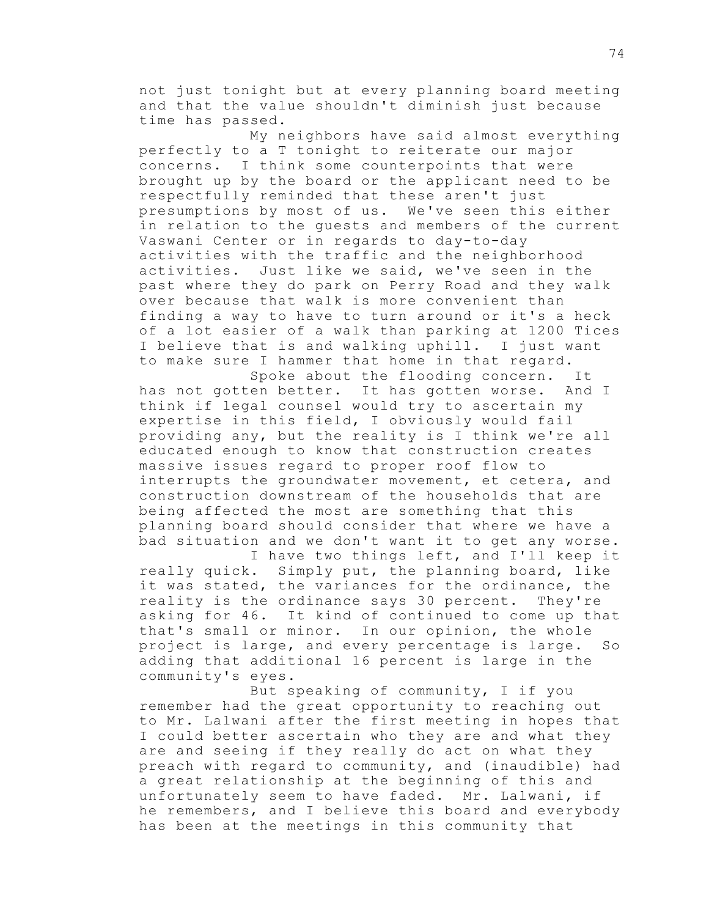not just tonight but at every planning board meeting and that the value shouldn't diminish just because time has passed.

My neighbors have said almost everything perfectly to a T tonight to reiterate our major concerns. I think some counterpoints that were brought up by the board or the applicant need to be respectfully reminded that these aren't just presumptions by most of us. We've seen this either in relation to the guests and members of the current Vaswani Center or in regards to day-to-day activities with the traffic and the neighborhood activities. Just like we said, we've seen in the past where they do park on Perry Road and they walk over because that walk is more convenient than finding a way to have to turn around or it's a heck of a lot easier of a walk than parking at 1200 Tices I believe that is and walking uphill. I just want to make sure I hammer that home in that regard.

Spoke about the flooding concern. It has not gotten better. It has gotten worse. And I think if legal counsel would try to ascertain my expertise in this field, I obviously would fail providing any, but the reality is I think we're all educated enough to know that construction creates massive issues regard to proper roof flow to interrupts the groundwater movement, et cetera, and construction downstream of the households that are being affected the most are something that this planning board should consider that where we have a bad situation and we don't want it to get any worse.

I have two things left, and I'll keep it really quick. Simply put, the planning board, like it was stated, the variances for the ordinance, the reality is the ordinance says 30 percent. They're asking for 46. It kind of continued to come up that that's small or minor. In our opinion, the whole project is large, and every percentage is large. So adding that additional 16 percent is large in the community's eyes.

But speaking of community, I if you remember had the great opportunity to reaching out to Mr. Lalwani after the first meeting in hopes that I could better ascertain who they are and what they are and seeing if they really do act on what they preach with regard to community, and (inaudible) had a great relationship at the beginning of this and unfortunately seem to have faded. Mr. Lalwani, if he remembers, and I believe this board and everybody has been at the meetings in this community that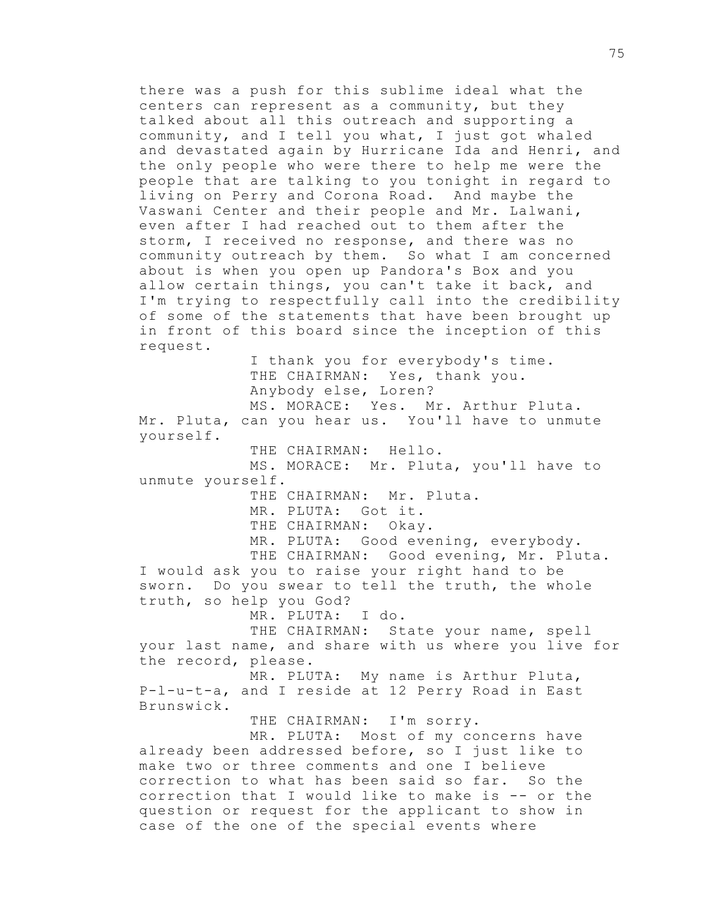there was a push for this sublime ideal what the centers can represent as a community, but they talked about all this outreach and supporting a community, and I tell you what, I just got whaled and devastated again by Hurricane Ida and Henri, and the only people who were there to help me were the people that are talking to you tonight in regard to living on Perry and Corona Road. And maybe the Vaswani Center and their people and Mr. Lalwani, even after I had reached out to them after the storm, I received no response, and there was no community outreach by them. So what I am concerned about is when you open up Pandora's Box and you allow certain things, you can't take it back, and I'm trying to respectfully call into the credibility of some of the statements that have been brought up in front of this board since the inception of this request. I thank you for everybody's time. THE CHAIRMAN: Yes, thank you. Anybody else, Loren? MS. MORACE: Yes. Mr. Arthur Pluta. Mr. Pluta, can you hear us. You'll have to unmute yourself. THE CHAIRMAN: Hello. MS. MORACE: Mr. Pluta, you'll have to unmute yourself. THE CHAIRMAN: Mr. Pluta. MR. PLUTA: Got it. THE CHAIRMAN: Okay. MR. PLUTA: Good evening, everybody. THE CHAIRMAN: Good evening, Mr. Pluta. I would ask you to raise your right hand to be sworn. Do you swear to tell the truth, the whole truth, so help you God? MR. PLUTA: I do. THE CHAIRMAN: State your name, spell your last name, and share with us where you live for the record, please. MR. PLUTA: My name is Arthur Pluta, P-l-u-t-a, and I reside at 12 Perry Road in East Brunswick. THE CHAIRMAN: I'm sorry. MR. PLUTA: Most of my concerns have already been addressed before, so I just like to make two or three comments and one I believe correction to what has been said so far. So the correction that I would like to make is -- or the question or request for the applicant to show in case of the one of the special events where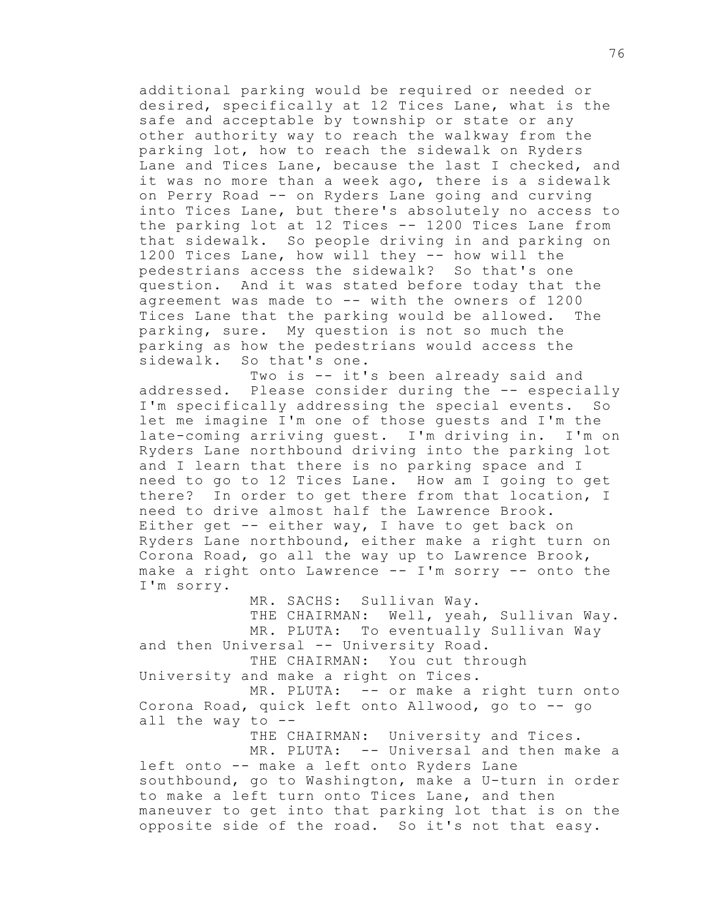additional parking would be required or needed or desired, specifically at 12 Tices Lane, what is the safe and acceptable by township or state or any other authority way to reach the walkway from the parking lot, how to reach the sidewalk on Ryders Lane and Tices Lane, because the last I checked, and it was no more than a week ago, there is a sidewalk on Perry Road -- on Ryders Lane going and curving into Tices Lane, but there's absolutely no access to the parking lot at 12 Tices -- 1200 Tices Lane from that sidewalk. So people driving in and parking on 1200 Tices Lane, how will they -- how will the pedestrians access the sidewalk? So that's one question. And it was stated before today that the agreement was made to -- with the owners of 1200 Tices Lane that the parking would be allowed. The parking, sure. My question is not so much the parking as how the pedestrians would access the sidewalk. So that's one.

Two is -- it's been already said and addressed. Please consider during the -- especially I'm specifically addressing the special events. So let me imagine I'm one of those guests and I'm the late-coming arriving guest. I'm driving in. I'm on Ryders Lane northbound driving into the parking lot and I learn that there is no parking space and I need to go to 12 Tices Lane. How am I going to get there? In order to get there from that location, I need to drive almost half the Lawrence Brook. Either get -- either way, I have to get back on Ryders Lane northbound, either make a right turn on Corona Road, go all the way up to Lawrence Brook, make a right onto Lawrence -- I'm sorry -- onto the I'm sorry.

MR. SACHS: Sullivan Way.

THE CHAIRMAN: Well, yeah, Sullivan Way. MR. PLUTA: To eventually Sullivan Way and then Universal -- University Road. THE CHAIRMAN: You cut through University and make a right on Tices.

MR. PLUTA: -- or make a right turn onto Corona Road, quick left onto Allwood, go to -- go all the way to  $-$ 

THE CHAIRMAN: University and Tices. MR. PLUTA: -- Universal and then make a left onto -- make a left onto Ryders Lane southbound, go to Washington, make a U-turn in order to make a left turn onto Tices Lane, and then maneuver to get into that parking lot that is on the opposite side of the road. So it's not that easy.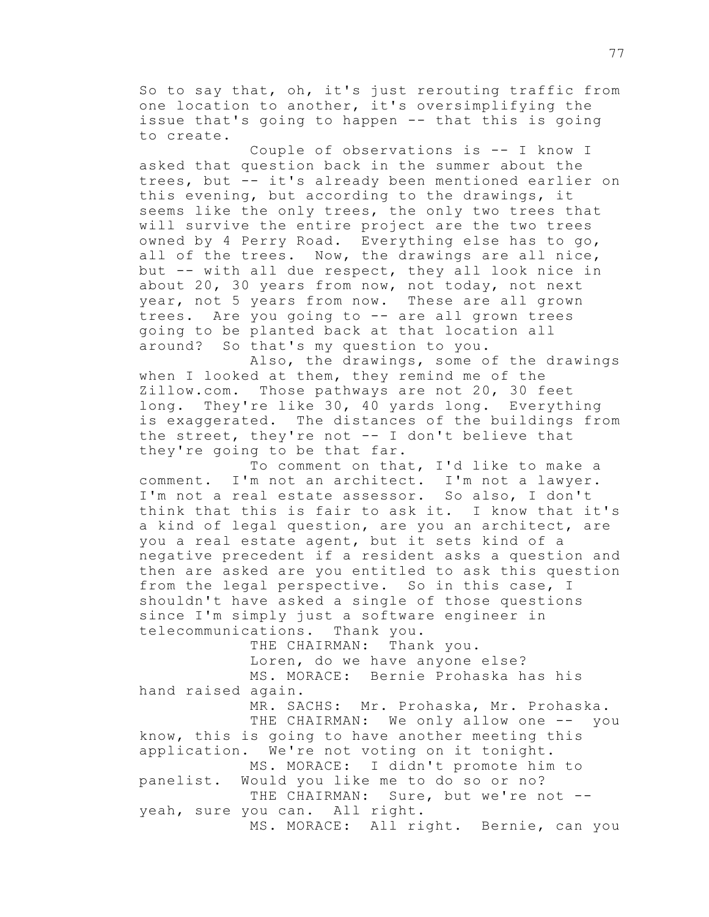So to say that, oh, it's just rerouting traffic from one location to another, it's oversimplifying the issue that's going to happen -- that this is going to create.

Couple of observations is -- I know I asked that question back in the summer about the trees, but -- it's already been mentioned earlier on this evening, but according to the drawings, it seems like the only trees, the only two trees that will survive the entire project are the two trees owned by 4 Perry Road. Everything else has to go, all of the trees. Now, the drawings are all nice, but -- with all due respect, they all look nice in about 20, 30 years from now, not today, not next year, not 5 years from now. These are all grown trees. Are you going to -- are all grown trees going to be planted back at that location all around? So that's my question to you.

Also, the drawings, some of the drawings when I looked at them, they remind me of the Zillow.com. Those pathways are not 20, 30 feet long. They're like 30, 40 yards long. Everything is exaggerated. The distances of the buildings from the street, they're not -- I don't believe that they're going to be that far.

To comment on that, I'd like to make a comment. I'm not an architect. I'm not a lawyer. I'm not a real estate assessor. So also, I don't think that this is fair to ask it. I know that it's a kind of legal question, are you an architect, are you a real estate agent, but it sets kind of a negative precedent if a resident asks a question and then are asked are you entitled to ask this question from the legal perspective. So in this case, I shouldn't have asked a single of those questions since I'm simply just a software engineer in telecommunications. Thank you.

THE CHAIRMAN: Thank you. Loren, do we have anyone else? MS. MORACE: Bernie Prohaska has his hand raised again. MR. SACHS: Mr. Prohaska, Mr. Prohaska.

THE CHAIRMAN: We only allow one -- you know, this is going to have another meeting this application. We're not voting on it tonight. MS. MORACE: I didn't promote him to panelist. Would you like me to do so or no? THE CHAIRMAN: Sure, but we're not -yeah, sure you can. All right. MS. MORACE: All right. Bernie, can you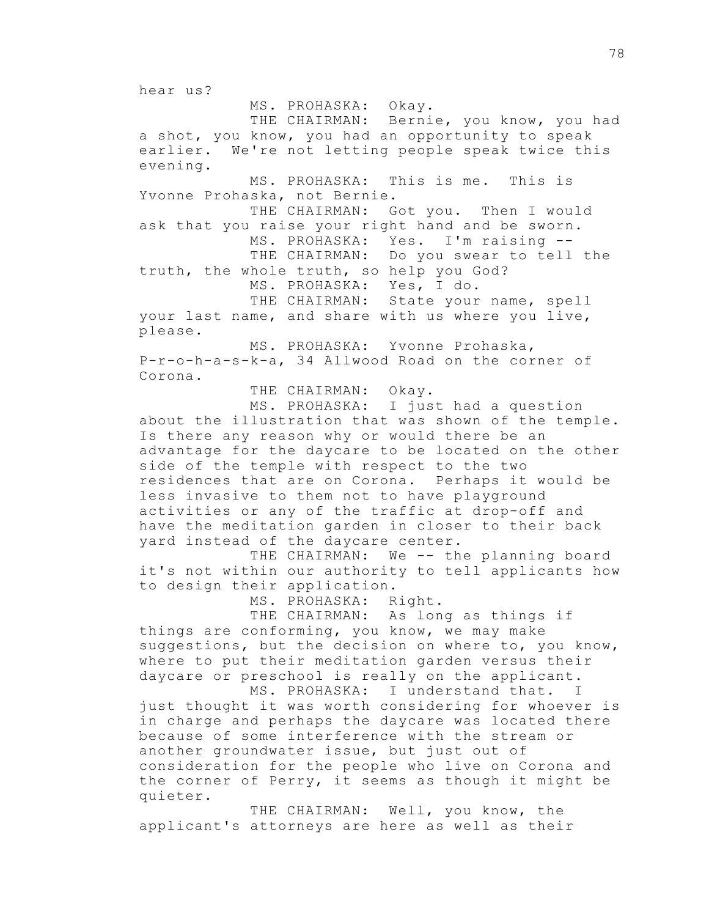hear us?

MS. PROHASKA: Okay.

THE CHAIRMAN: Bernie, you know, you had a shot, you know, you had an opportunity to speak earlier. We're not letting people speak twice this evening.

MS. PROHASKA: This is me. This is Yvonne Prohaska, not Bernie.

THE CHAIRMAN: Got you. Then I would ask that you raise your right hand and be sworn. MS. PROHASKA: Yes. I'm raising --

THE CHAIRMAN: Do you swear to tell the truth, the whole truth, so help you God?

MS. PROHASKA: Yes, I do.

THE CHAIRMAN: State your name, spell your last name, and share with us where you live, please.

MS. PROHASKA: Yvonne Prohaska, P-r-o-h-a-s-k-a, 34 Allwood Road on the corner of Corona.

THE CHAIRMAN: Okay.

MS. PROHASKA: I just had a question about the illustration that was shown of the temple. Is there any reason why or would there be an advantage for the daycare to be located on the other side of the temple with respect to the two residences that are on Corona. Perhaps it would be less invasive to them not to have playground activities or any of the traffic at drop-off and have the meditation garden in closer to their back yard instead of the daycare center.

THE CHAIRMAN: We -- the planning board it's not within our authority to tell applicants how to design their application.

MS. PROHASKA: Right.

THE CHAIRMAN: As long as things if things are conforming, you know, we may make suggestions, but the decision on where to, you know, where to put their meditation garden versus their daycare or preschool is really on the applicant.

MS. PROHASKA: I understand that. I just thought it was worth considering for whoever is in charge and perhaps the daycare was located there because of some interference with the stream or another groundwater issue, but just out of consideration for the people who live on Corona and the corner of Perry, it seems as though it might be quieter.

THE CHAIRMAN: Well, you know, the applicant's attorneys are here as well as their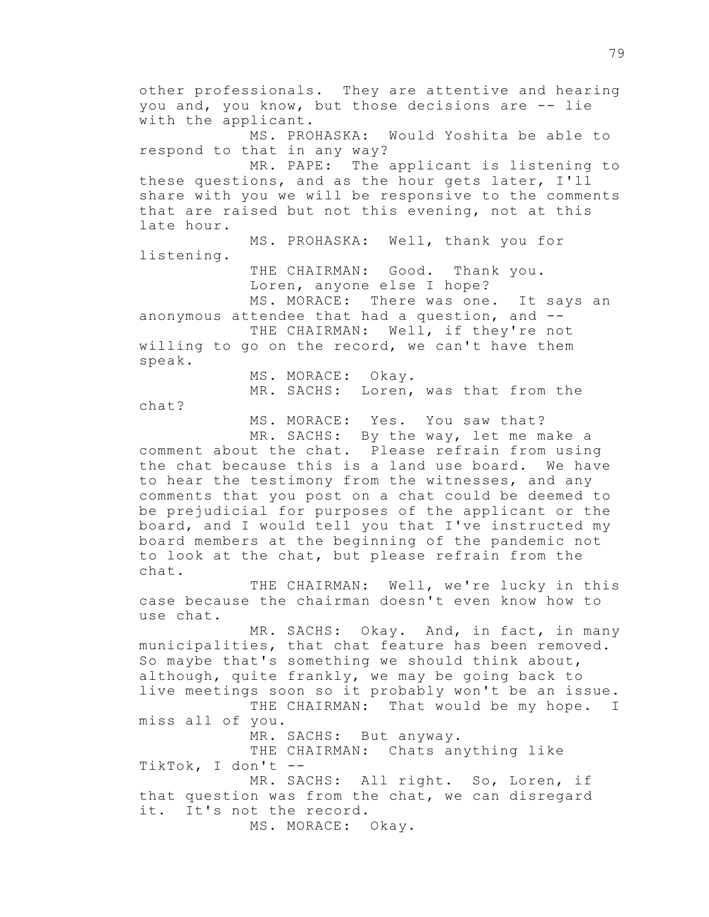other professionals. They are attentive and hearing you and, you know, but those decisions are -- lie with the applicant. MS. PROHASKA: Would Yoshita be able to respond to that in any way? MR. PAPE: The applicant is listening to these questions, and as the hour gets later, I'll share with you we will be responsive to the comments that are raised but not this evening, not at this late hour. MS. PROHASKA: Well, thank you for listening. THE CHAIRMAN: Good. Thank you. Loren, anyone else I hope? MS. MORACE: There was one. It says an anonymous attendee that had a question, and -- THE CHAIRMAN: Well, if they're not willing to go on the record, we can't have them speak. MS. MORACE: Okay. MR. SACHS: Loren, was that from the chat? MS. MORACE: Yes. You saw that? MR. SACHS: By the way, let me make a comment about the chat. Please refrain from using the chat because this is a land use board. We have to hear the testimony from the witnesses, and any comments that you post on a chat could be deemed to be prejudicial for purposes of the applicant or the board, and I would tell you that I've instructed my board members at the beginning of the pandemic not to look at the chat, but please refrain from the chat. THE CHAIRMAN: Well, we're lucky in this case because the chairman doesn't even know how to use chat. MR. SACHS: Okay. And, in fact, in many municipalities, that chat feature has been removed. So maybe that's something we should think about, although, quite frankly, we may be going back to live meetings soon so it probably won't be an issue. THE CHAIRMAN: That would be my hope. I miss all of you. MR. SACHS: But anyway. THE CHAIRMAN: Chats anything like TikTok, I don't -- MR. SACHS: All right. So, Loren, if that question was from the chat, we can disregard it. It's not the record. MS. MORACE: Okay.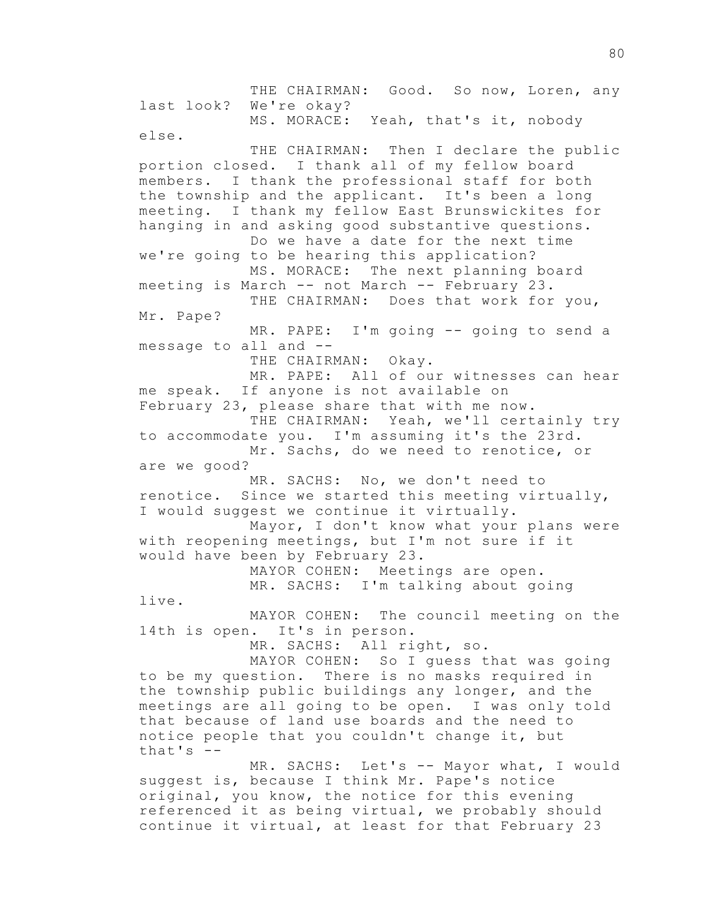THE CHAIRMAN: Good. So now, Loren, any last look? We're okay? MS. MORACE: Yeah, that's it, nobody else. THE CHAIRMAN: Then I declare the public portion closed. I thank all of my fellow board members. I thank the professional staff for both the township and the applicant. It's been a long meeting. I thank my fellow East Brunswickites for hanging in and asking good substantive questions. Do we have a date for the next time we're going to be hearing this application? MS. MORACE: The next planning board meeting is March -- not March -- February 23. THE CHAIRMAN: Does that work for you, Mr. Pape? MR. PAPE: I'm going -- going to send a message to all and -- THE CHAIRMAN: Okay. MR. PAPE: All of our witnesses can hear me speak. If anyone is not available on February 23, please share that with me now. THE CHAIRMAN: Yeah, we'll certainly try to accommodate you. I'm assuming it's the 23rd. Mr. Sachs, do we need to renotice, or are we good? MR. SACHS: No, we don't need to renotice. Since we started this meeting virtually, I would suggest we continue it virtually. Mayor, I don't know what your plans were with reopening meetings, but I'm not sure if it would have been by February 23. MAYOR COHEN: Meetings are open. MR. SACHS: I'm talking about going live. MAYOR COHEN: The council meeting on the 14th is open. It's in person. MR. SACHS: All right, so. MAYOR COHEN: So I guess that was going to be my question. There is no masks required in the township public buildings any longer, and the meetings are all going to be open. I was only told that because of land use boards and the need to notice people that you couldn't change it, but that's  $-$ MR. SACHS: Let's -- Mayor what, I would suggest is, because I think Mr. Pape's notice original, you know, the notice for this evening referenced it as being virtual, we probably should continue it virtual, at least for that February 23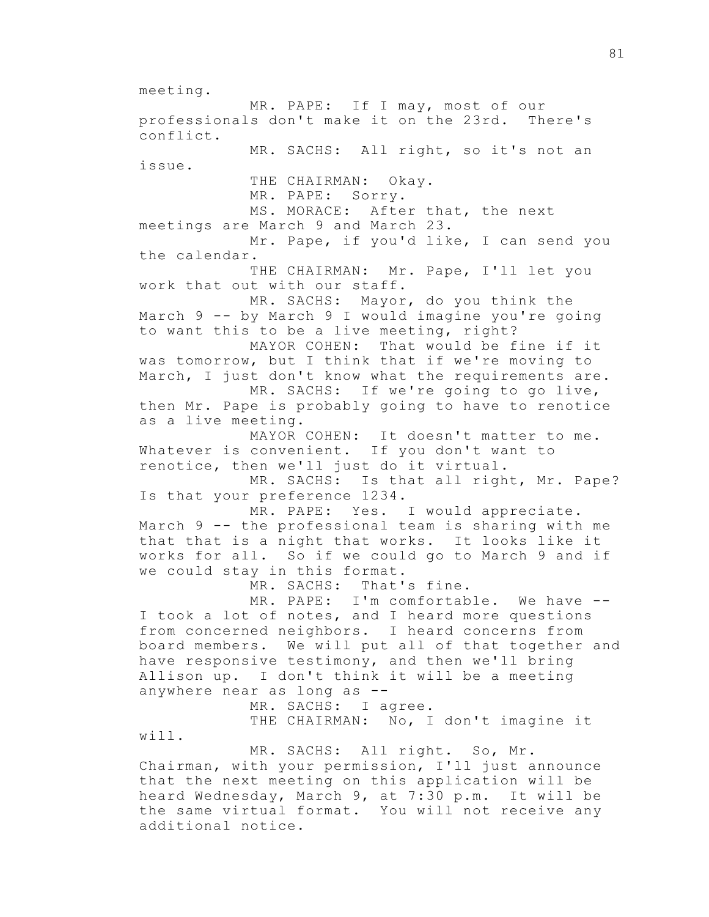meeting.

MR. PAPE: If I may, most of our professionals don't make it on the 23rd. There's conflict. MR. SACHS: All right, so it's not an issue. THE CHAIRMAN: Okay. MR. PAPE: Sorry. MS. MORACE: After that, the next meetings are March 9 and March 23. Mr. Pape, if you'd like, I can send you the calendar. THE CHAIRMAN: Mr. Pape, I'll let you work that out with our staff. MR. SACHS: Mayor, do you think the March 9 -- by March 9 I would imagine you're going to want this to be a live meeting, right? MAYOR COHEN: That would be fine if it was tomorrow, but I think that if we're moving to March, I just don't know what the requirements are. MR. SACHS: If we're going to go live, then Mr. Pape is probably going to have to renotice as a live meeting. MAYOR COHEN: It doesn't matter to me. Whatever is convenient. If you don't want to renotice, then we'll just do it virtual. MR. SACHS: Is that all right, Mr. Pape? Is that your preference 1234. MR. PAPE: Yes. I would appreciate. March 9 -- the professional team is sharing with me that that is a night that works. It looks like it works for all. So if we could go to March 9 and if we could stay in this format. MR. SACHS: That's fine. MR. PAPE: I'm comfortable. We have --I took a lot of notes, and I heard more questions from concerned neighbors. I heard concerns from board members. We will put all of that together and have responsive testimony, and then we'll bring Allison up. I don't think it will be a meeting anywhere near as long as -- MR. SACHS: I agree. THE CHAIRMAN: No, I don't imagine it will. MR. SACHS: All right. So, Mr. Chairman, with your permission, I'll just announce that the next meeting on this application will be heard Wednesday, March 9, at 7:30 p.m. It will be the same virtual format. You will not receive any additional notice.